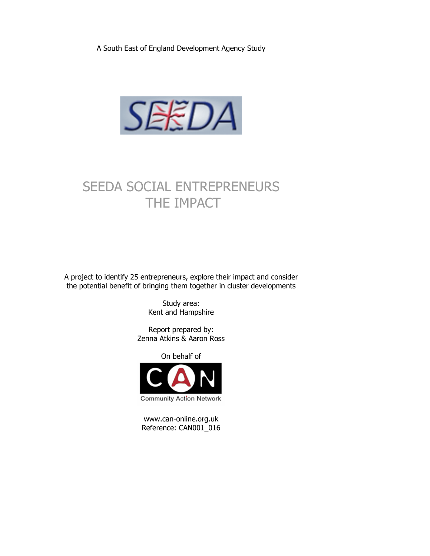A South East of England Development Agency Study



# SEEDA SOCIAL ENTREPRENEURS THE IMPACT

A project to identify 25 entrepreneurs, explore their impact and consider the potential benefit of bringing them together in cluster developments

> Study area: Kent and Hampshire

Report prepared by: Zenna Atkins & Aaron Ross

On behalf of



www.can-online.org.uk Reference: CAN001\_016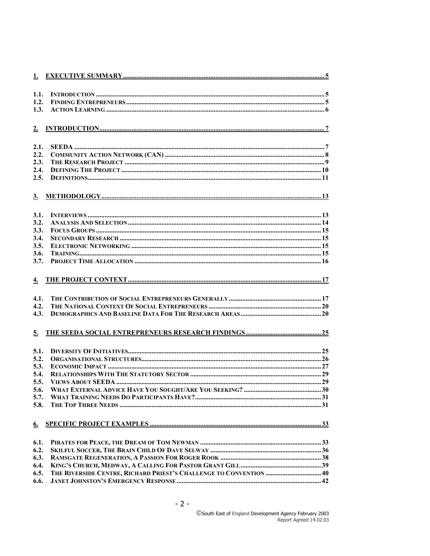| 1.1.      |                                                                    |  |
|-----------|--------------------------------------------------------------------|--|
| 1.2.      |                                                                    |  |
| 1.3.      |                                                                    |  |
|           |                                                                    |  |
|           |                                                                    |  |
|           |                                                                    |  |
|           |                                                                    |  |
| 2.1.      |                                                                    |  |
| 2.2.      |                                                                    |  |
| 2.3.      |                                                                    |  |
| 2.4.      |                                                                    |  |
| 2.5.      |                                                                    |  |
|           |                                                                    |  |
|           |                                                                    |  |
|           |                                                                    |  |
| 3.1.      |                                                                    |  |
| 3.2.      |                                                                    |  |
| 3.3.      |                                                                    |  |
| 3.4.      |                                                                    |  |
| 3.5.      |                                                                    |  |
| 3.6.      |                                                                    |  |
| 3.7.      |                                                                    |  |
|           |                                                                    |  |
|           |                                                                    |  |
| 4.        |                                                                    |  |
|           |                                                                    |  |
| 4.1.      |                                                                    |  |
| 4.2.      |                                                                    |  |
| 4.3.      |                                                                    |  |
|           |                                                                    |  |
| 5.        |                                                                    |  |
|           |                                                                    |  |
| 5.1.      |                                                                    |  |
| 5.2.      |                                                                    |  |
| 5.3.      |                                                                    |  |
| 5.4.      |                                                                    |  |
| 5.5.      |                                                                    |  |
| 5.6.      |                                                                    |  |
| 5.7.      |                                                                    |  |
| 5.8.      |                                                                    |  |
|           |                                                                    |  |
|           |                                                                    |  |
| <u>6.</u> |                                                                    |  |
|           |                                                                    |  |
| 6.1.      |                                                                    |  |
| 6.2.      |                                                                    |  |
| 6.3.      |                                                                    |  |
| 6.4.      |                                                                    |  |
| 6.5.      | THE RIVERSIDE CENTRE, RICHARD PRIEST'S CHALLENGE TO CONVENTION  40 |  |
| 6.6.      |                                                                    |  |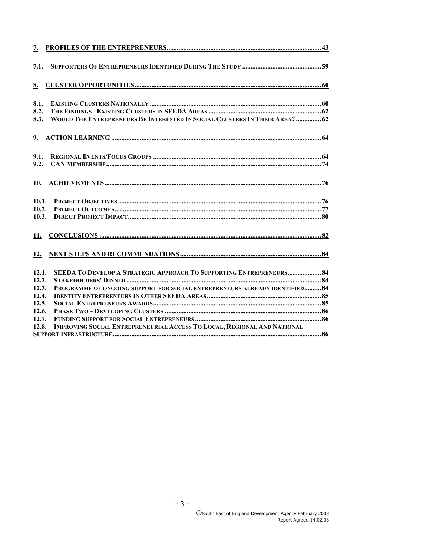| 7.1.           |                                                                             |  |
|----------------|-----------------------------------------------------------------------------|--|
| <u>8.</u>      |                                                                             |  |
| 8.1.           |                                                                             |  |
| 8.2.<br>8.3.   | WOULD THE ENTREPRENEURS BE INTERESTED IN SOCIAL CLUSTERS IN THEIR AREA?  62 |  |
|                |                                                                             |  |
| 9.1.<br>9.2.   |                                                                             |  |
|                |                                                                             |  |
| 10.            |                                                                             |  |
| 10.1.          |                                                                             |  |
| 10.2.<br>10.3. |                                                                             |  |
| <u>11.</u>     |                                                                             |  |
|                |                                                                             |  |
| 12.1.          | <b>SEEDA TO DEVELOP A STRATEGIC APPROACH TO SUPPORTING ENTREPRENEURS 84</b> |  |
| 12.2.<br>12.3. | PROGRAMME OF ONGOING SUPPORT FOR SOCIAL ENTREPRENEURS ALREADY IDENTIFIED 84 |  |
| 12.4.          |                                                                             |  |
| 12.5.          |                                                                             |  |
| 12.6.          |                                                                             |  |
| 12.7.          |                                                                             |  |
| 12.8.          | IMPROVING SOCIAL ENTREPRENEURIAL ACCESS TO LOCAL, REGIONAL AND NATIONAL     |  |
|                |                                                                             |  |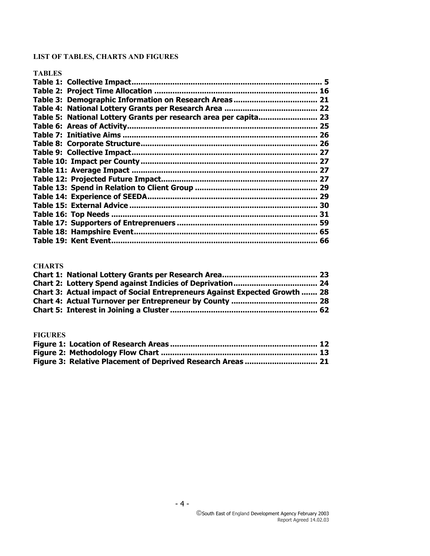## **LIST OF TABLES, CHARTS AND FIGURES**

#### **TABLES**

|                                                               | 5  |
|---------------------------------------------------------------|----|
|                                                               | 16 |
| Table 3: Demographic Information on Research Areas            | 21 |
| Table 4: National Lottery Grants per Research Area.<br>       | 22 |
| Table 5: National Lottery Grants per research area per capita | 23 |
| Table 6: Areas of Activity                                    | 25 |
|                                                               | 26 |
|                                                               | 26 |
|                                                               | 27 |
|                                                               | 27 |
| Table 11: Average Impact.                                     | 27 |
| Table 12: Projected Future Impact                             | 27 |
|                                                               | 29 |
| <b>Table 14: Experience of SEEDA</b>                          | 29 |
|                                                               | 30 |
|                                                               | 31 |
|                                                               | 59 |
| Table 18: Hampshire Event.                                    | 65 |
|                                                               | 66 |
|                                                               |    |

#### **CHARTS**

| Chart 3: Actual impact of Social Entrepreneurs Against Expected Growth  28 |  |
|----------------------------------------------------------------------------|--|
|                                                                            |  |
|                                                                            |  |

#### **FIGURES**

| Figure 3: Relative Placement of Deprived Research Areas  21 |  |
|-------------------------------------------------------------|--|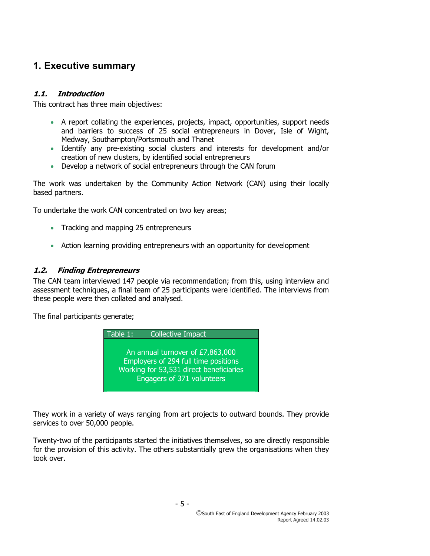## **1. Executive summary**

## **1.1. Introduction**

This contract has three main objectives:

- A report collating the experiences, projects, impact, opportunities, support needs and barriers to success of 25 social entrepreneurs in Dover, Isle of Wight, Medway, Southampton/Portsmouth and Thanet
- Identify any pre-existing social clusters and interests for development and/or creation of new clusters, by identified social entrepreneurs
- Develop a network of social entrepreneurs through the CAN forum

The work was undertaken by the Community Action Network (CAN) using their locally based partners.

To undertake the work CAN concentrated on two key areas;

- Tracking and mapping 25 entrepreneurs
- Action learning providing entrepreneurs with an opportunity for development

## **1.2. Finding Entrepreneurs**

The CAN team interviewed 147 people via recommendation; from this, using interview and assessment techniques, a final team of 25 participants were identified. The interviews from these people were then collated and analysed.

The final participants generate;



They work in a variety of ways ranging from art projects to outward bounds. They provide services to over 50,000 people.

Twenty-two of the participants started the initiatives themselves, so are directly responsible for the provision of this activity. The others substantially grew the organisations when they took over.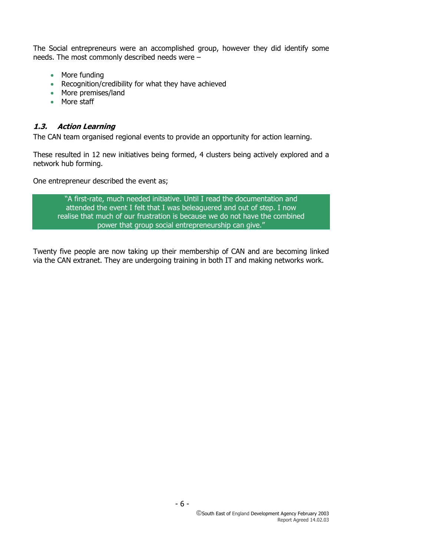The Social entrepreneurs were an accomplished group, however they did identify some needs. The most commonly described needs were –

- More funding
- Recognition/credibility for what they have achieved
- More premises/land
- More staff

#### **1.3. Action Learning**

The CAN team organised regional events to provide an opportunity for action learning.

These resulted in 12 new initiatives being formed, 4 clusters being actively explored and a network hub forming.

One entrepreneur described the event as;

"A first-rate, much needed initiative. Until I read the documentation and attended the event I felt that I was beleaguered and out of step. I now realise that much of our frustration is because we do not have the combined power that group social entrepreneurship can give."

Twenty five people are now taking up their membership of CAN and are becoming linked via the CAN extranet. They are undergoing training in both IT and making networks work.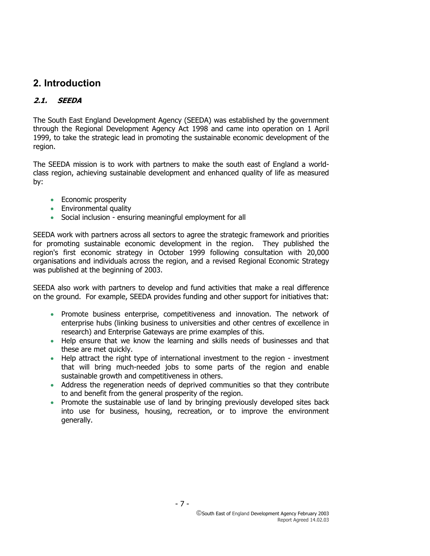## **2. Introduction**

## **2.1. SEEDA**

The South East England Development Agency (SEEDA) was established by the government through the Regional Development Agency Act 1998 and came into operation on 1 April 1999, to take the strategic lead in promoting the sustainable economic development of the region.

The SEEDA mission is to work with partners to make the south east of England a worldclass region, achieving sustainable development and enhanced quality of life as measured by:

- Economic prosperity
- Environmental quality
- Social inclusion ensuring meaningful employment for all

SEEDA work with partners across all sectors to agree the strategic framework and priorities for promoting sustainable economic development in the region. They published the region's first economic strategy in October 1999 following consultation with 20,000 organisations and individuals across the region, and a revised Regional Economic Strategy was published at the beginning of 2003.

SEEDA also work with partners to develop and fund activities that make a real difference on the ground. For example, SEEDA provides funding and other support for initiatives that:

- Promote business enterprise, competitiveness and innovation. The network of enterprise hubs (linking business to universities and other centres of excellence in research) and Enterprise Gateways are prime examples of this.
- Help ensure that we know the learning and skills needs of businesses and that these are met quickly.
- Help attract the right type of international investment to the region investment that will bring much-needed jobs to some parts of the region and enable sustainable growth and competitiveness in others.
- Address the regeneration needs of deprived communities so that they contribute to and benefit from the general prosperity of the region.
- Promote the sustainable use of land by bringing previously developed sites back into use for business, housing, recreation, or to improve the environment generally.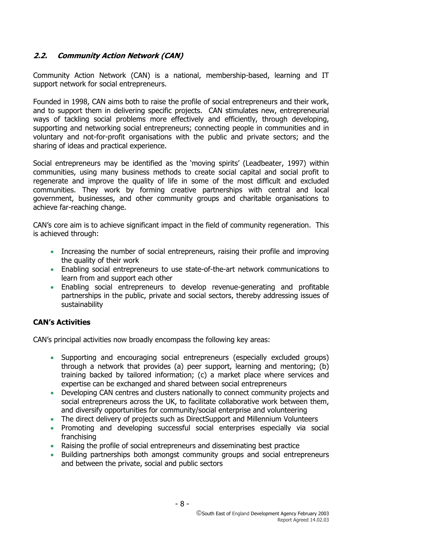## **2.2. Community Action Network (CAN)**

Community Action Network (CAN) is a national, membership-based, learning and IT support network for social entrepreneurs.

Founded in 1998, CAN aims both to raise the profile of social entrepreneurs and their work, and to support them in delivering specific projects. CAN stimulates new, entrepreneurial ways of tackling social problems more effectively and efficiently, through developing, supporting and networking social entrepreneurs; connecting people in communities and in voluntary and not-for-profit organisations with the public and private sectors; and the sharing of ideas and practical experience.

Social entrepreneurs may be identified as the 'moving spirits' (Leadbeater, 1997) within communities, using many business methods to create social capital and social profit to regenerate and improve the quality of life in some of the most difficult and excluded communities. They work by forming creative partnerships with central and local government, businesses, and other community groups and charitable organisations to achieve far-reaching change.

CAN's core aim is to achieve significant impact in the field of community regeneration. This is achieved through:

- Increasing the number of social entrepreneurs, raising their profile and improving the quality of their work
- Enabling social entrepreneurs to use state-of-the-art network communications to learn from and support each other
- Enabling social entrepreneurs to develop revenue-generating and profitable partnerships in the public, private and social sectors, thereby addressing issues of sustainability

#### **CAN's Activities**

CAN's principal activities now broadly encompass the following key areas:

- Supporting and encouraging social entrepreneurs (especially excluded groups) through a network that provides (a) peer support, learning and mentoring; (b) training backed by tailored information; (c) a market place where services and expertise can be exchanged and shared between social entrepreneurs
- Developing CAN centres and clusters nationally to connect community projects and social entrepreneurs across the UK, to facilitate collaborative work between them, and diversify opportunities for community/social enterprise and volunteering
- The direct delivery of projects such as DirectSupport and Millennium Volunteers
- Promoting and developing successful social enterprises especially via social franchising
- Raising the profile of social entrepreneurs and disseminating best practice
- Building partnerships both amongst community groups and social entrepreneurs and between the private, social and public sectors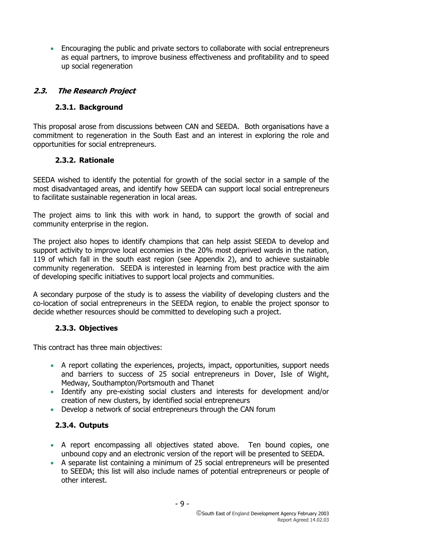• Encouraging the public and private sectors to collaborate with social entrepreneurs as equal partners, to improve business effectiveness and profitability and to speed up social regeneration

## **2.3. The Research Project**

#### **2.3.1. Background**

This proposal arose from discussions between CAN and SEEDA. Both organisations have a commitment to regeneration in the South East and an interest in exploring the role and opportunities for social entrepreneurs.

### **2.3.2. Rationale**

SEEDA wished to identify the potential for growth of the social sector in a sample of the most disadvantaged areas, and identify how SEEDA can support local social entrepreneurs to facilitate sustainable regeneration in local areas.

The project aims to link this with work in hand, to support the growth of social and community enterprise in the region.

The project also hopes to identify champions that can help assist SEEDA to develop and support activity to improve local economies in the 20% most deprived wards in the nation, 119 of which fall in the south east region (see Appendix 2), and to achieve sustainable community regeneration. SEEDA is interested in learning from best practice with the aim of developing specific initiatives to support local projects and communities.

A secondary purpose of the study is to assess the viability of developing clusters and the co-location of social entrepreneurs in the SEEDA region, to enable the project sponsor to decide whether resources should be committed to developing such a project.

## **2.3.3. Objectives**

This contract has three main objectives:

- A report collating the experiences, projects, impact, opportunities, support needs and barriers to success of 25 social entrepreneurs in Dover, Isle of Wight, Medway, Southampton/Portsmouth and Thanet
- Identify any pre-existing social clusters and interests for development and/or creation of new clusters, by identified social entrepreneurs
- Develop a network of social entrepreneurs through the CAN forum

## **2.3.4. Outputs**

- A report encompassing all objectives stated above. Ten bound copies, one unbound copy and an electronic version of the report will be presented to SEEDA.
- A separate list containing a minimum of 25 social entrepreneurs will be presented to SEEDA; this list will also include names of potential entrepreneurs or people of other interest.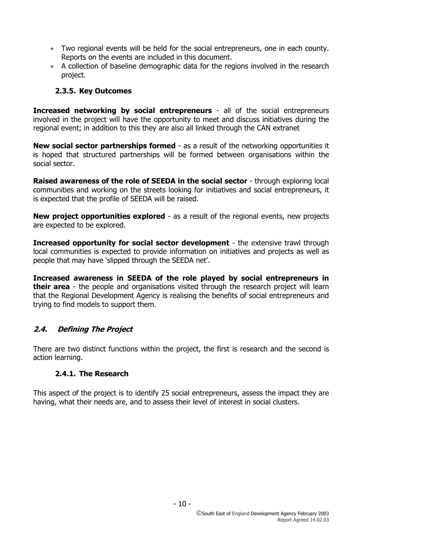- Two regional events will be held for the social entrepreneurs, one in each county. Reports on the events are included in this document.
- A collection of baseline demographic data for the regions involved in the research project.

#### **2.3.5. Key Outcomes**

**Increased networking by social entrepreneurs** - all of the social entrepreneurs involved in the project will have the opportunity to meet and discuss initiatives during the regional event; in addition to this they are also all linked through the CAN extranet

**New social sector partnerships formed** - as a result of the networking opportunities it is hoped that structured partnerships will be formed between organisations within the social sector.

**Raised awareness of the role of SEEDA in the social sector** - through exploring local communities and working on the streets looking for initiatives and social entrepreneurs, it is expected that the profile of SEEDA will be raised.

**New project opportunities explored** - as a result of the regional events, new projects are expected to be explored.

**Increased opportunity for social sector development** - the extensive trawl through local communities is expected to provide information on initiatives and projects as well as people that may have 'slipped through the SEEDA net'.

**Increased awareness in SEEDA of the role played by social entrepreneurs in their area** - the people and organisations visited through the research project will learn that the Regional Development Agency is realising the benefits of social entrepreneurs and trying to find models to support them.

#### **2.4. Defining The Project**

There are two distinct functions within the project, the first is research and the second is action learning.

#### **2.4.1. The Research**

This aspect of the project is to identify 25 social entrepreneurs, assess the impact they are having, what their needs are, and to assess their level of interest in social clusters.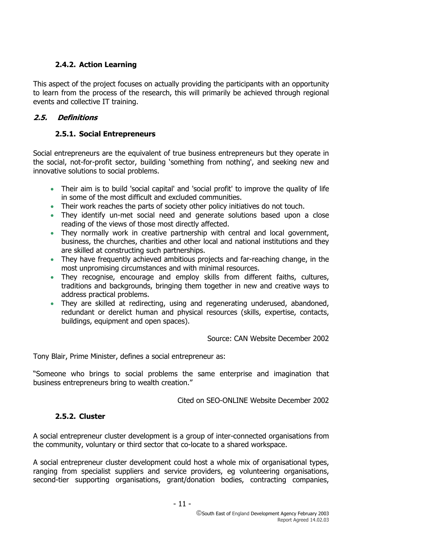## **2.4.2. Action Learning**

This aspect of the project focuses on actually providing the participants with an opportunity to learn from the process of the research, this will primarily be achieved through regional events and collective IT training.

### **2.5. Definitions**

## **2.5.1. Social Entrepreneurs**

Social entrepreneurs are the equivalent of true business entrepreneurs but they operate in the social, not-for-profit sector, building 'something from nothing', and seeking new and innovative solutions to social problems.

- Their aim is to build 'social capital' and 'social profit' to improve the quality of life in some of the most difficult and excluded communities.
- Their work reaches the parts of society other policy initiatives do not touch.
- They identify un-met social need and generate solutions based upon a close reading of the views of those most directly affected.
- They normally work in creative partnership with central and local government, business, the churches, charities and other local and national institutions and they are skilled at constructing such partnerships.
- They have frequently achieved ambitious projects and far-reaching change, in the most unpromising circumstances and with minimal resources.
- They recognise, encourage and employ skills from different faiths, cultures, traditions and backgrounds, bringing them together in new and creative ways to address practical problems.
- They are skilled at redirecting, using and regenerating underused, abandoned, redundant or derelict human and physical resources (skills, expertise, contacts, buildings, equipment and open spaces).

Source: CAN Website December 2002

Tony Blair, Prime Minister, defines a social entrepreneur as:

"Someone who brings to social problems the same enterprise and imagination that business entrepreneurs bring to wealth creation."

Cited on SEO-ONLINE Website December 2002

#### **2.5.2. Cluster**

A social entrepreneur cluster development is a group of inter-connected organisations from the community, voluntary or third sector that co-locate to a shared workspace.

A social entrepreneur cluster development could host a whole mix of organisational types, ranging from specialist suppliers and service providers, eg volunteering organisations, second-tier supporting organisations, grant/donation bodies, contracting companies,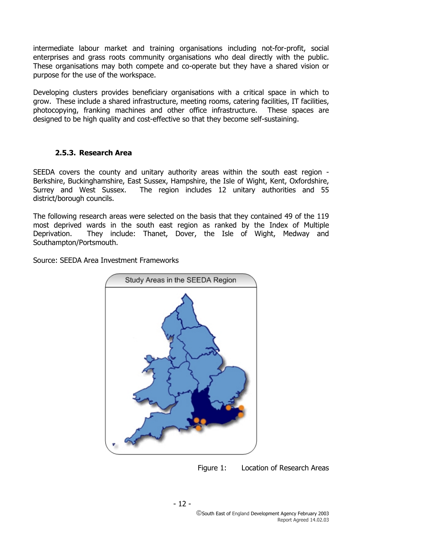intermediate labour market and training organisations including not-for-profit, social enterprises and grass roots community organisations who deal directly with the public. These organisations may both compete and co-operate but they have a shared vision or purpose for the use of the workspace.

Developing clusters provides beneficiary organisations with a critical space in which to grow. These include a shared infrastructure, meeting rooms, catering facilities, IT facilities, photocopying, franking machines and other office infrastructure. These spaces are designed to be high quality and cost-effective so that they become self-sustaining.

#### **2.5.3. Research Area**

SEEDA covers the county and unitary authority areas within the south east region - Berkshire, Buckinghamshire, East Sussex, Hampshire, the Isle of Wight, Kent, Oxfordshire, Surrey and West Sussex. The region includes 12 unitary authorities and 55 district/borough councils.

The following research areas were selected on the basis that they contained 49 of the 119 most deprived wards in the south east region as ranked by the Index of Multiple Deprivation. They include: Thanet, Dover, the Isle of Wight, Medway and Southampton/Portsmouth.

Source: SEEDA Area Investment Frameworks



Figure 1: Location of Research Areas

- 12 -

South East of England Development Agency February 2003 Report Agreed 14.02.03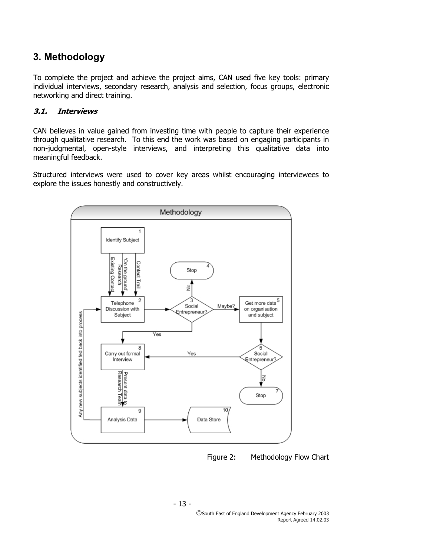## **3. Methodology**

To complete the project and achieve the project aims, CAN used five key tools: primary individual interviews, secondary research, analysis and selection, focus groups, electronic networking and direct training.

### **3.1. Interviews**

CAN believes in value gained from investing time with people to capture their experience through qualitative research. To this end the work was based on engaging participants in non-judgmental, open-style interviews, and interpreting this qualitative data into meaningful feedback.

Structured interviews were used to cover key areas whilst encouraging interviewees to explore the issues honestly and constructively.



Figure 2: Methodology Flow Chart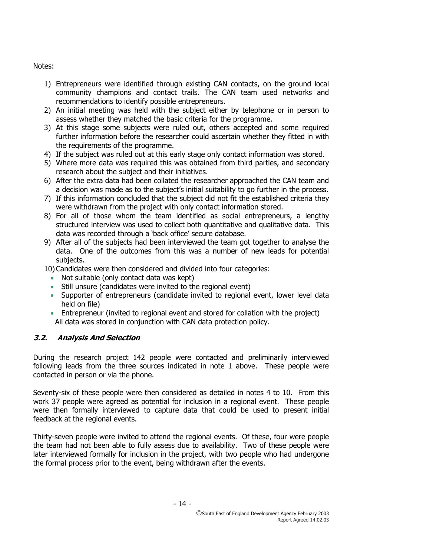Notes:

- 1) Entrepreneurs were identified through existing CAN contacts, on the ground local community champions and contact trails. The CAN team used networks and recommendations to identify possible entrepreneurs.
- 2) An initial meeting was held with the subject either by telephone or in person to assess whether they matched the basic criteria for the programme.
- 3) At this stage some subjects were ruled out, others accepted and some required further information before the researcher could ascertain whether they fitted in with the requirements of the programme.
- 4) If the subject was ruled out at this early stage only contact information was stored.
- 5) Where more data was required this was obtained from third parties, and secondary research about the subject and their initiatives.
- 6) After the extra data had been collated the researcher approached the CAN team and a decision was made as to the subject's initial suitability to go further in the process.
- 7) If this information concluded that the subject did not fit the established criteria they were withdrawn from the project with only contact information stored.
- 8) For all of those whom the team identified as social entrepreneurs, a lengthy structured interview was used to collect both quantitative and qualitative data. This data was recorded through a 'back office' secure database.
- 9) After all of the subjects had been interviewed the team got together to analyse the data. One of the outcomes from this was a number of new leads for potential subjects.

10) Candidates were then considered and divided into four categories:

- Not suitable (only contact data was kept)
- Still unsure (candidates were invited to the regional event)
- Supporter of entrepreneurs (candidate invited to regional event, lower level data held on file)
- Entrepreneur (invited to regional event and stored for collation with the project) All data was stored in conjunction with CAN data protection policy.

## **3.2. Analysis And Selection**

During the research project 142 people were contacted and preliminarily interviewed following leads from the three sources indicated in note 1 above. These people were contacted in person or via the phone.

Seventy-six of these people were then considered as detailed in notes 4 to 10. From this work 37 people were agreed as potential for inclusion in a regional event. These people were then formally interviewed to capture data that could be used to present initial feedback at the regional events.

Thirty-seven people were invited to attend the regional events. Of these, four were people the team had not been able to fully assess due to availability. Two of these people were later interviewed formally for inclusion in the project, with two people who had undergone the formal process prior to the event, being withdrawn after the events.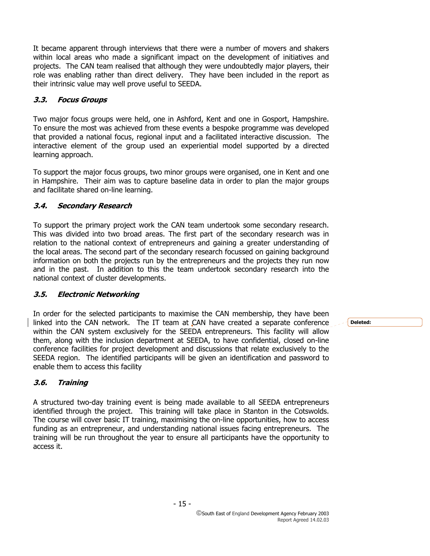It became apparent through interviews that there were a number of movers and shakers within local areas who made a significant impact on the development of initiatives and projects. The CAN team realised that although they were undoubtedly major players, their role was enabling rather than direct delivery. They have been included in the report as their intrinsic value may well prove useful to SEEDA.

## **3.3. Focus Groups**

Two major focus groups were held, one in Ashford, Kent and one in Gosport, Hampshire. To ensure the most was achieved from these events a bespoke programme was developed that provided a national focus, regional input and a facilitated interactive discussion. The interactive element of the group used an experiential model supported by a directed learning approach.

To support the major focus groups, two minor groups were organised, one in Kent and one in Hampshire. Their aim was to capture baseline data in order to plan the major groups and facilitate shared on-line learning.

## **3.4. Secondary Research**

To support the primary project work the CAN team undertook some secondary research. This was divided into two broad areas. The first part of the secondary research was in relation to the national context of entrepreneurs and gaining a greater understanding of the local areas. The second part of the secondary research focussed on gaining background information on both the projects run by the entrepreneurs and the projects they run now and in the past. In addition to this the team undertook secondary research into the national context of cluster developments.

## **3.5. Electronic Networking**

In order for the selected participants to maximise the CAN membership, they have been linked into the CAN network. The IT team at CAN have created a separate conference within the CAN system exclusively for the SEEDA entrepreneurs. This facility will allow them, along with the inclusion department at SEEDA, to have confidential, closed on-line conference facilities for project development and discussions that relate exclusively to the SEEDA region. The identified participants will be given an identification and password to enable them to access this facility

## **3.6. Training**

A structured two-day training event is being made available to all SEEDA entrepreneurs identified through the project. This training will take place in Stanton in the Cotswolds. The course will cover basic IT training, maximising the on-line opportunities, how to access funding as an entrepreneur, and understanding national issues facing entrepreneurs. The training will be run throughout the year to ensure all participants have the opportunity to access it.

**Deleted:**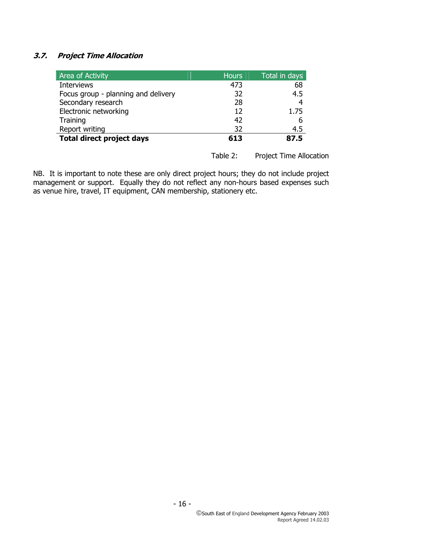## **3.7. Project Time Allocation**

| Area of Activity                    | <b>Hours</b> | Total in days |
|-------------------------------------|--------------|---------------|
| <b>Interviews</b>                   | 473          | 68            |
| Focus group - planning and delivery | 32           | 4.5           |
| Secondary research                  | 28           | 4             |
| Electronic networking               | 12           | 1.75          |
| Training                            | 42           | 6             |
| Report writing                      | 32           | 4.5           |
| <b>Total direct project days</b>    | 613          | 87.5          |

Table 2: Project Time Allocation

NB. It is important to note these are only direct project hours; they do not include project management or support. Equally they do not reflect any non-hours based expenses such as venue hire, travel, IT equipment, CAN membership, stationery etc.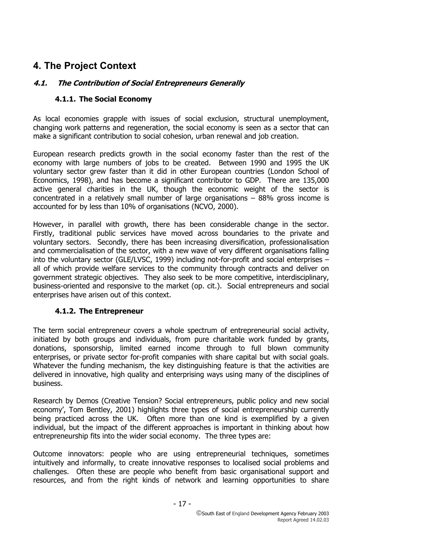## **4. The Project Context**

## **4.1. The Contribution of Social Entrepreneurs Generally**

## **4.1.1. The Social Economy**

As local economies grapple with issues of social exclusion, structural unemployment, changing work patterns and regeneration, the social economy is seen as a sector that can make a significant contribution to social cohesion, urban renewal and job creation.

European research predicts growth in the social economy faster than the rest of the economy with large numbers of jobs to be created. Between 1990 and 1995 the UK voluntary sector grew faster than it did in other European countries (London School of Economics, 1998), and has become a significant contributor to GDP. There are 135,000 active general charities in the UK, though the economic weight of the sector is concentrated in a relatively small number of large organisations  $-88%$  gross income is accounted for by less than 10% of organisations (NCVO, 2000).

However, in parallel with growth, there has been considerable change in the sector. Firstly, traditional public services have moved across boundaries to the private and voluntary sectors. Secondly, there has been increasing diversification, professionalisation and commercialisation of the sector, with a new wave of very different organisations falling into the voluntary sector (GLE/LVSC, 1999) including not-for-profit and social enterprises – all of which provide welfare services to the community through contracts and deliver on government strategic objectives. They also seek to be more competitive, interdisciplinary, business-oriented and responsive to the market (op. cit.). Social entrepreneurs and social enterprises have arisen out of this context.

## **4.1.2. The Entrepreneur**

The term social entrepreneur covers a whole spectrum of entrepreneurial social activity, initiated by both groups and individuals, from pure charitable work funded by grants, donations, sponsorship, limited earned income through to full blown community enterprises, or private sector for-profit companies with share capital but with social goals. Whatever the funding mechanism, the key distinguishing feature is that the activities are delivered in innovative, high quality and enterprising ways using many of the disciplines of business.

Research by Demos (Creative Tension? Social entrepreneurs, public policy and new social economy', Tom Bentley, 2001) highlights three types of social entrepreneurship currently being practiced across the UK. Often more than one kind is exemplified by a given individual, but the impact of the different approaches is important in thinking about how entrepreneurship fits into the wider social economy. The three types are:

Outcome innovators: people who are using entrepreneurial techniques, sometimes intuitively and informally, to create innovative responses to localised social problems and challenges. Often these are people who benefit from basic organisational support and resources, and from the right kinds of network and learning opportunities to share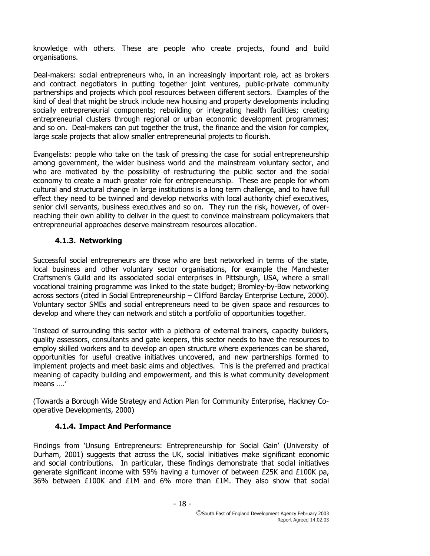knowledge with others. These are people who create projects, found and build organisations.

Deal-makers: social entrepreneurs who, in an increasingly important role, act as brokers and contract negotiators in putting together joint ventures, public-private community partnerships and projects which pool resources between different sectors. Examples of the kind of deal that might be struck include new housing and property developments including socially entrepreneurial components; rebuilding or integrating health facilities; creating entrepreneurial clusters through regional or urban economic development programmes; and so on. Deal-makers can put together the trust, the finance and the vision for complex, large scale projects that allow smaller entrepreneurial projects to flourish.

Evangelists: people who take on the task of pressing the case for social entrepreneurship among government, the wider business world and the mainstream voluntary sector, and who are motivated by the possibility of restructuring the public sector and the social economy to create a much greater role for entrepreneurship. These are people for whom cultural and structural change in large institutions is a long term challenge, and to have full effect they need to be twinned and develop networks with local authority chief executives, senior civil servants, business executives and so on. They run the risk, however, of overreaching their own ability to deliver in the quest to convince mainstream policymakers that entrepreneurial approaches deserve mainstream resources allocation.

#### **4.1.3. Networking**

Successful social entrepreneurs are those who are best networked in terms of the state, local business and other voluntary sector organisations, for example the Manchester Craftsmen's Guild and its associated social enterprises in Pittsburgh, USA, where a small vocational training programme was linked to the state budget; Bromley-by-Bow networking across sectors (cited in Social Entrepreneurship – Clifford Barclay Enterprise Lecture, 2000). Voluntary sector SMEs and social entrepreneurs need to be given space and resources to develop and where they can network and stitch a portfolio of opportunities together.

'Instead of surrounding this sector with a plethora of external trainers, capacity builders, quality assessors, consultants and gate keepers, this sector needs to have the resources to employ skilled workers and to develop an open structure where experiences can be shared, opportunities for useful creative initiatives uncovered, and new partnerships formed to implement projects and meet basic aims and objectives. This is the preferred and practical meaning of capacity building and empowerment, and this is what community development means ….'

(Towards a Borough Wide Strategy and Action Plan for Community Enterprise, Hackney Cooperative Developments, 2000)

#### **4.1.4. Impact And Performance**

Findings from 'Unsung Entrepreneurs: Entrepreneurship for Social Gain' (University of Durham, 2001) suggests that across the UK, social initiatives make significant economic and social contributions. In particular, these findings demonstrate that social initiatives generate significant income with 59% having a turnover of between £25K and £100K pa, 36% between £100K and £1M and 6% more than £1M. They also show that social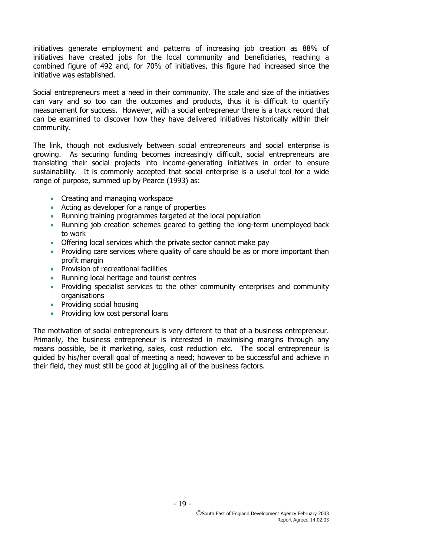initiatives generate employment and patterns of increasing job creation as 88% of initiatives have created jobs for the local community and beneficiaries, reaching a combined figure of 492 and, for 70% of initiatives, this figure had increased since the initiative was established.

Social entrepreneurs meet a need in their community. The scale and size of the initiatives can vary and so too can the outcomes and products, thus it is difficult to quantify measurement for success. However, with a social entrepreneur there is a track record that can be examined to discover how they have delivered initiatives historically within their community.

The link, though not exclusively between social entrepreneurs and social enterprise is growing. As securing funding becomes increasingly difficult, social entrepreneurs are translating their social projects into income-generating initiatives in order to ensure sustainability. It is commonly accepted that social enterprise is a useful tool for a wide range of purpose, summed up by Pearce (1993) as:

- Creating and managing workspace
- Acting as developer for a range of properties
- Running training programmes targeted at the local population
- Running job creation schemes geared to getting the long-term unemployed back to work
- Offering local services which the private sector cannot make pay
- Providing care services where quality of care should be as or more important than profit margin
- Provision of recreational facilities
- Running local heritage and tourist centres
- Providing specialist services to the other community enterprises and community organisations
- Providing social housing
- Providing low cost personal loans

The motivation of social entrepreneurs is very different to that of a business entrepreneur. Primarily, the business entrepreneur is interested in maximising margins through any means possible, be it marketing, sales, cost reduction etc. The social entrepreneur is guided by his/her overall goal of meeting a need; however to be successful and achieve in their field, they must still be good at juggling all of the business factors.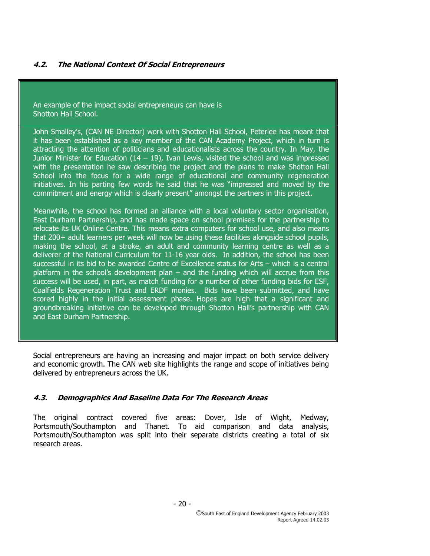An example of the impact social entrepreneurs can have is Shotton Hall School.

John Smalley's, (CAN NE Director) work with Shotton Hall School, Peterlee has meant that it has been established as a key member of the CAN Academy Project, which in turn is attracting the attention of politicians and educationalists across the country. In May, the Junior Minister for Education  $(14 - 19)$ , Ivan Lewis, visited the school and was impressed with the presentation he saw describing the project and the plans to make Shotton Hall School into the focus for a wide range of educational and community regeneration initiatives. In his parting few words he said that he was "impressed and moved by the commitment and energy which is clearly present" amongst the partners in this project.

Meanwhile, the school has formed an alliance with a local voluntary sector organisation, East Durham Partnership, and has made space on school premises for the partnership to relocate its UK Online Centre. This means extra computers for school use, and also means that 200+ adult learners per week will now be using these facilities alongside school pupils, making the school, at a stroke, an adult and community learning centre as well as a deliverer of the National Curriculum for 11-16 year olds. In addition, the school has been successful in its bid to be awarded Centre of Excellence status for Arts – which is a central platform in the school's development plan – and the funding which will accrue from this success will be used, in part, as match funding for a number of other funding bids for ESF, Coalfields Regeneration Trust and ERDF monies. Bids have been submitted, and have scored highly in the initial assessment phase. Hopes are high that a significant and groundbreaking initiative can be developed through Shotton Hall's partnership with CAN and East Durham Partnership.

Social entrepreneurs are having an increasing and major impact on both service delivery and economic growth. The CAN web site highlights the range and scope of initiatives being delivered by entrepreneurs across the UK.

#### **4.3. Demographics And Baseline Data For The Research Areas**

The original contract covered five areas: Dover, Isle of Wight, Medway, Portsmouth/Southampton and Thanet. To aid comparison and data analysis, Portsmouth/Southampton was split into their separate districts creating a total of six research areas.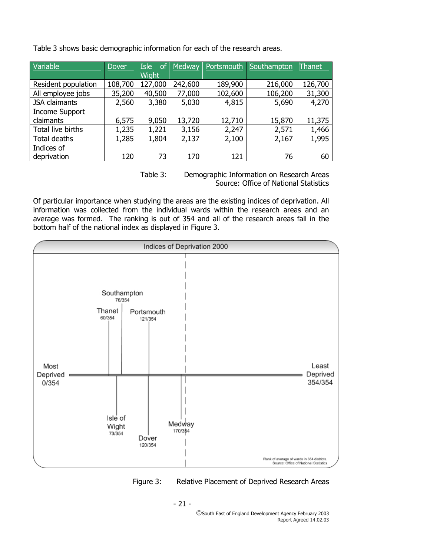| Variable              | <b>Dover</b> | <b>Isle</b><br><b>of</b> | Medway  | Portsmouth | Southampton | Thanet  |
|-----------------------|--------------|--------------------------|---------|------------|-------------|---------|
|                       |              | <b>Wight</b>             |         |            |             |         |
| Resident population   | 108,700      | 127,000                  | 242,600 | 189,900    | 216,000     | 126,700 |
| All employee jobs     | 35,200       | 40,500                   | 77,000  | 102,600    | 106,200     | 31,300  |
| <b>JSA</b> claimants  | 2,560        | 3,380                    | 5,030   | 4,815      | 5,690       | 4,270   |
| <b>Income Support</b> |              |                          |         |            |             |         |
| claimants             | 6,575        | 9,050                    | 13,720  | 12,710     | 15,870      | 11,375  |
| Total live births     | 1,235        | 1,221                    | 3,156   | 2,247      | 2,571       | 1,466   |
| Total deaths          | 1,285        | 1,804                    | 2,137   | 2,100      | 2,167       | 1,995   |
| Indices of            |              |                          |         |            |             |         |
| deprivation           | 120          | 73                       | 170     | 121        | 76          | 60      |

Table 3 shows basic demographic information for each of the research areas.

Table 3: Demographic Information on Research Areas Source: Office of National Statistics

Of particular importance when studying the areas are the existing indices of deprivation. All information was collected from the individual wards within the research areas and an average was formed. The ranking is out of 354 and all of the research areas fall in the bottom half of the national index as displayed in Figure 3.



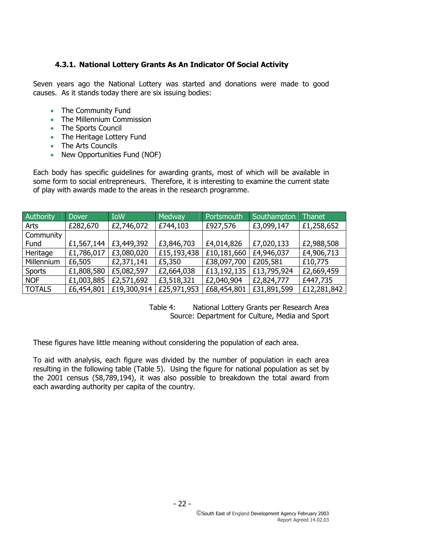## **4.3.1. National Lottery Grants As An Indicator Of Social Activity**

Seven years ago the National Lottery was started and donations were made to good causes. As it stands today there are six issuing bodies:

- The Community Fund
- The Millennium Commission
- The Sports Council
- The Heritage Lottery Fund
- The Arts Councils
- New Opportunities Fund (NOF)

Each body has specific guidelines for awarding grants, most of which will be available in some form to social entrepreneurs. Therefore, it is interesting to examine the current state of play with awards made to the areas in the research programme.

| Authority     | <b>Dover</b> | <b>IoW</b>  | Medway      | Portsmouth  | Southampton | Thanet      |
|---------------|--------------|-------------|-------------|-------------|-------------|-------------|
| Arts          | £282,670     | £2,746,072  | £744,103    | £927,576    | £3,099,147  | £1,258,652  |
| Community     |              |             |             |             |             |             |
| Fund          | £1,567,144   | £3,449,392  | £3,846,703  | £4,014,826  | £7,020,133  | £2,988,508  |
| Heritage      | £1,786,017   | £3,080,020  | £15,193,438 | £10,181,660 | £4,946,037  | £4,906,713  |
| Millennium    | £6,505       | £2,371,141  | £5,350      | £38,097,700 | £205,581    | £10,775     |
| <b>Sports</b> | £1,808,580   | £5,082,597  | £2,664,038  | £13,192,135 | £13,795,924 | £2,669,459  |
| <b>NOF</b>    | £1,003,885   | £2,571,692  | £3,518,321  | £2,040,904  | £2,824,777  | £447,735    |
| <b>TOTALS</b> | £6,454,801   | £19,300,914 | £25,971,953 | £68,454,801 | £31,891,599 | £12,281,842 |

Table 4: National Lottery Grants per Research Area Source: Department for Culture, Media and Sport

These figures have little meaning without considering the population of each area.

To aid with analysis, each figure was divided by the number of population in each area resulting in the following table (Table 5). Using the figure for national population as set by the 2001 census (58,789,194), it was also possible to breakdown the total award from each awarding authority per capita of the country.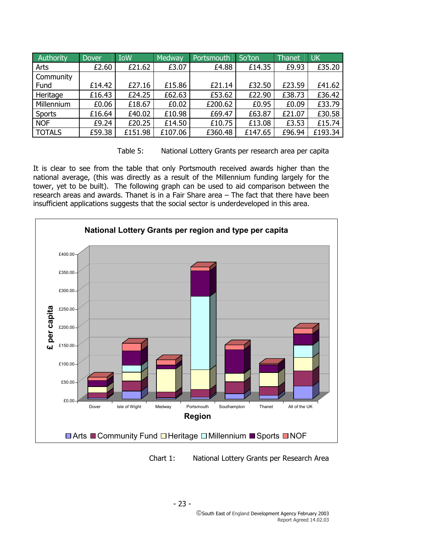| Authority     | <b>Dover</b> | <b>IoW</b> | Medway  | Portsmouth | So'ton  | Thanet | <b>UK</b> |
|---------------|--------------|------------|---------|------------|---------|--------|-----------|
| Arts          | £2.60        | £21.62     | £3.07   | £4.88      | £14.35  | £9.93  | £35.20    |
| Community     |              |            |         |            |         |        |           |
| Fund          | £14.42       | £27.16     | £15.86  | £21.14     | £32.50  | £23.59 | £41.62    |
| Heritage      | £16.43       | £24.25     | £62.63  | £53.62     | £22.90  | £38.73 | £36.42    |
| Millennium    | £0.06        | £18.67     | £0.02   | £200.62    | £0.95   | £0.09  | £33.79    |
| Sports        | £16.64       | £40.02     | £10.98  | £69.47     | £63.87  | £21.07 | £30.58    |
| <b>NOF</b>    | £9.24        | £20.25     | £14.50  | £10.75     | £13.08  | £3.53  | £15.74    |
| <b>TOTALS</b> | £59.38       | £151.98    | £107.06 | £360.48    | £147.65 | £96.94 | £193.34   |



It is clear to see from the table that only Portsmouth received awards higher than the national average, (this was directly as a result of the Millennium funding largely for the tower, yet to be built). The following graph can be used to aid comparison between the research areas and awards. Thanet is in a Fair Share area – The fact that there have been insufficient applications suggests that the social sector is underdeveloped in this area.



Chart 1: National Lottery Grants per Research Area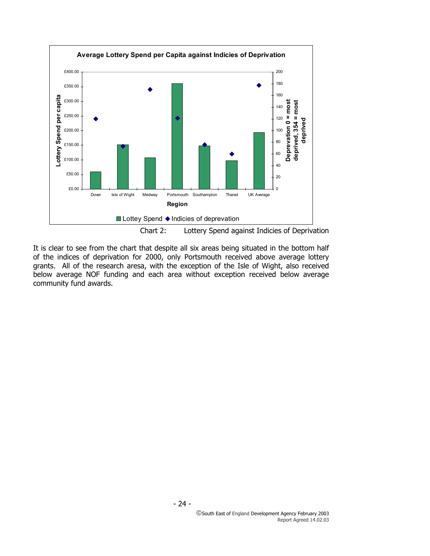

Chart 2: Lottery Spend against Indicies of Deprivation

It is clear to see from the chart that despite all six areas being situated in the bottom half of the indices of deprivation for 2000, only Portsmouth received above average lottery grants. All of the research aresa, with the exception of the Isle of Wight, also received below average NOF funding and each area without exception received below average community fund awards.

- 24 -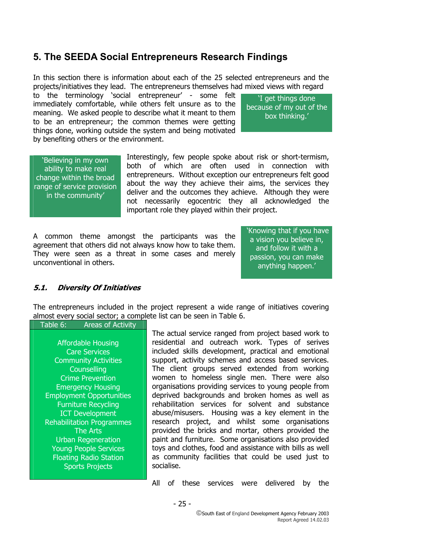## **5. The SEEDA Social Entrepreneurs Research Findings**

In this section there is information about each of the 25 selected entrepreneurs and the projects/initiatives they lead. The entrepreneurs themselves had mixed views with regard

to the terminology 'social entrepreneur' - some felt immediately comfortable, while others felt unsure as to the meaning. We asked people to describe what it meant to them to be an entrepreneur; the common themes were getting things done, working outside the system and being motivated by benefiting others or the environment.

'I get things done because of my out of the box thinking.'

'Believing in my own ability to make real change within the broad range of service provision in the community'

Interestingly, few people spoke about risk or short-termism, both of which are often used in connection with entrepreneurs. Without exception our entrepreneurs felt good about the way they achieve their aims, the services they deliver and the outcomes they achieve. Although they were not necessarily egocentric they all acknowledged the important role they played within their project.

A common theme amongst the participants was the agreement that others did not always know how to take them. They were seen as a threat in some cases and merely unconventional in others.

 'Knowing that if you have a vision you believe in, and follow it with a passion, you can make anything happen.'

#### **5.1. Diversity Of Initiatives**

The entrepreneurs included in the project represent a wide range of initiatives covering almost every social sector; a complete list can be seen in Table 6.

#### Table 6: Areas of Activity

Affordable Housing Care Services Community Activities **Counselling** Crime Prevention Emergency Housing Employment Opportunities Furniture Recycling ICT Development Rehabilitation Programmes The Arts Urban Regeneration Young People Services Floating Radio Station Sports Projects

The actual service ranged from project based work to residential and outreach work. Types of serives included skills development, practical and emotional support, activity schemes and access based services. The client groups served extended from working women to homeless single men. There were also organisations providing services to young people from deprived backgrounds and broken homes as well as rehabilitation services for solvent and substance abuse/misusers. Housing was a key element in the research project, and whilst some organisations provided the bricks and mortar, others provided the paint and furniture. Some organisations also provided toys and clothes, food and assistance with bills as well as community facilities that could be used just to socialise.

All of these services were delivered by the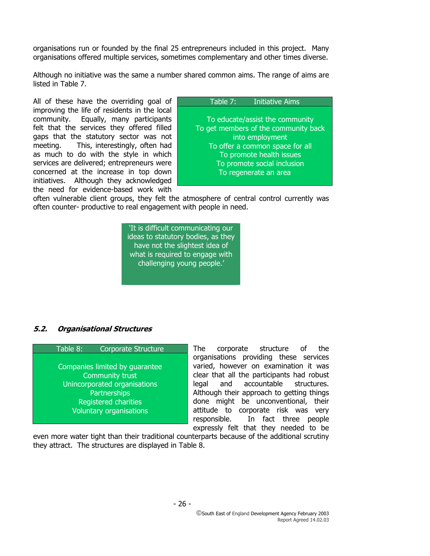organisations run or founded by the final 25 entrepreneurs included in this project. Many organisations offered multiple services, sometimes complementary and other times diverse.

Although no initiative was the same a number shared common aims. The range of aims are listed in Table 7.

All of these have the overriding goal of improving the life of residents in the local community. Equally, many participants felt that the services they offered filled gaps that the statutory sector was not meeting. This, interestingly, often had as much to do with the style in which services are delivered; entrepreneurs were concerned at the increase in top down initiatives. Although they acknowledged the need for evidence-based work with

#### Table 7: Initiative Aims

To educate/assist the community To get members of the community back into employment To offer a common space for all To promote health issues To promote social inclusion To regenerate an area

often vulnerable client groups, they felt the atmosphere of central control currently was often counter- productive to real engagement with people in need.

> 'It is difficult communicating our ideas to statutory bodies, as they have not the slightest idea of what is required to engage with challenging young people.'

#### **5.2. Organisational Structures**

Table 8: Corporate Structure

Companies limited by guarantee Community trust Unincorporated organisations Partnerships Registered charities Voluntary organisations

The corporate structure of the organisations providing these services varied, however on examination it was clear that all the participants had robust legal and accountable structures. Although their approach to getting things done might be unconventional, their attitude to corporate risk was very responsible. In fact three people expressly felt that they needed to be

even more water tight than their traditional counterparts because of the additional scrutiny they attract. The structures are displayed in Table 8.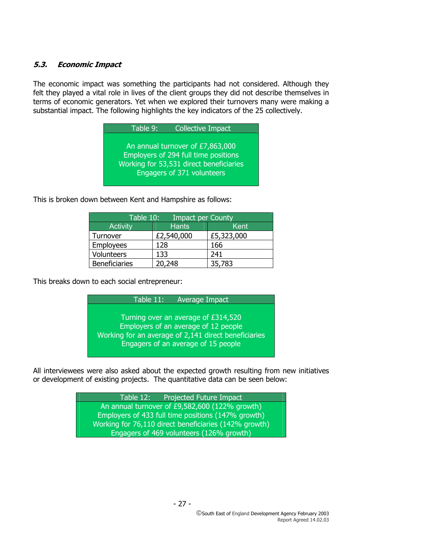### **5.3. Economic Impact**

The economic impact was something the participants had not considered. Although they felt they played a vital role in lives of the client groups they did not describe themselves in terms of economic generators. Yet when we explored their turnovers many were making a substantial impact. The following highlights the key indicators of the 25 collectively.

| Table 9: | <b>Collective Impact</b>                                                                                                                          |
|----------|---------------------------------------------------------------------------------------------------------------------------------------------------|
|          | An annual turnover of £7,863,000<br>Employers of 294 full time positions<br>Working for 53,531 direct beneficiaries<br>Engagers of 371 volunteers |

This is broken down between Kent and Hampshire as follows:

| Table 10:<br><b>Impact per County</b> |              |            |  |  |  |  |
|---------------------------------------|--------------|------------|--|--|--|--|
| <b>Activity</b>                       | <b>Hants</b> | Kent       |  |  |  |  |
| Turnover                              | £2,540,000   | £5,323,000 |  |  |  |  |
| Employees                             | 128          | 166        |  |  |  |  |
| Volunteers                            | 133          | 241        |  |  |  |  |
| <b>Beneficiaries</b>                  | 20,248       | 35,783     |  |  |  |  |

This breaks down to each social entrepreneur:

| Table 11:<br><b>Average Impact</b>                   |
|------------------------------------------------------|
|                                                      |
| Turning over an average of £314,520                  |
| Employers of an average of 12 people                 |
| Working for an average of 2,141 direct beneficiaries |
| Engagers of an average of 15 people                  |
|                                                      |

All interviewees were also asked about the expected growth resulting from new initiatives or development of existing projects. The quantitative data can be seen below:

> Table 12: Projected Future Impact An annual turnover of £9,582,600 (122% growth) Employers of 433 full time positions (147% growth) Working for 76,110 direct beneficiaries (142% growth) Engagers of 469 volunteers (126% growth)

> > - 27 -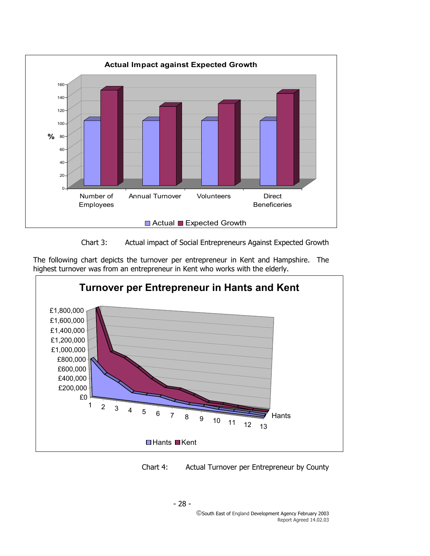



The following chart depicts the turnover per entrepreneur in Kent and Hampshire. The highest turnover was from an entrepreneur in Kent who works with the elderly.





- 28 -

South East of England Development Agency February 2003 Report Agreed 14.02.03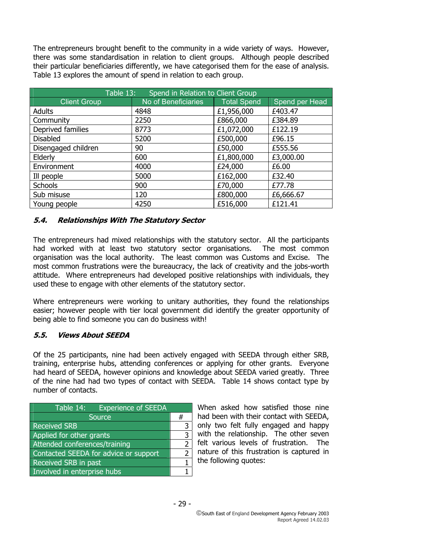The entrepreneurs brought benefit to the community in a wide variety of ways. However, there was some standardisation in relation to client groups. Although people described their particular beneficiaries differently, we have categorised them for the ease of analysis. Table 13 explores the amount of spend in relation to each group.

| Spend in Relation to Client Group<br>Table 13: |                     |                    |                |  |  |  |
|------------------------------------------------|---------------------|--------------------|----------------|--|--|--|
| <b>Client Group</b>                            | No of Beneficiaries | <b>Total Spend</b> | Spend per Head |  |  |  |
| <b>Adults</b>                                  | 4848                | £1,956,000         | £403.47        |  |  |  |
| Community                                      | 2250                | £866,000           | £384.89        |  |  |  |
| Deprived families                              | 8773                | £1,072,000         | £122.19        |  |  |  |
| <b>Disabled</b>                                | 5200                | £500,000           | £96.15         |  |  |  |
| Disengaged children                            | 90                  | £50,000            | £555.56        |  |  |  |
| Elderly                                        | 600                 | £1,800,000         | £3,000.00      |  |  |  |
| Environment                                    | 4000                | £24,000            | £6.00          |  |  |  |
| Ill people                                     | 5000                | £162,000           | £32.40         |  |  |  |
| <b>Schools</b>                                 | 900                 | £70,000            | £77.78         |  |  |  |
| Sub misuse                                     | 120                 | £800,000           | £6,666.67      |  |  |  |
| Young people                                   | 4250                | £516,000           | £121.41        |  |  |  |

#### **5.4. Relationships With The Statutory Sector**

The entrepreneurs had mixed relationships with the statutory sector. All the participants had worked with at least two statutory sector organisations. The most common organisation was the local authority. The least common was Customs and Excise. The most common frustrations were the bureaucracy, the lack of creativity and the jobs-worth attitude. Where entrepreneurs had developed positive relationships with individuals, they used these to engage with other elements of the statutory sector.

Where entrepreneurs were working to unitary authorities, they found the relationships easier; however people with tier local government did identify the greater opportunity of being able to find someone you can do business with!

#### **5.5. Views About SEEDA**

Of the 25 participants, nine had been actively engaged with SEEDA through either SRB, training, enterprise hubs, attending conferences or applying for other grants. Everyone had heard of SEEDA, however opinions and knowledge about SEEDA varied greatly. Three of the nine had had two types of contact with SEEDA. Table 14 shows contact type by number of contacts.

| <b>Experience of SEEDA</b><br>Table 14: |  |  |
|-----------------------------------------|--|--|
| <b>Source</b>                           |  |  |
| <b>Received SRB</b>                     |  |  |
| Applied for other grants                |  |  |
| Attended conferences/training           |  |  |
| Contacted SEEDA for advice or support   |  |  |
| Received SRB in past                    |  |  |
| Involved in enterprise hubs             |  |  |

When asked how satisfied those nine had been with their contact with SEEDA, only two felt fully engaged and happy with the relationship. The other seven felt various levels of frustration. The nature of this frustration is captured in the following quotes: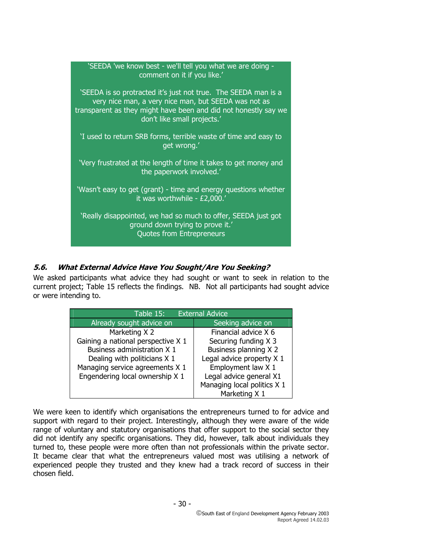| 'SEEDA 'we know best - we'll tell you what we are doing -<br>comment on it if you like.'                                                                                                                                 |  |  |  |  |  |
|--------------------------------------------------------------------------------------------------------------------------------------------------------------------------------------------------------------------------|--|--|--|--|--|
| 'SEEDA is so protracted it's just not true. The SEEDA man is a<br>very nice man, a very nice man, but SEEDA was not as<br>transparent as they might have been and did not honestly say we<br>don't like small projects.' |  |  |  |  |  |
| 'I used to return SRB forms, terrible waste of time and easy to<br>get wrong.'                                                                                                                                           |  |  |  |  |  |
| 'Very frustrated at the length of time it takes to get money and<br>the paperwork involved.'                                                                                                                             |  |  |  |  |  |
| 'Wasn't easy to get (grant) - time and energy questions whether<br>it was worthwhile - £2,000.'                                                                                                                          |  |  |  |  |  |
| 'Really disappointed, we had so much to offer, SEEDA just got<br>ground down trying to prove it.'<br><b>Quotes from Entrepreneurs</b>                                                                                    |  |  |  |  |  |

## **5.6. What External Advice Have You Sought/Are You Seeking?**

We asked participants what advice they had sought or want to seek in relation to the current project; Table 15 reflects the findings. NB. Not all participants had sought advice or were intending to.

| <b>External Advice</b><br>Table $15:$ |                             |  |  |
|---------------------------------------|-----------------------------|--|--|
| Already sought advice on              | Seeking advice on           |  |  |
| Marketing X 2                         | Financial advice X 6        |  |  |
| Gaining a national perspective X 1    | Securing funding X 3        |  |  |
| Business administration X 1           | Business planning X 2       |  |  |
| Dealing with politicians X 1          | Legal advice property X 1   |  |  |
| Managing service agreements X 1       | Employment law X 1          |  |  |
| Engendering local ownership X 1       | Legal advice general X1     |  |  |
|                                       | Managing local politics X 1 |  |  |
|                                       | Marketing X 1               |  |  |

We were keen to identify which organisations the entrepreneurs turned to for advice and support with regard to their project. Interestingly, although they were aware of the wide range of voluntary and statutory organisations that offer support to the social sector they did not identify any specific organisations. They did, however, talk about individuals they turned to, these people were more often than not professionals within the private sector. It became clear that what the entrepreneurs valued most was utilising a network of experienced people they trusted and they knew had a track record of success in their chosen field.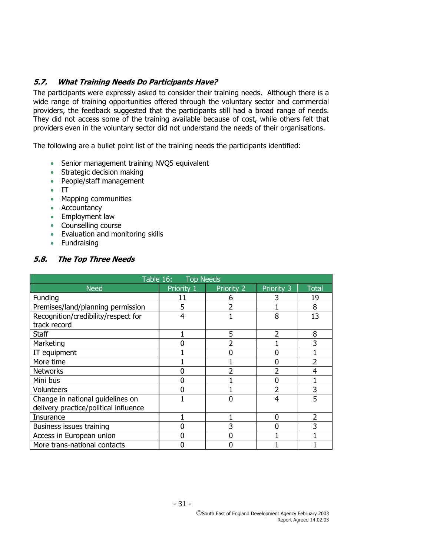### **5.7. What Training Needs Do Participants Have?**

The participants were expressly asked to consider their training needs. Although there is a wide range of training opportunities offered through the voluntary sector and commercial providers, the feedback suggested that the participants still had a broad range of needs. They did not access some of the training available because of cost, while others felt that providers even in the voluntary sector did not understand the needs of their organisations.

The following are a bullet point list of the training needs the participants identified:

- Senior management training NVO5 equivalent
- Strategic decision making
- People/staff management
- IT
- Mapping communities
- Accountancy
- Employment law
- Counselling course
- Evaluation and monitoring skills
- Fundraising

### **5.8. The Top Three Needs**

| Table 16: Top Needs                   |            |            |            |              |  |  |  |
|---------------------------------------|------------|------------|------------|--------------|--|--|--|
| <b>Need</b>                           | Priority 1 | Priority 2 | Priority 3 | <b>Total</b> |  |  |  |
| Funding                               |            |            |            | 19           |  |  |  |
| Premises/land/planning permission     | 5          | 2          |            | 8            |  |  |  |
| Recognition/credibility/respect for   | 4          |            | 8          | 13           |  |  |  |
| track record                          |            |            |            |              |  |  |  |
| Staff                                 |            | 5          |            | 8            |  |  |  |
| Marketing                             |            |            |            | 3            |  |  |  |
| IT equipment                          |            |            |            |              |  |  |  |
| More time<br><b>Networks</b>          |            |            |            |              |  |  |  |
|                                       |            |            |            | 4            |  |  |  |
| Mini bus                              |            |            |            |              |  |  |  |
| Volunteers                            |            |            |            | 3            |  |  |  |
| Change in national guidelines on      |            |            | 4          | 5            |  |  |  |
| delivery practice/political influence |            |            |            |              |  |  |  |
| Insurance                             |            |            | ŋ          | 2            |  |  |  |
| Business issues training              |            | 3          |            |              |  |  |  |
| Access in European union              |            |            |            |              |  |  |  |
| More trans-national contacts          |            |            |            |              |  |  |  |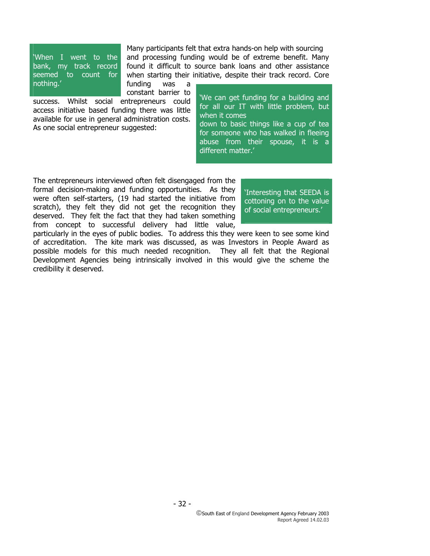'When I went to the bank, my track record seemed to count for nothing.'

Many participants felt that extra hands-on help with sourcing and processing funding would be of extreme benefit. Many found it difficult to source bank loans and other assistance when starting their initiative, despite their track record. Core

funding was a constant barrier to

success. Whilst social entrepreneurs could access initiative based funding there was little available for use in general administration costs. As one social entrepreneur suggested:

'We can get funding for a building and for all our IT with little problem, but when it comes

down to basic things like a cup of tea for someone who has walked in fleeing abuse from their spouse, it is a different matter.'

The entrepreneurs interviewed often felt disengaged from the formal decision-making and funding opportunities. As they were often self-starters, (19 had started the initiative from scratch), they felt they did not get the recognition they deserved. They felt the fact that they had taken something from concept to successful delivery had little value,

'Interesting that SEEDA is cottoning on to the value of social entrepreneurs.'

particularly in the eyes of public bodies. To address this they were keen to see some kind of accreditation. The kite mark was discussed, as was Investors in People Award as possible models for this much needed recognition. They all felt that the Regional Development Agencies being intrinsically involved in this would give the scheme the credibility it deserved.

- 32 -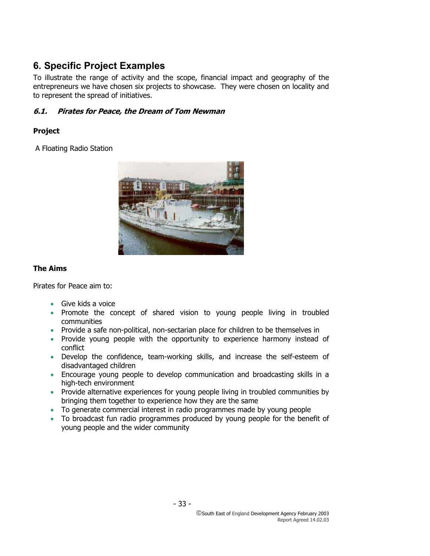## **6. Specific Project Examples**

To illustrate the range of activity and the scope, financial impact and geography of the entrepreneurs we have chosen six projects to showcase. They were chosen on locality and to represent the spread of initiatives.

## **6.1. Pirates for Peace, the Dream of Tom Newman**

## **Project**

A Floating Radio Station



## **The Aims**

Pirates for Peace aim to:

- Give kids a voice
- Promote the concept of shared vision to young people living in troubled communities
- Provide a safe non-political, non-sectarian place for children to be themselves in
- Provide young people with the opportunity to experience harmony instead of conflict
- Develop the confidence, team-working skills, and increase the self-esteem of disadvantaged children
- Encourage young people to develop communication and broadcasting skills in a high-tech environment
- Provide alternative experiences for young people living in troubled communities by bringing them together to experience how they are the same
- To generate commercial interest in radio programmes made by young people
- To broadcast fun radio programmes produced by young people for the benefit of young people and the wider community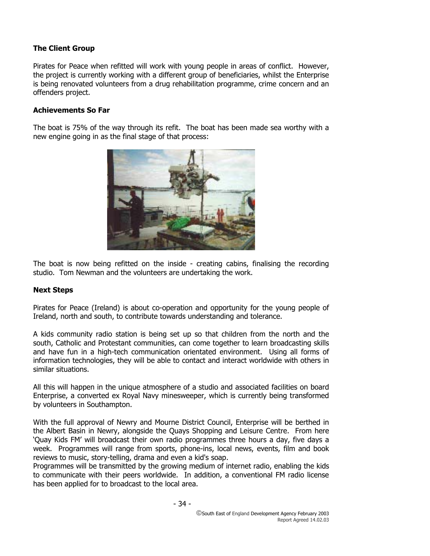### **The Client Group**

Pirates for Peace when refitted will work with young people in areas of conflict. However, the project is currently working with a different group of beneficiaries, whilst the Enterprise is being renovated volunteers from a drug rehabilitation programme, crime concern and an offenders project.

#### **Achievements So Far**

The boat is 75% of the way through its refit. The boat has been made sea worthy with a new engine going in as the final stage of that process:



The boat is now being refitted on the inside - creating cabins, finalising the recording studio. Tom Newman and the volunteers are undertaking the work.

#### **Next Steps**

Pirates for Peace (Ireland) is about co-operation and opportunity for the young people of Ireland, north and south, to contribute towards understanding and tolerance.

A kids community radio station is being set up so that children from the north and the south, Catholic and Protestant communities, can come together to learn broadcasting skills and have fun in a high-tech communication orientated environment. Using all forms of information technologies, they will be able to contact and interact worldwide with others in similar situations.

All this will happen in the unique atmosphere of a studio and associated facilities on board Enterprise, a converted ex Royal Navy minesweeper, which is currently being transformed by volunteers in Southampton.

With the full approval of Newry and Mourne District Council, Enterprise will be berthed in the Albert Basin in Newry, alongside the Quays Shopping and Leisure Centre. From here 'Quay Kids FM' will broadcast their own radio programmes three hours a day, five days a week. Programmes will range from sports, phone-ins, local news, events, film and book reviews to music, story-telling, drama and even a kid's soap.

Programmes will be transmitted by the growing medium of internet radio, enabling the kids to communicate with their peers worldwide. In addition, a conventional FM radio license has been applied for to broadcast to the local area.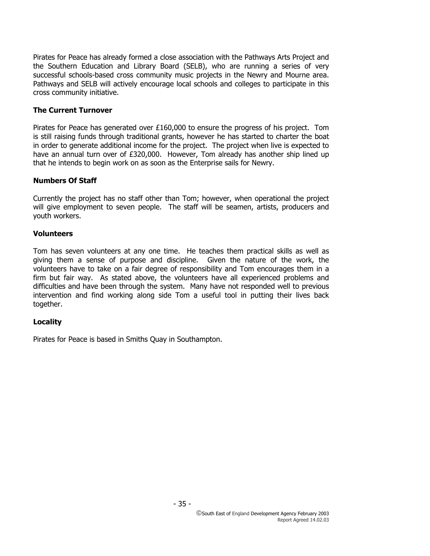Pirates for Peace has already formed a close association with the Pathways Arts Project and the Southern Education and Library Board (SELB), who are running a series of very successful schools-based cross community music projects in the Newry and Mourne area. Pathways and SELB will actively encourage local schools and colleges to participate in this cross community initiative.

#### **The Current Turnover**

Pirates for Peace has generated over £160,000 to ensure the progress of his project. Tom is still raising funds through traditional grants, however he has started to charter the boat in order to generate additional income for the project. The project when live is expected to have an annual turn over of £320,000. However, Tom already has another ship lined up that he intends to begin work on as soon as the Enterprise sails for Newry.

#### **Numbers Of Staff**

Currently the project has no staff other than Tom; however, when operational the project will give employment to seven people. The staff will be seamen, artists, producers and youth workers.

#### **Volunteers**

Tom has seven volunteers at any one time. He teaches them practical skills as well as giving them a sense of purpose and discipline. Given the nature of the work, the volunteers have to take on a fair degree of responsibility and Tom encourages them in a firm but fair way. As stated above, the volunteers have all experienced problems and difficulties and have been through the system. Many have not responded well to previous intervention and find working along side Tom a useful tool in putting their lives back together.

#### **Locality**

Pirates for Peace is based in Smiths Quay in Southampton.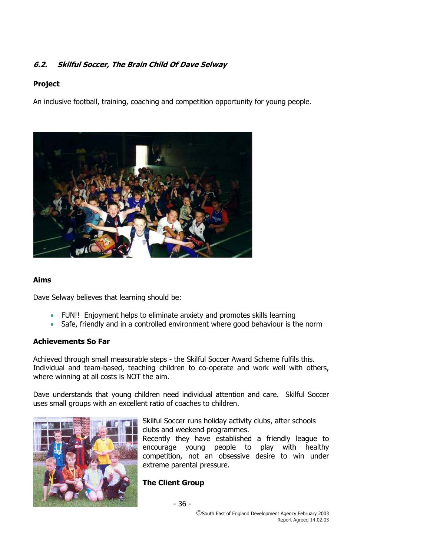## **6.2. Skilful Soccer, The Brain Child Of Dave Selway**

## **Project**

An inclusive football, training, coaching and competition opportunity for young people.



#### **Aims**

Dave Selway believes that learning should be:

- FUN!! Enjoyment helps to eliminate anxiety and promotes skills learning
- Safe, friendly and in a controlled environment where good behaviour is the norm

#### **Achievements So Far**

Achieved through small measurable steps - the Skilful Soccer Award Scheme fulfils this. Individual and team-based, teaching children to co-operate and work well with others, where winning at all costs is NOT the aim.

Dave understands that young children need individual attention and care. Skilful Soccer uses small groups with an excellent ratio of coaches to children.



Skilful Soccer runs holiday activity clubs, after schools clubs and weekend programmes.

Recently they have established a friendly league to encourage young people to play with healthy competition, not an obsessive desire to win under extreme parental pressure.

## **The Client Group**

- 36 -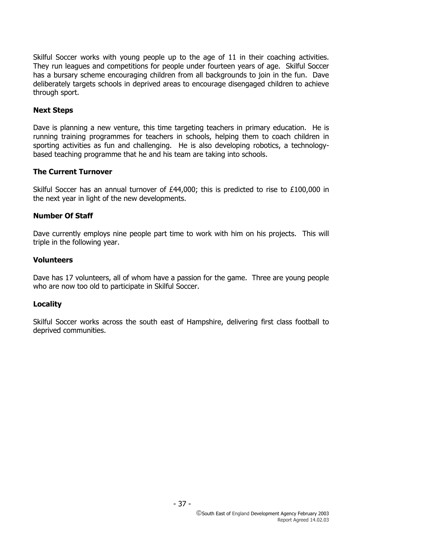Skilful Soccer works with young people up to the age of 11 in their coaching activities. They run leagues and competitions for people under fourteen years of age. Skilful Soccer has a bursary scheme encouraging children from all backgrounds to join in the fun. Dave deliberately targets schools in deprived areas to encourage disengaged children to achieve through sport.

## **Next Steps**

Dave is planning a new venture, this time targeting teachers in primary education. He is running training programmes for teachers in schools, helping them to coach children in sporting activities as fun and challenging. He is also developing robotics, a technologybased teaching programme that he and his team are taking into schools.

#### **The Current Turnover**

Skilful Soccer has an annual turnover of £44,000; this is predicted to rise to £100,000 in the next year in light of the new developments.

## **Number Of Staff**

Dave currently employs nine people part time to work with him on his projects. This will triple in the following year.

## **Volunteers**

Dave has 17 volunteers, all of whom have a passion for the game. Three are young people who are now too old to participate in Skilful Soccer.

#### **Locality**

Skilful Soccer works across the south east of Hampshire, delivering first class football to deprived communities.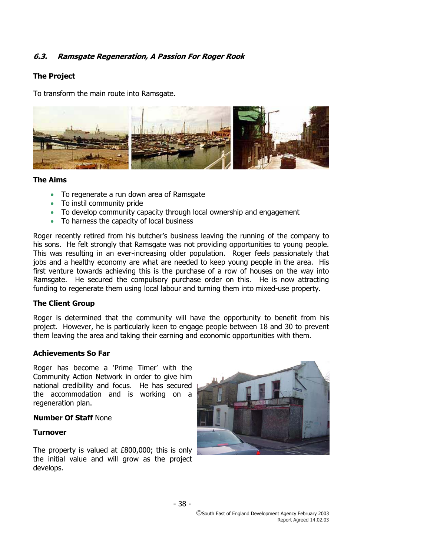# **6.3. Ramsgate Regeneration, A Passion For Roger Rook**

# **The Project**

To transform the main route into Ramsgate.



## **The Aims**

- To regenerate a run down area of Ramsgate
- To instil community pride
- To develop community capacity through local ownership and engagement
- To harness the capacity of local business

Roger recently retired from his butcher's business leaving the running of the company to his sons. He felt strongly that Ramsgate was not providing opportunities to young people. This was resulting in an ever-increasing older population. Roger feels passionately that jobs and a healthy economy are what are needed to keep young people in the area. His first venture towards achieving this is the purchase of a row of houses on the way into Ramsgate. He secured the compulsory purchase order on this. He is now attracting funding to regenerate them using local labour and turning them into mixed-use property.

#### **The Client Group**

Roger is determined that the community will have the opportunity to benefit from his project. However, he is particularly keen to engage people between 18 and 30 to prevent them leaving the area and taking their earning and economic opportunities with them.

#### **Achievements So Far**

Roger has become a 'Prime Timer' with the Community Action Network in order to give him national credibility and focus. He has secured the accommodation and is working on a regeneration plan.

#### **Number Of Staff** None

#### **Turnover**

The property is valued at £800,000; this is only the initial value and will grow as the project develops.

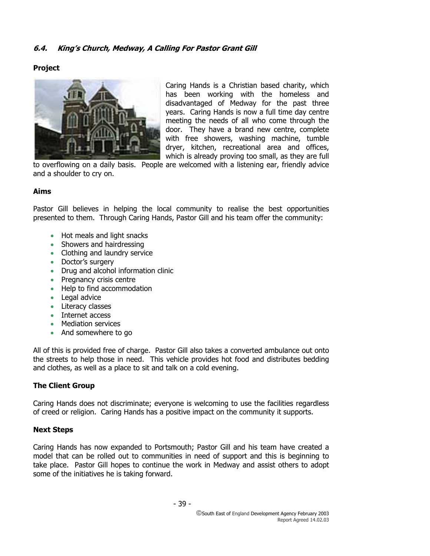# **6.4. King's Church, Medway, A Calling For Pastor Grant Gill**

# **Project**



Caring Hands is a Christian based charity, which has been working with the homeless and disadvantaged of Medway for the past three years. Caring Hands is now a full time day centre meeting the needs of all who come through the door. They have a brand new centre, complete with free showers, washing machine, tumble dryer, kitchen, recreational area and offices, which is already proving too small, as they are full

to overflowing on a daily basis. People are welcomed with a listening ear, friendly advice and a shoulder to cry on.

## **Aims**

Pastor Gill believes in helping the local community to realise the best opportunities presented to them. Through Caring Hands, Pastor Gill and his team offer the community:

- Hot meals and light snacks
- Showers and hairdressing
- Clothing and laundry service
- Doctor's surgery
- Drug and alcohol information clinic
- Pregnancy crisis centre
- Help to find accommodation
- Legal advice
- Literacy classes
- Internet access
- Mediation services
- And somewhere to go

All of this is provided free of charge. Pastor Gill also takes a converted ambulance out onto the streets to help those in need. This vehicle provides hot food and distributes bedding and clothes, as well as a place to sit and talk on a cold evening.

# **The Client Group**

Caring Hands does not discriminate; everyone is welcoming to use the facilities regardless of creed or religion. Caring Hands has a positive impact on the community it supports.

# **Next Steps**

Caring Hands has now expanded to Portsmouth; Pastor Gill and his team have created a model that can be rolled out to communities in need of support and this is beginning to take place. Pastor Gill hopes to continue the work in Medway and assist others to adopt some of the initiatives he is taking forward.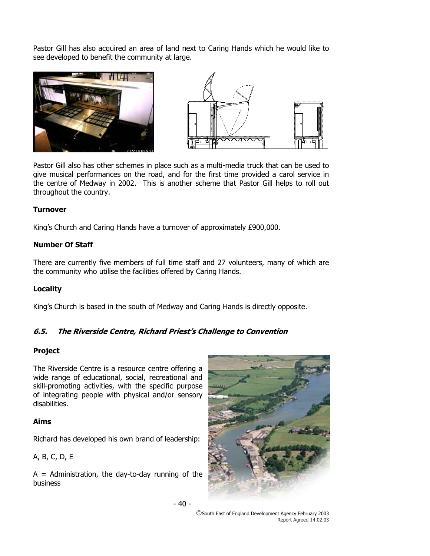Pastor Gill has also acquired an area of land next to Caring Hands which he would like to see developed to benefit the community at large.





Pastor Gill also has other schemes in place such as a multi-media truck that can be used to give musical performances on the road, and for the first time provided a carol service in the centre of Medway in 2002. This is another scheme that Pastor Gill helps to roll out throughout the country.

#### **Turnover**

King's Church and Caring Hands have a turnover of approximately £900,000.

# **Number Of Staff**

There are currently five members of full time staff and 27 volunteers, many of which are the community who utilise the facilities offered by Caring Hands.

# **Locality**

King's Church is based in the south of Medway and Caring Hands is directly opposite.

# **6.5. The Riverside Centre, Richard Priest's Challenge to Convention**

# **Project**

The Riverside Centre is a resource centre offering a wide range of educational, social, recreational and skill-promoting activities, with the specific purpose of integrating people with physical and/or sensory disabilities.

#### **Aims**

Richard has developed his own brand of leadership:

A, B, C, D, E

 $A =$  Administration, the day-to-day running of the business



- 40 -

South East of England Development Agency February 2003 Report Agreed 14.02.03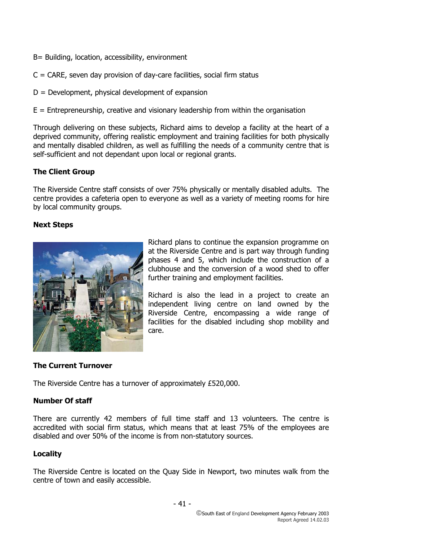- B= Building, location, accessibility, environment
- $C = \text{CARE}$ , seven day provision of day-care facilities, social firm status
- $D =$  Development, physical development of expansion
- $E =$  Entrepreneurship, creative and visionary leadership from within the organisation

Through delivering on these subjects, Richard aims to develop a facility at the heart of a deprived community, offering realistic employment and training facilities for both physically and mentally disabled children, as well as fulfilling the needs of a community centre that is self-sufficient and not dependant upon local or regional grants.

# **The Client Group**

The Riverside Centre staff consists of over 75% physically or mentally disabled adults. The centre provides a cafeteria open to everyone as well as a variety of meeting rooms for hire by local community groups.

# **Next Steps**



Richard plans to continue the expansion programme on at the Riverside Centre and is part way through funding phases 4 and 5, which include the construction of a clubhouse and the conversion of a wood shed to offer further training and employment facilities.

Richard is also the lead in a project to create an independent living centre on land owned by the Riverside Centre, encompassing a wide range of facilities for the disabled including shop mobility and care.

# **The Current Turnover**

The Riverside Centre has a turnover of approximately £520,000.

# **Number Of staff**

There are currently 42 members of full time staff and 13 volunteers. The centre is accredited with social firm status, which means that at least 75% of the employees are disabled and over 50% of the income is from non-statutory sources.

# **Locality**

The Riverside Centre is located on the Quay Side in Newport, two minutes walk from the centre of town and easily accessible.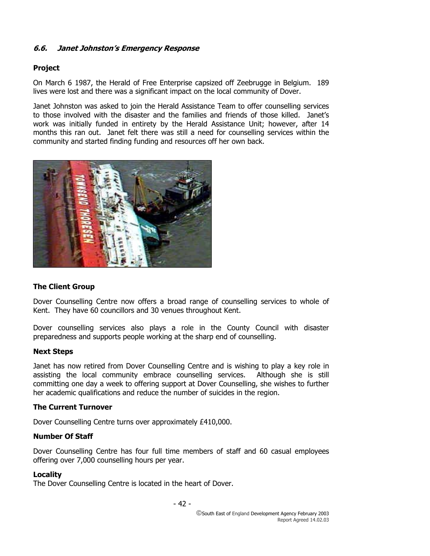# **6.6. Janet Johnston's Emergency Response**

# **Project**

On March 6 1987, the Herald of Free Enterprise capsized off Zeebrugge in Belgium. 189 lives were lost and there was a significant impact on the local community of Dover.

Janet Johnston was asked to join the Herald Assistance Team to offer counselling services to those involved with the disaster and the families and friends of those killed. Janet's work was initially funded in entirety by the Herald Assistance Unit; however, after 14 months this ran out. Janet felt there was still a need for counselling services within the community and started finding funding and resources off her own back.



# **The Client Group**

Dover Counselling Centre now offers a broad range of counselling services to whole of Kent. They have 60 councillors and 30 venues throughout Kent.

Dover counselling services also plays a role in the County Council with disaster preparedness and supports people working at the sharp end of counselling.

#### **Next Steps**

Janet has now retired from Dover Counselling Centre and is wishing to play a key role in assisting the local community embrace counselling services. Although she is still committing one day a week to offering support at Dover Counselling, she wishes to further her academic qualifications and reduce the number of suicides in the region.

# **The Current Turnover**

Dover Counselling Centre turns over approximately £410,000.

## **Number Of Staff**

Dover Counselling Centre has four full time members of staff and 60 casual employees offering over 7,000 counselling hours per year.

#### **Locality**

The Dover Counselling Centre is located in the heart of Dover.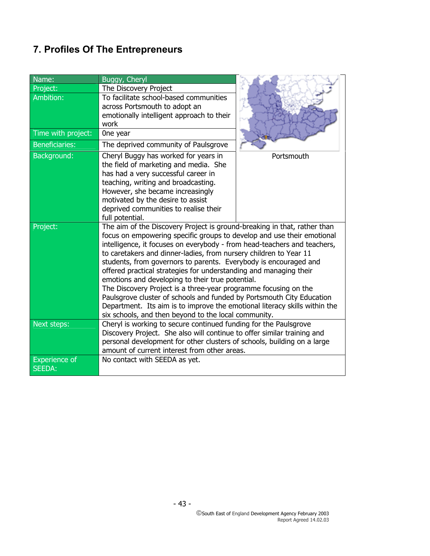# **7. Profiles Of The Entrepreneurs**

| Name:                          | Buggy, Cheryl                                                                                                                                                                                                                                                                                                                                                                                                                                                                                                                                                                                                                                                                                                                                                                      |            |
|--------------------------------|------------------------------------------------------------------------------------------------------------------------------------------------------------------------------------------------------------------------------------------------------------------------------------------------------------------------------------------------------------------------------------------------------------------------------------------------------------------------------------------------------------------------------------------------------------------------------------------------------------------------------------------------------------------------------------------------------------------------------------------------------------------------------------|------------|
| Project:                       | The Discovery Project                                                                                                                                                                                                                                                                                                                                                                                                                                                                                                                                                                                                                                                                                                                                                              |            |
| Ambition:                      | To facilitate school-based communities<br>across Portsmouth to adopt an<br>emotionally intelligent approach to their<br>work                                                                                                                                                                                                                                                                                                                                                                                                                                                                                                                                                                                                                                                       |            |
| Time with project:             | One year                                                                                                                                                                                                                                                                                                                                                                                                                                                                                                                                                                                                                                                                                                                                                                           |            |
| <b>Beneficiaries:</b>          | The deprived community of Paulsgrove                                                                                                                                                                                                                                                                                                                                                                                                                                                                                                                                                                                                                                                                                                                                               |            |
| Background:                    | Cheryl Buggy has worked for years in<br>the field of marketing and media. She<br>has had a very successful career in<br>teaching, writing and broadcasting.<br>However, she became increasingly<br>motivated by the desire to assist<br>deprived communities to realise their<br>full potential.                                                                                                                                                                                                                                                                                                                                                                                                                                                                                   | Portsmouth |
| Project:                       | The aim of the Discovery Project is ground-breaking in that, rather than<br>focus on empowering specific groups to develop and use their emotional<br>intelligence, it focuses on everybody - from head-teachers and teachers,<br>to caretakers and dinner-ladies, from nursery children to Year 11<br>students, from governors to parents. Everybody is encouraged and<br>offered practical strategies for understanding and managing their<br>emotions and developing to their true potential.<br>The Discovery Project is a three-year programme focusing on the<br>Paulsgrove cluster of schools and funded by Portsmouth City Education<br>Department. Its aim is to improve the emotional literacy skills within the<br>six schools, and then beyond to the local community. |            |
| Next steps:                    | Cheryl is working to secure continued funding for the Paulsgrove<br>Discovery Project. She also will continue to offer similar training and<br>personal development for other clusters of schools, building on a large<br>amount of current interest from other areas.                                                                                                                                                                                                                                                                                                                                                                                                                                                                                                             |            |
| <b>Experience of</b><br>SEEDA: | No contact with SEEDA as yet.                                                                                                                                                                                                                                                                                                                                                                                                                                                                                                                                                                                                                                                                                                                                                      |            |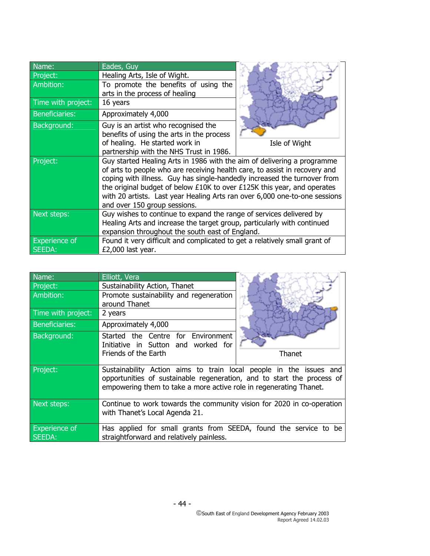| Name:                 | Eades, Guy                                                                 |               |
|-----------------------|----------------------------------------------------------------------------|---------------|
| Project:              | Healing Arts, Isle of Wight.                                               |               |
| Ambition:             | To promote the benefits of using the                                       |               |
|                       | arts in the process of healing                                             |               |
| Time with project:    | 16 years                                                                   |               |
| <b>Beneficiaries:</b> | Approximately 4,000                                                        |               |
| Background:           | Guy is an artist who recognised the                                        |               |
|                       | benefits of using the arts in the process                                  |               |
|                       | of healing. He started work in                                             | Isle of Wight |
|                       | partnership with the NHS Trust in 1986.                                    |               |
| Project:              | Guy started Healing Arts in 1986 with the aim of delivering a programme    |               |
|                       | of arts to people who are receiving health care, to assist in recovery and |               |
|                       | coping with illness. Guy has single-handedly increased the turnover from   |               |
|                       | the original budget of below £10K to over £125K this year, and operates    |               |
|                       | with 20 artists. Last year Healing Arts ran over 6,000 one-to-one sessions |               |
|                       | and over 150 group sessions.                                               |               |
| Next steps:           | Guy wishes to continue to expand the range of services delivered by        |               |
|                       | Healing Arts and increase the target group, particularly with continued    |               |
|                       | expansion throughout the south east of England.                            |               |
| <b>Experience of</b>  | Found it very difficult and complicated to get a relatively small grant of |               |
| SEEDA:                | £2,000 last year.                                                          |               |

| Name:                 | Elliott, Vera                                                                                                                                |        |
|-----------------------|----------------------------------------------------------------------------------------------------------------------------------------------|--------|
| Project:              | Sustainability Action, Thanet                                                                                                                |        |
| Ambition:             | Promote sustainability and regeneration                                                                                                      |        |
|                       | around Thanet                                                                                                                                |        |
| Time with project:    | 2 years                                                                                                                                      |        |
| <b>Beneficiaries:</b> | Approximately 4,000                                                                                                                          |        |
| Background:           | Started the Centre for Environment                                                                                                           |        |
|                       | Initiative in Sutton and worked for                                                                                                          |        |
|                       | Friends of the Earth                                                                                                                         | Thanet |
| Project:              | Sustainability Action aims to train local people in the issues and<br>opportunities of sustainable regeneration, and to start the process of |        |
|                       |                                                                                                                                              |        |
|                       | empowering them to take a more active role in regenerating Thanet.                                                                           |        |
|                       |                                                                                                                                              |        |
| Next steps:           | Continue to work towards the community vision for 2020 in co-operation                                                                       |        |
|                       | with Thanet's Local Agenda 21.                                                                                                               |        |
| <b>Experience of</b>  | Has applied for small grants from SEEDA, found the service to be                                                                             |        |
| <b>SEEDA:</b>         | straightforward and relatively painless.                                                                                                     |        |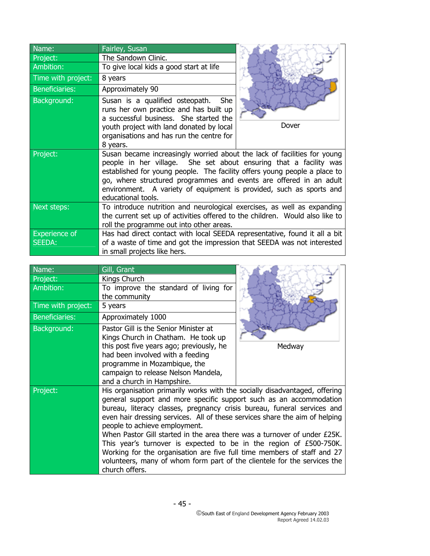| Name:                                 | Fairley, Susan                                                                                                                                                                                                                                                                                                                                                                                |       |
|---------------------------------------|-----------------------------------------------------------------------------------------------------------------------------------------------------------------------------------------------------------------------------------------------------------------------------------------------------------------------------------------------------------------------------------------------|-------|
| Project:                              | The Sandown Clinic.                                                                                                                                                                                                                                                                                                                                                                           |       |
| Ambition:                             | To give local kids a good start at life                                                                                                                                                                                                                                                                                                                                                       |       |
| Time with project:                    | 8 years                                                                                                                                                                                                                                                                                                                                                                                       |       |
| <b>Beneficiaries:</b>                 | Approximately 90                                                                                                                                                                                                                                                                                                                                                                              |       |
| Background:                           | Susan is a qualified osteopath.<br>She<br>runs her own practice and has built up<br>a successful business. She started the<br>youth project with land donated by local<br>organisations and has run the centre for<br>8 years.                                                                                                                                                                | Dover |
| Project:                              | Susan became increasingly worried about the lack of facilities for young<br>people in her village. She set about ensuring that a facility was<br>established for young people. The facility offers young people a place to<br>go, where structured programmes and events are offered in an adult<br>environment. A variety of equipment is provided, such as sports and<br>educational tools. |       |
| Next steps:                           | To introduce nutrition and neurological exercises, as well as expanding<br>the current set up of activities offered to the children. Would also like to<br>roll the programme out into other areas.                                                                                                                                                                                           |       |
| <b>Experience of</b><br><b>SEEDA:</b> | Has had direct contact with local SEEDA representative, found it all a bit<br>of a waste of time and got the impression that SEEDA was not interested<br>in small projects like hers.                                                                                                                                                                                                         |       |

| Name:                 | Gill, Grant                                                                 |        |
|-----------------------|-----------------------------------------------------------------------------|--------|
| Project:              | Kings Church                                                                |        |
| Ambition:             | To improve the standard of living for                                       |        |
|                       | the community                                                               |        |
| Time with project:    | 5 years                                                                     |        |
| <b>Beneficiaries:</b> | Approximately 1000                                                          |        |
| Background:           | Pastor Gill is the Senior Minister at                                       |        |
|                       | Kings Church in Chatham. He took up                                         |        |
|                       | this post five years ago; previously, he                                    | Medway |
|                       | had been involved with a feeding                                            |        |
|                       | programme in Mozambique, the                                                |        |
|                       | campaign to release Nelson Mandela,                                         |        |
|                       | and a church in Hampshire.                                                  |        |
| Project:              | His organisation primarily works with the socially disadvantaged, offering  |        |
|                       | general support and more specific support such as an accommodation          |        |
|                       | bureau, literacy classes, pregnancy crisis bureau, funeral services and     |        |
|                       | even hair dressing services. All of these services share the aim of helping |        |
|                       | people to achieve employment.                                               |        |
|                       | When Pastor Gill started in the area there was a turnover of under £25K.    |        |
|                       | This year's turnover is expected to be in the region of $£500-750K$ .       |        |
|                       | Working for the organisation are five full time members of staff and 27     |        |
|                       | volunteers, many of whom form part of the clientele for the services the    |        |
|                       | church offers.                                                              |        |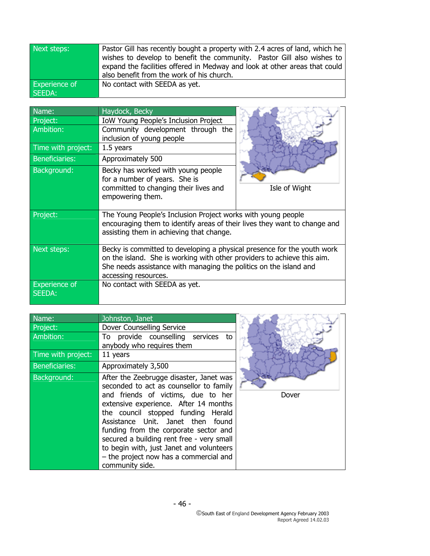| Next steps:   | Pastor Gill has recently bought a property with 2.4 acres of land, which he |
|---------------|-----------------------------------------------------------------------------|
|               | wishes to develop to benefit the community. Pastor Gill also wishes to      |
|               | expand the facilities offered in Medway and look at other areas that could  |
|               | also benefit from the work of his church.                                   |
| Experience of | No contact with SEEDA as yet.                                               |
| SEEDA:        |                                                                             |

| Name:                          | Haydock, Becky                                                                                                                                                                                                                                  |               |
|--------------------------------|-------------------------------------------------------------------------------------------------------------------------------------------------------------------------------------------------------------------------------------------------|---------------|
| Project:                       | <b>IoW Young People's Inclusion Project</b>                                                                                                                                                                                                     |               |
| Ambition:                      | Community development through the                                                                                                                                                                                                               |               |
|                                | inclusion of young people                                                                                                                                                                                                                       |               |
| Time with project:             | $1.5$ years                                                                                                                                                                                                                                     |               |
| <b>Beneficiaries:</b>          | Approximately 500                                                                                                                                                                                                                               |               |
| Background:                    | Becky has worked with young people<br>for a number of years. She is                                                                                                                                                                             |               |
|                                | committed to changing their lives and<br>empowering them.                                                                                                                                                                                       | Isle of Wight |
| Project:                       | The Young People's Inclusion Project works with young people<br>encouraging them to identify areas of their lives they want to change and<br>assisting them in achieving that change.                                                           |               |
| Next steps:                    | Becky is committed to developing a physical presence for the youth work<br>on the island. She is working with other providers to achieve this aim.<br>She needs assistance with managing the politics on the island and<br>accessing resources. |               |
| <b>Experience of</b><br>SEEDA: | No contact with SEEDA as yet.                                                                                                                                                                                                                   |               |

| Name:                 | Johnston, Janet                                                                                                                                                                                                                                                                                                                                                                                                                             |  |
|-----------------------|---------------------------------------------------------------------------------------------------------------------------------------------------------------------------------------------------------------------------------------------------------------------------------------------------------------------------------------------------------------------------------------------------------------------------------------------|--|
| Project:              | Dover Counselling Service                                                                                                                                                                                                                                                                                                                                                                                                                   |  |
| Ambition:             | To provide counselling services<br>to<br>anybody who requires them                                                                                                                                                                                                                                                                                                                                                                          |  |
| Time with project:    | 11 years                                                                                                                                                                                                                                                                                                                                                                                                                                    |  |
| <b>Beneficiaries:</b> | Approximately 3,500                                                                                                                                                                                                                                                                                                                                                                                                                         |  |
| Background:           | After the Zeebrugge disaster, Janet was<br>seconded to act as counsellor to family<br>and friends of victims, due to her<br>extensive experience. After 14 months<br>the council stopped funding Herald<br>Assistance Unit. Janet then found<br>funding from the corporate sector and<br>secured a building rent free - very small<br>to begin with, just Janet and volunteers<br>- the project now has a commercial and<br>community side. |  |



South East of England Development Agency February 2003 Report Agreed 14.02.03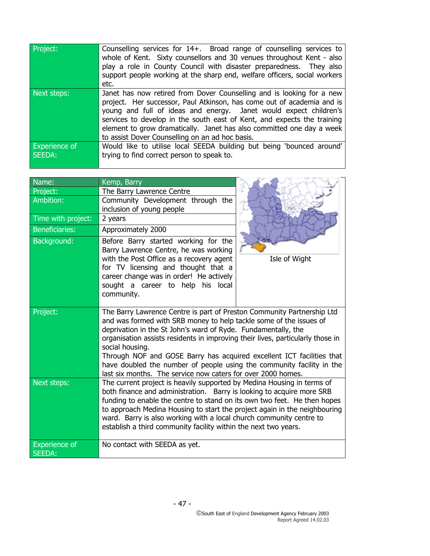| Project:                       | Counselling services for 14+. Broad range of counselling services to<br>whole of Kent. Sixty counsellors and 30 venues throughout Kent - also<br>play a role in County Council with disaster preparedness. They also<br>support people working at the sharp end, welfare officers, social workers<br>etc.                                                                                                                   |
|--------------------------------|-----------------------------------------------------------------------------------------------------------------------------------------------------------------------------------------------------------------------------------------------------------------------------------------------------------------------------------------------------------------------------------------------------------------------------|
| Next steps:                    | Janet has now retired from Dover Counselling and is looking for a new<br>project. Her successor, Paul Atkinson, has come out of academia and is<br>young and full of ideas and energy. Janet would expect children's<br>services to develop in the south east of Kent, and expects the training<br>element to grow dramatically. Janet has also committed one day a week<br>to assist Dover Counselling on an ad hoc basis. |
| <b>Experience of</b><br>SEEDA: | Would like to utilise local SEEDA building but being 'bounced around'<br>trying to find correct person to speak to.                                                                                                                                                                                                                                                                                                         |

| Name:                          | Kemp, Barry                                                                                                                                     |               |
|--------------------------------|-------------------------------------------------------------------------------------------------------------------------------------------------|---------------|
| Project:                       | The Barry Lawrence Centre                                                                                                                       |               |
| Ambition:                      | Community Development through the<br>inclusion of young people                                                                                  |               |
| Time with project:             | 2 years                                                                                                                                         |               |
| <b>Beneficiaries:</b>          | Approximately 2000                                                                                                                              |               |
| Background:                    | Before Barry started working for the<br>Barry Lawrence Centre, he was working                                                                   |               |
|                                | with the Post Office as a recovery agent                                                                                                        | Isle of Wight |
|                                | for TV licensing and thought that a<br>career change was in order! He actively                                                                  |               |
|                                | sought a career to help his local                                                                                                               |               |
|                                | community.                                                                                                                                      |               |
| Project:                       | The Barry Lawrence Centre is part of Preston Community Partnership Ltd                                                                          |               |
|                                | and was formed with SRB money to help tackle some of the issues of                                                                              |               |
|                                | deprivation in the St John's ward of Ryde. Fundamentally, the<br>organisation assists residents in improving their lives, particularly those in |               |
|                                | social housing.                                                                                                                                 |               |
|                                | Through NOF and GOSE Barry has acquired excellent ICT facilities that                                                                           |               |
|                                | have doubled the number of people using the community facility in the<br>last six months. The service now caters for over 2000 homes.           |               |
| Next steps:                    | The current project is heavily supported by Medina Housing in terms of                                                                          |               |
|                                | both finance and administration. Barry is looking to acquire more SRB                                                                           |               |
|                                | funding to enable the centre to stand on its own two feet. He then hopes                                                                        |               |
|                                | to approach Medina Housing to start the project again in the neighbouring                                                                       |               |
|                                | ward. Barry is also working with a local church community centre to                                                                             |               |
|                                | establish a third community facility within the next two years.                                                                                 |               |
| <b>Experience of</b><br>SEEDA: | No contact with SEEDA as yet.                                                                                                                   |               |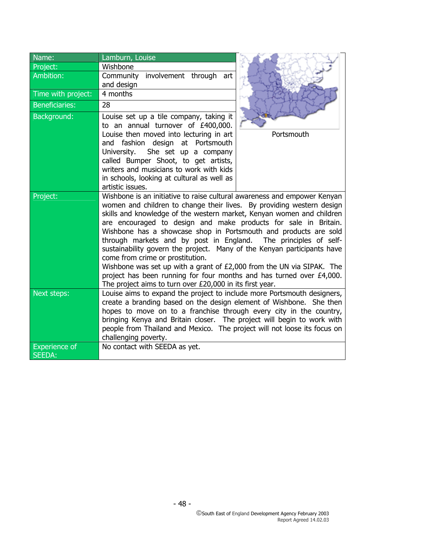| Name:                                 | Lamburn, Louise                                                                                                                                                                                                                                                                                                                                                                                                                                                                                                                                                                                                                                                                                                                                                  |            |
|---------------------------------------|------------------------------------------------------------------------------------------------------------------------------------------------------------------------------------------------------------------------------------------------------------------------------------------------------------------------------------------------------------------------------------------------------------------------------------------------------------------------------------------------------------------------------------------------------------------------------------------------------------------------------------------------------------------------------------------------------------------------------------------------------------------|------------|
| Project:                              | Wishbone                                                                                                                                                                                                                                                                                                                                                                                                                                                                                                                                                                                                                                                                                                                                                         |            |
| Ambition:                             | Community involvement through art<br>and design                                                                                                                                                                                                                                                                                                                                                                                                                                                                                                                                                                                                                                                                                                                  |            |
| Time with project:                    | 4 months                                                                                                                                                                                                                                                                                                                                                                                                                                                                                                                                                                                                                                                                                                                                                         |            |
| <b>Beneficiaries:</b>                 | 28                                                                                                                                                                                                                                                                                                                                                                                                                                                                                                                                                                                                                                                                                                                                                               |            |
| Background:                           | Louise set up a tile company, taking it<br>to an annual turnover of £400,000.                                                                                                                                                                                                                                                                                                                                                                                                                                                                                                                                                                                                                                                                                    |            |
|                                       | Louise then moved into lecturing in art<br>and fashion design at Portsmouth<br>She set up a company<br>University.<br>called Bumper Shoot, to get artists,<br>writers and musicians to work with kids<br>in schools, looking at cultural as well as<br>artistic issues.                                                                                                                                                                                                                                                                                                                                                                                                                                                                                          | Portsmouth |
| Project:                              | Wishbone is an initiative to raise cultural awareness and empower Kenyan<br>women and children to change their lives. By providing western design<br>skills and knowledge of the western market, Kenyan women and children<br>are encouraged to design and make products for sale in Britain.<br>Wishbone has a showcase shop in Portsmouth and products are sold<br>through markets and by post in England. The principles of self-<br>sustainability govern the project. Many of the Kenyan participants have<br>come from crime or prostitution.<br>Wishbone was set up with a grant of £2,000 from the UN via SIPAK. The<br>project has been running for four months and has turned over £4,000.<br>The project aims to turn over £20,000 in its first year. |            |
| Next steps:                           | Louise aims to expand the project to include more Portsmouth designers,<br>create a branding based on the design element of Wishbone. She then<br>hopes to move on to a franchise through every city in the country,<br>bringing Kenya and Britain closer. The project will begin to work with<br>people from Thailand and Mexico. The project will not loose its focus on<br>challenging poverty.                                                                                                                                                                                                                                                                                                                                                               |            |
| <b>Experience of</b><br><b>SEEDA:</b> | No contact with SEEDA as yet.                                                                                                                                                                                                                                                                                                                                                                                                                                                                                                                                                                                                                                                                                                                                    |            |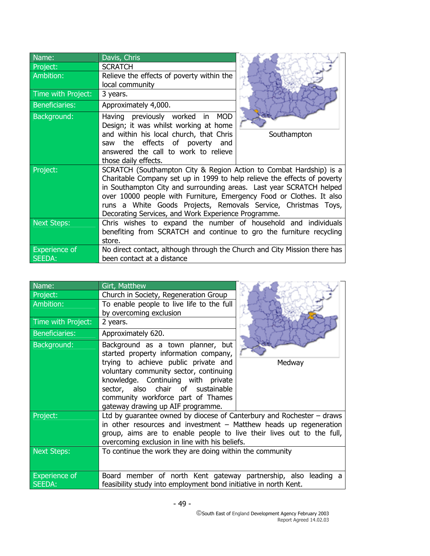| Name:<br>Project:              | Davis, Chris<br><b>SCRATCH</b>                                                                                                                                                                                                                                                                                                                                                                                         |             |
|--------------------------------|------------------------------------------------------------------------------------------------------------------------------------------------------------------------------------------------------------------------------------------------------------------------------------------------------------------------------------------------------------------------------------------------------------------------|-------------|
| Ambition:                      | Relieve the effects of poverty within the<br>local community                                                                                                                                                                                                                                                                                                                                                           |             |
| Time with Project:             | 3 years.                                                                                                                                                                                                                                                                                                                                                                                                               |             |
| <b>Beneficiaries:</b>          | Approximately 4,000.                                                                                                                                                                                                                                                                                                                                                                                                   |             |
| Background:                    | Having previously worked in MOD<br>Design; it was whilst working at home<br>and within his local church, that Chris<br>the effects of poverty and<br>saw                                                                                                                                                                                                                                                               | Southampton |
|                                | answered the call to work to relieve<br>those daily effects.                                                                                                                                                                                                                                                                                                                                                           |             |
| Project:                       | SCRATCH (Southampton City & Region Action to Combat Hardship) is a<br>Charitable Company set up in 1999 to help relieve the effects of poverty<br>in Southampton City and surrounding areas. Last year SCRATCH helped<br>over 10000 people with Furniture, Emergency Food or Clothes. It also<br>runs a White Goods Projects, Removals Service, Christmas Toys,<br>Decorating Services, and Work Experience Programme. |             |
| <b>Next Steps:</b>             | Chris wishes to expand the number of household and individuals<br>benefiting from SCRATCH and continue to gro the furniture recycling<br>store.                                                                                                                                                                                                                                                                        |             |
| <b>Experience of</b><br>SEEDA: | No direct contact, although through the Church and City Mission there has<br>been contact at a distance                                                                                                                                                                                                                                                                                                                |             |

| Name:                          | Girt, Matthew                                                                                                                      |        |
|--------------------------------|------------------------------------------------------------------------------------------------------------------------------------|--------|
| Project:                       | Church in Society, Regeneration Group                                                                                              |        |
| Ambition:                      | To enable people to live life to the full<br>by overcoming exclusion                                                               |        |
| Time with Project:             | 2 years.                                                                                                                           |        |
| <b>Beneficiaries:</b>          | Approximately 620.                                                                                                                 |        |
| Background:                    | Background as a town planner, but<br>started property information company,                                                         |        |
|                                | trying to achieve public private and<br>voluntary community sector, continuing<br>knowledge. Continuing with private               | Medway |
|                                | sector, also chair of sustainable<br>community workforce part of Thames<br>gateway drawing up AIF programme.                       |        |
| Project:                       | Ltd by guarantee owned by diocese of Canterbury and Rochester $-$ draws                                                            |        |
|                                | in other resources and investment $-$ Matthew heads up regeneration                                                                |        |
|                                | group, aims are to enable people to live their lives out to the full,<br>overcoming exclusion in line with his beliefs.            |        |
| Next Steps:                    | To continue the work they are doing within the community                                                                           |        |
| <b>Experience of</b><br>SEEDA: | Board member of north Kent gateway partnership, also leading a<br>feasibility study into employment bond initiative in north Kent. |        |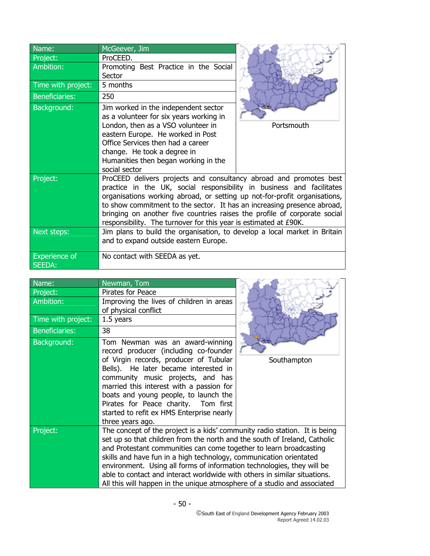| Name:                                 | McGeever, Jim                                                                                                                                                                                                                                                                                                                                                                                                                                        |            |
|---------------------------------------|------------------------------------------------------------------------------------------------------------------------------------------------------------------------------------------------------------------------------------------------------------------------------------------------------------------------------------------------------------------------------------------------------------------------------------------------------|------------|
| Project:                              | ProCEED.                                                                                                                                                                                                                                                                                                                                                                                                                                             |            |
| Ambition:                             | Promoting Best Practice in the Social<br>Sector                                                                                                                                                                                                                                                                                                                                                                                                      |            |
| Time with project:                    | 5 months                                                                                                                                                                                                                                                                                                                                                                                                                                             |            |
| <b>Beneficiaries:</b>                 | 250                                                                                                                                                                                                                                                                                                                                                                                                                                                  |            |
| Background:                           | Jim worked in the independent sector<br>as a volunteer for six years working in<br>London, then as a VSO volunteer in<br>eastern Europe. He worked in Post<br>Office Services then had a career<br>change. He took a degree in<br>Humanities then began working in the<br>social sector                                                                                                                                                              | Portsmouth |
| Project:                              | ProCEED delivers projects and consultancy abroad and promotes best<br>practice in the UK, social responsibility in business and facilitates<br>organisations working abroad, or setting up not-for-profit organisations,<br>to show commitment to the sector. It has an increasing presence abroad,<br>bringing on another five countries raises the profile of corporate social<br>responsibility. The turnover for this year is estimated at £90K. |            |
| Next steps:                           | Jim plans to build the organisation, to develop a local market in Britain<br>and to expand outside eastern Europe.                                                                                                                                                                                                                                                                                                                                   |            |
| <b>Experience of</b><br><b>SEEDA:</b> | No contact with SEEDA as yet.                                                                                                                                                                                                                                                                                                                                                                                                                        |            |

| Name:                 | Newman, Tom                                                                                                                                                                                                                                                                                                                                                                                                                                                                                                                            |             |
|-----------------------|----------------------------------------------------------------------------------------------------------------------------------------------------------------------------------------------------------------------------------------------------------------------------------------------------------------------------------------------------------------------------------------------------------------------------------------------------------------------------------------------------------------------------------------|-------------|
| Project:              | Pirates for Peace                                                                                                                                                                                                                                                                                                                                                                                                                                                                                                                      |             |
| Ambition:             | Improving the lives of children in areas<br>of physical conflict                                                                                                                                                                                                                                                                                                                                                                                                                                                                       |             |
| Time with project:    | 1.5 years                                                                                                                                                                                                                                                                                                                                                                                                                                                                                                                              |             |
| <b>Beneficiaries:</b> | 38                                                                                                                                                                                                                                                                                                                                                                                                                                                                                                                                     |             |
| Background:           | Tom Newman was an award-winning<br>record producer (including co-founder<br>of Virgin records, producer of Tubular<br>Bells). He later became interested in<br>community music projects, and has<br>married this interest with a passion for<br>boats and young people, to launch the<br>Pirates for Peace charity. Tom first<br>started to refit ex HMS Enterprise nearly<br>three years ago.                                                                                                                                         | Southampton |
| Project:              | The concept of the project is a kids' community radio station. It is being<br>set up so that children from the north and the south of Ireland, Catholic<br>and Protestant communities can come together to learn broadcasting<br>skills and have fun in a high technology, communication orientated<br>environment. Using all forms of information technologies, they will be<br>able to contact and interact worldwide with others in similar situations.<br>All this will happen in the unique atmosphere of a studio and associated |             |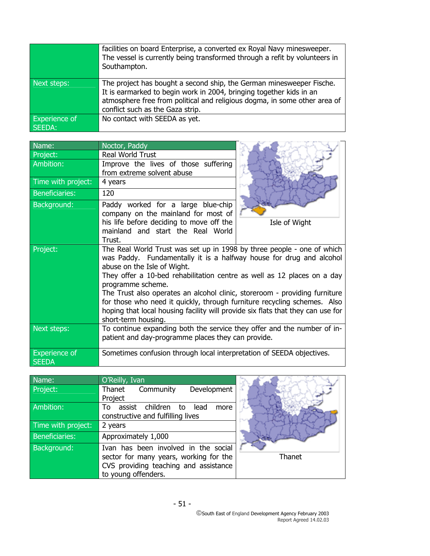|                                | facilities on board Enterprise, a converted ex Royal Navy minesweeper.<br>The vessel is currently being transformed through a refit by volunteers in<br>Southampton.                                                                                         |
|--------------------------------|--------------------------------------------------------------------------------------------------------------------------------------------------------------------------------------------------------------------------------------------------------------|
| Next steps:                    | The project has bought a second ship, the German minesweeper Fische.<br>It is earmarked to begin work in 2004, bringing together kids in an<br>atmosphere free from political and religious dogma, in some other area of<br>conflict such as the Gaza strip. |
| <b>Experience of</b><br>SEEDA: | No contact with SEEDA as yet.                                                                                                                                                                                                                                |

| Name:                                | Noctor, Paddy                                                                                                                                                                                                                                                                                                                                                                                                                                                                                                                                    |               |
|--------------------------------------|--------------------------------------------------------------------------------------------------------------------------------------------------------------------------------------------------------------------------------------------------------------------------------------------------------------------------------------------------------------------------------------------------------------------------------------------------------------------------------------------------------------------------------------------------|---------------|
| Project:                             | Real World Trust                                                                                                                                                                                                                                                                                                                                                                                                                                                                                                                                 |               |
| Ambition:                            | Improve the lives of those suffering<br>from extreme solvent abuse                                                                                                                                                                                                                                                                                                                                                                                                                                                                               |               |
| Time with project:                   | 4 years                                                                                                                                                                                                                                                                                                                                                                                                                                                                                                                                          |               |
| <b>Beneficiaries:</b>                | 120                                                                                                                                                                                                                                                                                                                                                                                                                                                                                                                                              |               |
| Background:                          | Paddy worked for a large blue-chip<br>company on the mainland for most of<br>his life before deciding to move off the<br>mainland and start the Real World<br>Trust.                                                                                                                                                                                                                                                                                                                                                                             | Isle of Wight |
| Project:                             | The Real World Trust was set up in 1998 by three people - one of which<br>was Paddy. Fundamentally it is a halfway house for drug and alcohol<br>abuse on the Isle of Wight.<br>They offer a 10-bed rehabilitation centre as well as 12 places on a day<br>programme scheme.<br>The Trust also operates an alcohol clinic, storeroom - providing furniture<br>for those who need it quickly, through furniture recycling schemes. Also<br>hoping that local housing facility will provide six flats that they can use for<br>short-term housing. |               |
| Next steps:                          | To continue expanding both the service they offer and the number of in-<br>patient and day-programme places they can provide.                                                                                                                                                                                                                                                                                                                                                                                                                    |               |
| <b>Experience of</b><br><b>SEEDA</b> | Sometimes confusion through local interpretation of SEEDA objectives.                                                                                                                                                                                                                                                                                                                                                                                                                                                                            |               |

| Name:                 | O'Reilly, Ivan                                                                                                                                 |  |
|-----------------------|------------------------------------------------------------------------------------------------------------------------------------------------|--|
| Project:              | Thanet Community<br>Development                                                                                                                |  |
|                       | Project                                                                                                                                        |  |
| Ambition:             | assist children to<br>lead<br>T٥<br>more<br>constructive and fulfilling lives                                                                  |  |
| Time with project:    | 2 years                                                                                                                                        |  |
| <b>Beneficiaries:</b> | Approximately 1,000                                                                                                                            |  |
| Background:           | Ivan has been involved in the social<br>sector for many years, working for the<br>CVS providing teaching and assistance<br>to young offenders. |  |

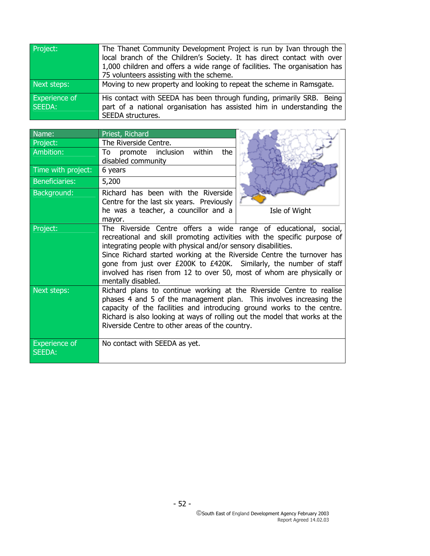| Project:             | The Thanet Community Development Project is run by Ivan through the        |
|----------------------|----------------------------------------------------------------------------|
|                      | local branch of the Children's Society. It has direct contact with over    |
|                      | 1,000 children and offers a wide range of facilities. The organisation has |
|                      | 75 volunteers assisting with the scheme.                                   |
| Next steps:          | Moving to new property and looking to repeat the scheme in Ramsgate.       |
| <b>Experience of</b> | His contact with SEEDA has been through funding, primarily SRB. Being      |
| SEEDA:               | part of a national organisation has assisted him in understanding the      |
|                      | SEEDA structures.                                                          |

| Name:                                 | Priest, Richard                                                                                                                                                                                                                                                                                                                                                                                                                                              |               |
|---------------------------------------|--------------------------------------------------------------------------------------------------------------------------------------------------------------------------------------------------------------------------------------------------------------------------------------------------------------------------------------------------------------------------------------------------------------------------------------------------------------|---------------|
| Project:                              | The Riverside Centre.                                                                                                                                                                                                                                                                                                                                                                                                                                        |               |
| Ambition:                             | promote inclusion within<br>the<br>disabled community                                                                                                                                                                                                                                                                                                                                                                                                        |               |
| Time with project:                    | 6 years                                                                                                                                                                                                                                                                                                                                                                                                                                                      |               |
| <b>Beneficiaries:</b>                 | 5,200                                                                                                                                                                                                                                                                                                                                                                                                                                                        |               |
| Background:                           | Richard has been with the Riverside                                                                                                                                                                                                                                                                                                                                                                                                                          |               |
|                                       | Centre for the last six years. Previously<br>he was a teacher, a councillor and a                                                                                                                                                                                                                                                                                                                                                                            | Isle of Wight |
|                                       | mayor.                                                                                                                                                                                                                                                                                                                                                                                                                                                       |               |
| Project:                              | The Riverside Centre offers a wide range of educational, social,<br>recreational and skill promoting activities with the specific purpose of<br>integrating people with physical and/or sensory disabilities.<br>Since Richard started working at the Riverside Centre the turnover has<br>gone from just over £200K to £420K. Similarly, the number of staff<br>involved has risen from 12 to over 50, most of whom are physically or<br>mentally disabled. |               |
| Next steps:                           | Richard plans to continue working at the Riverside Centre to realise<br>phases 4 and 5 of the management plan. This involves increasing the<br>capacity of the facilities and introducing ground works to the centre.<br>Richard is also looking at ways of rolling out the model that works at the<br>Riverside Centre to other areas of the country.                                                                                                       |               |
| <b>Experience of</b><br><b>SEEDA:</b> | No contact with SEEDA as yet.                                                                                                                                                                                                                                                                                                                                                                                                                                |               |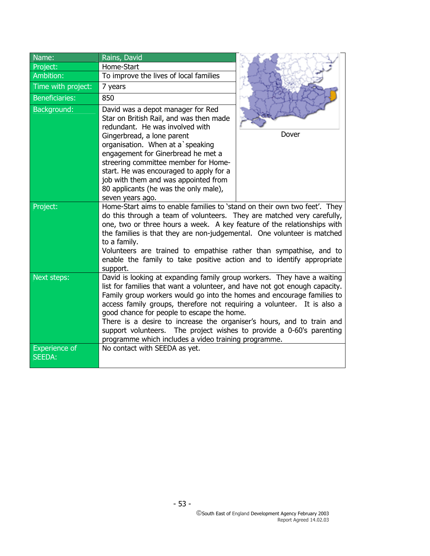| Name:                                 | Rains, David                                                                                                                                                                                                                                                                                                                                                                                                                                                                                                                                                      |       |
|---------------------------------------|-------------------------------------------------------------------------------------------------------------------------------------------------------------------------------------------------------------------------------------------------------------------------------------------------------------------------------------------------------------------------------------------------------------------------------------------------------------------------------------------------------------------------------------------------------------------|-------|
| Project:                              | Home-Start                                                                                                                                                                                                                                                                                                                                                                                                                                                                                                                                                        |       |
| Ambition:                             | To improve the lives of local families                                                                                                                                                                                                                                                                                                                                                                                                                                                                                                                            |       |
| Time with project:                    | 7 years                                                                                                                                                                                                                                                                                                                                                                                                                                                                                                                                                           |       |
| <b>Beneficiaries:</b>                 | 850                                                                                                                                                                                                                                                                                                                                                                                                                                                                                                                                                               |       |
| Background:                           | David was a depot manager for Red<br>Star on British Rail, and was then made<br>redundant. He was involved with<br>Gingerbread, a lone parent<br>organisation. When at a speaking<br>engagement for Ginerbread he met a<br>streering committee member for Home-                                                                                                                                                                                                                                                                                                   | Dover |
|                                       | start. He was encouraged to apply for a<br>job with them and was appointed from<br>80 applicants (he was the only male),<br>seven years ago.                                                                                                                                                                                                                                                                                                                                                                                                                      |       |
| Project:                              | Home-Start aims to enable families to 'stand on their own two feet'. They<br>do this through a team of volunteers. They are matched very carefully,<br>one, two or three hours a week. A key feature of the relationships with<br>the families is that they are non-judgemental. One volunteer is matched<br>to a family.<br>Volunteers are trained to empathise rather than sympathise, and to<br>enable the family to take positive action and to identify appropriate<br>support.                                                                              |       |
| Next steps:                           | David is looking at expanding family group workers. They have a waiting<br>list for families that want a volunteer, and have not got enough capacity.<br>Family group workers would go into the homes and encourage families to<br>access family groups, therefore not requiring a volunteer. It is also a<br>good chance for people to escape the home.<br>There is a desire to increase the organiser's hours, and to train and<br>support volunteers. The project wishes to provide a 0-60's parenting<br>programme which includes a video training programme. |       |
| <b>Experience of</b><br><b>SEEDA:</b> | No contact with SEEDA as yet.                                                                                                                                                                                                                                                                                                                                                                                                                                                                                                                                     |       |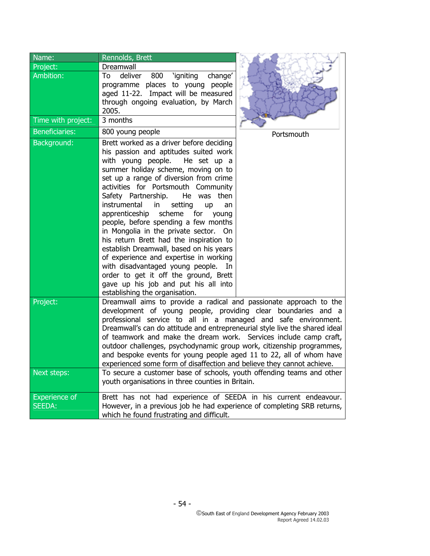| Name:                                 | Rennolds, Brett                                                                                                                                                                                                                                                                                                                                                                                                                                                                                                                                                                                                                                                                                                                                    |            |
|---------------------------------------|----------------------------------------------------------------------------------------------------------------------------------------------------------------------------------------------------------------------------------------------------------------------------------------------------------------------------------------------------------------------------------------------------------------------------------------------------------------------------------------------------------------------------------------------------------------------------------------------------------------------------------------------------------------------------------------------------------------------------------------------------|------------|
| Project:                              | Dreamwall                                                                                                                                                                                                                                                                                                                                                                                                                                                                                                                                                                                                                                                                                                                                          |            |
| <b>Ambition:</b>                      | 800 Yigniting<br>deliver<br>change'<br>To<br>programme places to young people<br>aged 11-22. Impact will be measured<br>through ongoing evaluation, by March<br>2005.                                                                                                                                                                                                                                                                                                                                                                                                                                                                                                                                                                              |            |
| Time with project:                    | 3 months                                                                                                                                                                                                                                                                                                                                                                                                                                                                                                                                                                                                                                                                                                                                           |            |
| <b>Beneficiaries:</b>                 | 800 young people                                                                                                                                                                                                                                                                                                                                                                                                                                                                                                                                                                                                                                                                                                                                   | Portsmouth |
| Background:                           | Brett worked as a driver before deciding<br>his passion and aptitudes suited work<br>with young people.<br>He set up a<br>summer holiday scheme, moving on to<br>set up a range of diversion from crime<br>activities for Portsmouth Community<br>Safety Partnership.<br>He was then<br>instrumental<br>setting<br>in<br>up<br>an<br>apprenticeship scheme for<br>young<br>people, before spending a few months<br>in Mongolia in the private sector. On<br>his return Brett had the inspiration to<br>establish Dreamwall, based on his years<br>of experience and expertise in working<br>with disadvantaged young people. In<br>order to get it off the ground, Brett<br>gave up his job and put his all into<br>establishing the organisation. |            |
| Project:                              | Dreamwall aims to provide a radical and passionate approach to the<br>development of young people, providing clear boundaries and a<br>professional service to all in a managed and safe environment.<br>Dreamwall's can do attitude and entrepreneurial style live the shared ideal<br>of teamwork and make the dream work. Services include camp craft,<br>outdoor challenges, psychodynamic group work, citizenship programmes,<br>and bespoke events for young people aged 11 to 22, all of whom have<br>experienced some form of disaffection and believe they cannot achieve                                                                                                                                                                 |            |
| Next steps:                           | To secure a customer base of schools, youth offending teams and other<br>youth organisations in three counties in Britain.                                                                                                                                                                                                                                                                                                                                                                                                                                                                                                                                                                                                                         |            |
| <b>Experience</b> of<br><b>SEEDA:</b> | Brett has not had experience of SEEDA in his current endeavour.<br>However, in a previous job he had experience of completing SRB returns,<br>which he found frustrating and difficult.                                                                                                                                                                                                                                                                                                                                                                                                                                                                                                                                                            |            |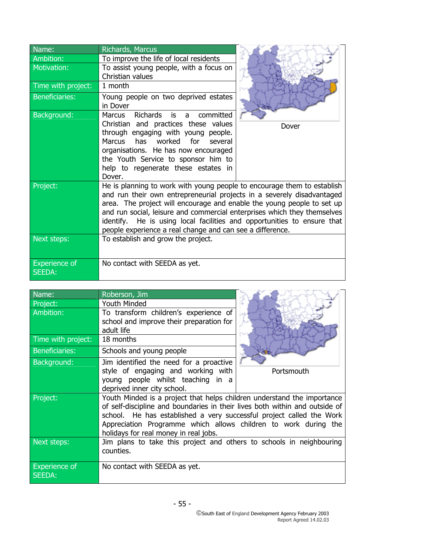| Name:                          | Richards, Marcus                                                                                                                                                                                                                                                                                                                                                                                                                                |       |
|--------------------------------|-------------------------------------------------------------------------------------------------------------------------------------------------------------------------------------------------------------------------------------------------------------------------------------------------------------------------------------------------------------------------------------------------------------------------------------------------|-------|
| Ambition:                      | To improve the life of local residents                                                                                                                                                                                                                                                                                                                                                                                                          |       |
| Motivation:                    | To assist young people, with a focus on<br>Christian values                                                                                                                                                                                                                                                                                                                                                                                     |       |
| Time with project:             | 1 month                                                                                                                                                                                                                                                                                                                                                                                                                                         |       |
| <b>Beneficiaries:</b>          | Young people on two deprived estates<br>in Dover                                                                                                                                                                                                                                                                                                                                                                                                |       |
| Background:                    | Richards<br>committed<br>is<br><b>Marcus</b><br>$\mathsf{a}$<br>Christian and practices these values<br>through engaging with young people.<br>Marcus has worked for several<br>organisations. He has now encouraged<br>the Youth Service to sponsor him to<br>help to regenerate these estates in<br>Dover.                                                                                                                                    | Dover |
| Project:                       | He is planning to work with young people to encourage them to establish<br>and run their own entrepreneurial projects in a severely disadvantaged<br>area. The project will encourage and enable the young people to set up<br>and run social, leisure and commercial enterprises which they themselves<br>identify. He is using local facilities and opportunities to ensure that<br>people experience a real change and can see a difference. |       |
| Next steps:                    | To establish and grow the project.                                                                                                                                                                                                                                                                                                                                                                                                              |       |
| <b>Experience of</b><br>SEEDA: | No contact with SEEDA as yet.                                                                                                                                                                                                                                                                                                                                                                                                                   |       |

| Name:                          | Roberson, Jim                                                                                                                                                                                                                                                                                                                              |            |
|--------------------------------|--------------------------------------------------------------------------------------------------------------------------------------------------------------------------------------------------------------------------------------------------------------------------------------------------------------------------------------------|------------|
| Project:                       | <b>Youth Minded</b>                                                                                                                                                                                                                                                                                                                        |            |
| Ambition:                      | To transform children's experience of<br>school and improve their preparation for<br>adult life                                                                                                                                                                                                                                            |            |
| Time with project:             | 18 months                                                                                                                                                                                                                                                                                                                                  |            |
| <b>Beneficiaries:</b>          | Schools and young people                                                                                                                                                                                                                                                                                                                   |            |
| Background:                    | Jim identified the need for a proactive<br>style of engaging and working with<br>young people whilst teaching in a<br>deprived inner city school.                                                                                                                                                                                          | Portsmouth |
| Project:                       | Youth Minded is a project that helps children understand the importance<br>of self-discipline and boundaries in their lives both within and outside of<br>school. He has established a very successful project called the Work<br>Appreciation Programme which allows children to work during the<br>holidays for real money in real jobs. |            |
| Next steps:                    | Jim plans to take this project and others to schools in neighbouring<br>counties.                                                                                                                                                                                                                                                          |            |
| <b>Experience of</b><br>SEEDA: | No contact with SEEDA as yet.                                                                                                                                                                                                                                                                                                              |            |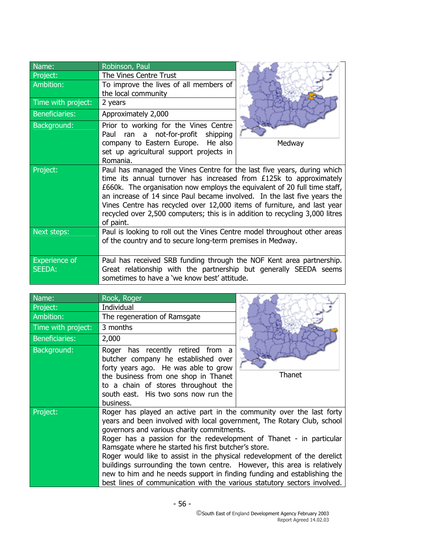| Name:                | Robinson, Paul                                                               |        |  |  |
|----------------------|------------------------------------------------------------------------------|--------|--|--|
| Project:             | The Vines Centre Trust                                                       |        |  |  |
| Ambition:            | To improve the lives of all members of                                       |        |  |  |
|                      | the local community                                                          |        |  |  |
| Time with project:   | 2 years                                                                      |        |  |  |
| Beneficiaries:       | Approximately 2,000                                                          |        |  |  |
| Background:          | Prior to working for the Vines Centre                                        |        |  |  |
|                      | Paul ran a not-for-profit<br>shipping                                        |        |  |  |
|                      | company to Eastern Europe. He also                                           | Medway |  |  |
|                      | set up agricultural support projects in                                      |        |  |  |
|                      | Romania.                                                                     |        |  |  |
| Project:             | Paul has managed the Vines Centre for the last five years, during which      |        |  |  |
|                      | time its annual turnover has increased from £125k to approximately           |        |  |  |
|                      | £660k. The organisation now employs the equivalent of 20 full time staff,    |        |  |  |
|                      | an increase of 14 since Paul became involved. In the last five years the     |        |  |  |
|                      | Vines Centre has recycled over 12,000 items of furniture, and last year      |        |  |  |
|                      | recycled over 2,500 computers; this is in addition to recycling 3,000 litres |        |  |  |
|                      | of paint.                                                                    |        |  |  |
| Next steps:          | Paul is looking to roll out the Vines Centre model throughout other areas    |        |  |  |
|                      | of the country and to secure long-term premises in Medway.                   |        |  |  |
|                      |                                                                              |        |  |  |
| <b>Experience of</b> | Paul has received SRB funding through the NOF Kent area partnership.         |        |  |  |
| <b>SEEDA:</b>        | Great relationship with the partnership but generally SEEDA seems            |        |  |  |
|                      | sometimes to have a 'we know best' attitude.                                 |        |  |  |

| Name:                 | Rook, Roger                                                                                                                                                                                                                                                                                                                                                                                                                                                                                                                                                                                                                               |        |
|-----------------------|-------------------------------------------------------------------------------------------------------------------------------------------------------------------------------------------------------------------------------------------------------------------------------------------------------------------------------------------------------------------------------------------------------------------------------------------------------------------------------------------------------------------------------------------------------------------------------------------------------------------------------------------|--------|
| Project:              | Individual                                                                                                                                                                                                                                                                                                                                                                                                                                                                                                                                                                                                                                |        |
| Ambition:             | The regeneration of Ramsgate                                                                                                                                                                                                                                                                                                                                                                                                                                                                                                                                                                                                              |        |
| Time with project:    | 3 months                                                                                                                                                                                                                                                                                                                                                                                                                                                                                                                                                                                                                                  |        |
| <b>Beneficiaries:</b> | 2,000                                                                                                                                                                                                                                                                                                                                                                                                                                                                                                                                                                                                                                     |        |
| Background:           | Roger has recently retired from a<br>butcher company he established over<br>forty years ago. He was able to grow<br>the business from one shop in Thanet<br>to a chain of stores throughout the<br>south east. His two sons now run the<br>business.                                                                                                                                                                                                                                                                                                                                                                                      | Thanet |
| Project:              | Roger has played an active part in the community over the last forty<br>years and been involved with local government, The Rotary Club, school<br>governors and various charity commitments.<br>Roger has a passion for the redevelopment of Thanet - in particular<br>Ramsgate where he started his first butcher's store.<br>Roger would like to assist in the physical redevelopment of the derelict<br>buildings surrounding the town centre. However, this area is relatively<br>new to him and he needs support in finding funding and establishing the<br>best lines of communication with the various statutory sectors involved. |        |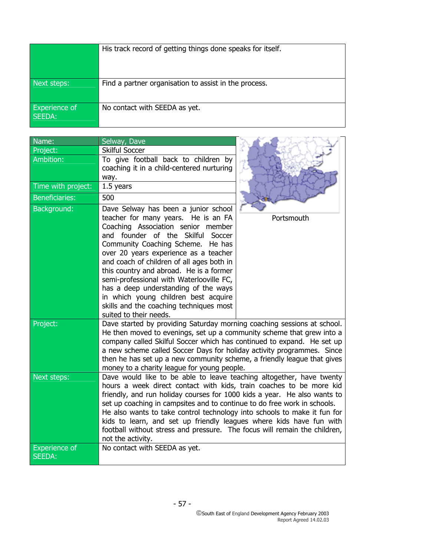|                                | His track record of getting things done speaks for itself. |
|--------------------------------|------------------------------------------------------------|
| Next steps:                    | Find a partner organisation to assist in the process.      |
| <b>Experience of</b><br>SEEDA: | No contact with SEEDA as yet.                              |

| Name:                 | Selway, Dave                                                                                                                                    |            |  |  |  |
|-----------------------|-------------------------------------------------------------------------------------------------------------------------------------------------|------------|--|--|--|
| Project:              | <b>Skilful Soccer</b>                                                                                                                           |            |  |  |  |
| Ambition:             | To give football back to children by                                                                                                            |            |  |  |  |
|                       | coaching it in a child-centered nurturing                                                                                                       |            |  |  |  |
| Time with project:    | way.                                                                                                                                            |            |  |  |  |
|                       | 1.5 years                                                                                                                                       |            |  |  |  |
| <b>Beneficiaries:</b> | 500                                                                                                                                             |            |  |  |  |
| Background:           | Dave Selway has been a junior school                                                                                                            |            |  |  |  |
|                       | teacher for many years. He is an FA<br>Coaching Association senior member                                                                       | Portsmouth |  |  |  |
|                       | and founder of the Skilful Soccer                                                                                                               |            |  |  |  |
|                       | Community Coaching Scheme. He has                                                                                                               |            |  |  |  |
|                       | over 20 years experience as a teacher                                                                                                           |            |  |  |  |
|                       | and coach of children of all ages both in                                                                                                       |            |  |  |  |
|                       | this country and abroad. He is a former                                                                                                         |            |  |  |  |
|                       | semi-professional with Waterlooville FC,                                                                                                        |            |  |  |  |
|                       | has a deep understanding of the ways<br>in which young children best acquire                                                                    |            |  |  |  |
|                       | skills and the coaching techniques most                                                                                                         |            |  |  |  |
|                       | suited to their needs.                                                                                                                          |            |  |  |  |
| Project:              | Dave started by providing Saturday morning coaching sessions at school.                                                                         |            |  |  |  |
|                       | He then moved to evenings, set up a community scheme that grew into a                                                                           |            |  |  |  |
|                       | company called Skilful Soccer which has continued to expand. He set up                                                                          |            |  |  |  |
|                       | a new scheme called Soccer Days for holiday activity programmes. Since                                                                          |            |  |  |  |
|                       | then he has set up a new community scheme, a friendly league that gives<br>money to a charity league for young people.                          |            |  |  |  |
| Next steps:           | Dave would like to be able to leave teaching altogether, have twenty                                                                            |            |  |  |  |
|                       | hours a week direct contact with kids, train coaches to be more kid                                                                             |            |  |  |  |
|                       | friendly, and run holiday courses for 1000 kids a year. He also wants to                                                                        |            |  |  |  |
|                       | set up coaching in campsites and to continue to do free work in schools.                                                                        |            |  |  |  |
|                       | He also wants to take control technology into schools to make it fun for<br>kids to learn, and set up friendly leagues where kids have fun with |            |  |  |  |
|                       | football without stress and pressure. The focus will remain the children,                                                                       |            |  |  |  |
|                       | not the activity.                                                                                                                               |            |  |  |  |
| <b>Experience of</b>  | No contact with SEEDA as yet.                                                                                                                   |            |  |  |  |
| <b>SEEDA:</b>         |                                                                                                                                                 |            |  |  |  |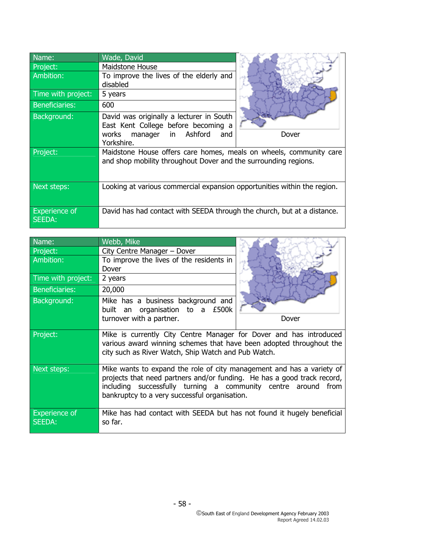| Name:                          | Wade, David                                                                                                                            |       |
|--------------------------------|----------------------------------------------------------------------------------------------------------------------------------------|-------|
| Project:                       | Maidstone House                                                                                                                        |       |
| Ambition:                      | To improve the lives of the elderly and<br>disabled                                                                                    |       |
| Time with project:             | 5 years                                                                                                                                |       |
| <b>Beneficiaries:</b>          | 600                                                                                                                                    |       |
| Background:                    | David was originally a lecturer in South<br>East Kent College before becoming a<br>manager in<br>Ashford<br>works<br>and<br>Yorkshire. | Dover |
| Project:                       | Maidstone House offers care homes, meals on wheels, community care<br>and shop mobility throughout Dover and the surrounding regions.  |       |
| Next steps:                    | Looking at various commercial expansion opportunities within the region.                                                               |       |
| <b>Experience of</b><br>SEEDA: | David has had contact with SEEDA through the church, but at a distance.                                                                |       |

| Name:                          | Webb, Mike                                                                                                                                                                                                                                                         |       |
|--------------------------------|--------------------------------------------------------------------------------------------------------------------------------------------------------------------------------------------------------------------------------------------------------------------|-------|
| Project:                       | City Centre Manager - Dover                                                                                                                                                                                                                                        |       |
| Ambition:                      | To improve the lives of the residents in                                                                                                                                                                                                                           |       |
|                                | Dover                                                                                                                                                                                                                                                              |       |
| Time with project:             | 2 years                                                                                                                                                                                                                                                            |       |
| <b>Beneficiaries:</b>          | 20,000                                                                                                                                                                                                                                                             |       |
| Background:                    | Mike has a business background and<br>built an organisation to a £500k                                                                                                                                                                                             |       |
|                                | turnover with a partner.                                                                                                                                                                                                                                           | Dover |
| Project:                       | Mike is currently City Centre Manager for Dover and has introduced<br>various award winning schemes that have been adopted throughout the<br>city such as River Watch, Ship Watch and Pub Watch.                                                                   |       |
| Next steps:                    | Mike wants to expand the role of city management and has a variety of<br>projects that need partners and/or funding. He has a good track record,<br>including successfully turning a community centre around from<br>bankruptcy to a very successful organisation. |       |
| <b>Experience of</b><br>SEEDA: | Mike has had contact with SEEDA but has not found it hugely beneficial<br>so far.                                                                                                                                                                                  |       |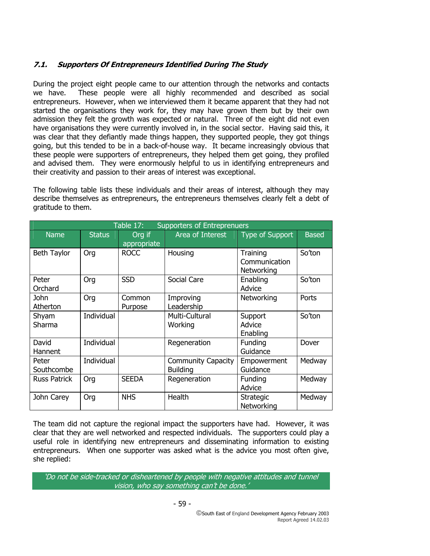# **7.1. Supporters Of Entrepreneurs Identified During The Study**

During the project eight people came to our attention through the networks and contacts we have. These people were all highly recommended and described as social entrepreneurs. However, when we interviewed them it became apparent that they had not started the organisations they work for, they may have grown them but by their own admission they felt the growth was expected or natural. Three of the eight did not even have organisations they were currently involved in, in the social sector. Having said this, it was clear that they defiantly made things happen, they supported people, they got things going, but this tended to be in a back-of-house way. It became increasingly obvious that these people were supporters of entrepreneurs, they helped them get going, they profiled and advised them. They were enormously helpful to us in identifying entrepreneurs and their creativity and passion to their areas of interest was exceptional.

The following table lists these individuals and their areas of interest, although they may describe themselves as entrepreneurs, the entrepreneurs themselves clearly felt a debt of gratitude to them.

| Table 17:<br><b>Supporters of Entreprenuers</b> |               |                       |                                              |                                         |              |  |
|-------------------------------------------------|---------------|-----------------------|----------------------------------------------|-----------------------------------------|--------------|--|
| <b>Name</b>                                     | <b>Status</b> | Org if<br>appropriate | Area of Interest                             | Type of Support                         | <b>Based</b> |  |
| Beth Taylor                                     | Org           | <b>ROCC</b>           | Housing                                      | Training<br>Communication<br>Networking | So'ton       |  |
| Peter<br>Orchard                                | Org           | <b>SSD</b>            | Social Care                                  | Enabling<br>Advice                      | So'ton       |  |
| <b>John</b><br>Atherton                         | Org           | Common<br>Purpose     | Improving<br>Leadership                      | Networking                              | Ports        |  |
| Shyam<br>Sharma                                 | Individual    |                       | Multi-Cultural<br>Working                    | Support<br>Advice<br>Enabling           | So'ton       |  |
| David<br>Hannent                                | Individual    |                       | Regeneration                                 | Funding<br>Guidance                     | Dover        |  |
| Peter<br>Southcombe                             | Individual    |                       | <b>Community Capacity</b><br><b>Building</b> | Empowerment<br>Guidance                 | Medway       |  |
| <b>Russ Patrick</b>                             | Org           | <b>SEEDA</b>          | Regeneration                                 | Funding<br>Advice                       | Medway       |  |
| John Carey                                      | Org           | <b>NHS</b>            | Health                                       | <b>Strategic</b><br>Networking          | Medway       |  |

The team did not capture the regional impact the supporters have had. However, it was clear that they are well networked and respected individuals. The supporters could play a useful role in identifying new entrepreneurs and disseminating information to existing entrepreneurs. When one supporter was asked what is the advice you most often give, she replied:

'Do not be side-tracked or disheartened by people with negative attitudes and tunnel vision, who say something can't be done.'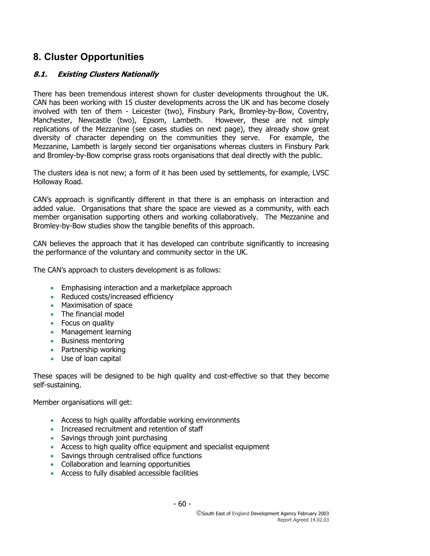# **8. Cluster Opportunities**

# **8.1. Existing Clusters Nationally**

There has been tremendous interest shown for cluster developments throughout the UK. CAN has been working with 15 cluster developments across the UK and has become closely involved with ten of them - Leicester (two), Finsbury Park, Bromley-by-Bow, Coventry, Manchester, Newcastle (two), Epsom, Lambeth. However, these are not simply replications of the Mezzanine (see cases studies on next page), they already show great diversity of character depending on the communities they serve. For example, the Mezzanine, Lambeth is largely second tier organisations whereas clusters in Finsbury Park and Bromley-by-Bow comprise grass roots organisations that deal directly with the public.

The clusters idea is not new; a form of it has been used by settlements, for example, LVSC Holloway Road.

CAN's approach is significantly different in that there is an emphasis on interaction and added value. Organisations that share the space are viewed as a community, with each member organisation supporting others and working collaboratively. The Mezzanine and Bromley-by-Bow studies show the tangible benefits of this approach.

CAN believes the approach that it has developed can contribute significantly to increasing the performance of the voluntary and community sector in the UK.

The CAN's approach to clusters development is as follows:

- Emphasising interaction and a marketplace approach
- Reduced costs/increased efficiency
- Maximisation of space
- The financial model
- Focus on quality
- Management learning
- Business mentoring
- Partnership working
- Use of loan capital

These spaces will be designed to be high quality and cost-effective so that they become self-sustaining.

Member organisations will get:

- Access to high quality affordable working environments
- Increased recruitment and retention of staff
- Savings through joint purchasing
- Access to high quality office equipment and specialist equipment
- Savings through centralised office functions
- Collaboration and learning opportunities
- Access to fully disabled accessible facilities

- 60 -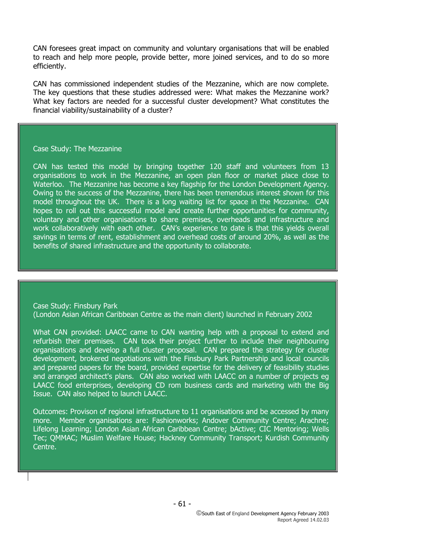CAN foresees great impact on community and voluntary organisations that will be enabled to reach and help more people, provide better, more joined services, and to do so more efficiently.

CAN has commissioned independent studies of the Mezzanine, which are now complete. The key questions that these studies addressed were: What makes the Mezzanine work? What key factors are needed for a successful cluster development? What constitutes the financial viability/sustainability of a cluster?

#### Case Study: The Mezzanine

CAN has tested this model by bringing together 120 staff and volunteers from 13 organisations to work in the Mezzanine, an open plan floor or market place close to Waterloo. The Mezzanine has become a key flagship for the London Development Agency. Owing to the success of the Mezzanine, there has been tremendous interest shown for this model throughout the UK. There is a long waiting list for space in the Mezzanine. CAN hopes to roll out this successful model and create further opportunities for community, voluntary and other organisations to share premises, overheads and infrastructure and work collaboratively with each other. CAN's experience to date is that this yields overall savings in terms of rent, establishment and overhead costs of around 20%, as well as the benefits of shared infrastructure and the opportunity to collaborate.

Case Study: Finsbury Park (London Asian African Caribbean Centre as the main client) launched in February 2002

What CAN provided: LAACC came to CAN wanting help with a proposal to extend and refurbish their premises. CAN took their project further to include their neighbouring organisations and develop a full cluster proposal. CAN prepared the strategy for cluster development, brokered negotiations with the Finsbury Park Partnership and local councils and prepared papers for the board, provided expertise for the delivery of feasibility studies and arranged architect's plans. CAN also worked with LAACC on a number of projects eg LAACC food enterprises, developing CD rom business cards and marketing with the Big Issue. CAN also helped to launch LAACC.

Outcomes: Provison of regional infrastructure to 11 organisations and be accessed by many more. Member organisations are: Fashionworks; Andover Community Centre; Arachne; Lifelong Learning; London Asian African Caribbean Centre; bActive; CIC Mentoring; Wells Tec; QMMAC; Muslim Welfare House; Hackney Community Transport; Kurdish Community Centre.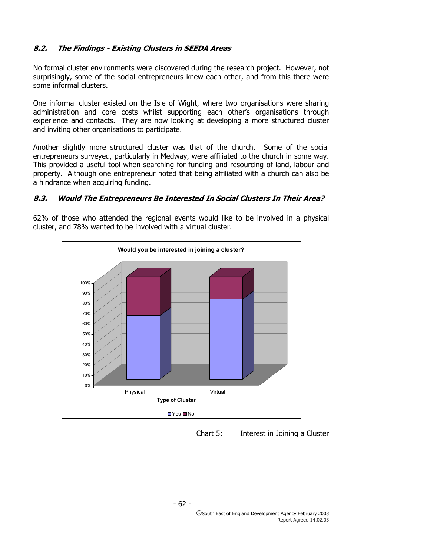# **8.2. The Findings - Existing Clusters in SEEDA Areas**

No formal cluster environments were discovered during the research project. However, not surprisingly, some of the social entrepreneurs knew each other, and from this there were some informal clusters.

One informal cluster existed on the Isle of Wight, where two organisations were sharing administration and core costs whilst supporting each other's organisations through experience and contacts. They are now looking at developing a more structured cluster and inviting other organisations to participate.

Another slightly more structured cluster was that of the church. Some of the social entrepreneurs surveyed, particularly in Medway, were affiliated to the church in some way. This provided a useful tool when searching for funding and resourcing of land, labour and property. Although one entrepreneur noted that being affiliated with a church can also be a hindrance when acquiring funding.

# **8.3. Would The Entrepreneurs Be Interested In Social Clusters In Their Area?**

62% of those who attended the regional events would like to be involved in a physical cluster, and 78% wanted to be involved with a virtual cluster.



Chart 5: Interest in Joining a Cluster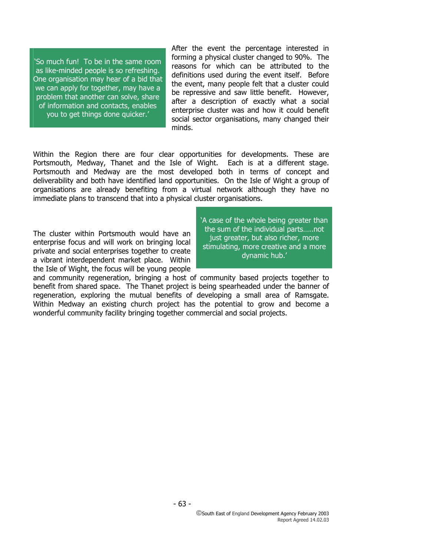'So much fun! To be in the same room as like-minded people is so refreshing. One organisation may hear of a bid that we can apply for together, may have a problem that another can solve, share of information and contacts, enables you to get things done quicker.'

After the event the percentage interested in forming a physical cluster changed to 90%. The reasons for which can be attributed to the definitions used during the event itself. Before the event, many people felt that a cluster could be repressive and saw little benefit. However, after a description of exactly what a social enterprise cluster was and how it could benefit social sector organisations, many changed their minds.

Within the Region there are four clear opportunities for developments. These are Portsmouth, Medway, Thanet and the Isle of Wight. Each is at a different stage. Portsmouth and Medway are the most developed both in terms of concept and deliverability and both have identified land opportunities. On the Isle of Wight a group of organisations are already benefiting from a virtual network although they have no immediate plans to transcend that into a physical cluster organisations.

The cluster within Portsmouth would have an enterprise focus and will work on bringing local private and social enterprises together to create a vibrant interdependent market place. Within the Isle of Wight, the focus will be young people

'A case of the whole being greater than the sum of the individual parts…..not just greater, but also richer, more stimulating, more creative and a more dynamic hub.'

and community regeneration, bringing a host of community based projects together to benefit from shared space. The Thanet project is being spearheaded under the banner of regeneration, exploring the mutual benefits of developing a small area of Ramsgate. Within Medway an existing church project has the potential to grow and become a wonderful community facility bringing together commercial and social projects.

- 63 -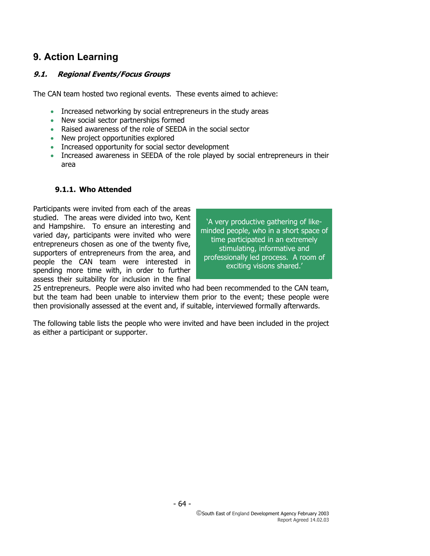# **9. Action Learning**

# **9.1. Regional Events/Focus Groups**

The CAN team hosted two regional events. These events aimed to achieve:

- Increased networking by social entrepreneurs in the study areas
- New social sector partnerships formed
- Raised awareness of the role of SEEDA in the social sector
- New project opportunities explored
- Increased opportunity for social sector development
- Increased awareness in SEEDA of the role played by social entrepreneurs in their area

## **9.1.1. Who Attended**

Participants were invited from each of the areas studied. The areas were divided into two, Kent and Hampshire. To ensure an interesting and varied day, participants were invited who were entrepreneurs chosen as one of the twenty five, supporters of entrepreneurs from the area, and people the CAN team were interested in spending more time with, in order to further assess their suitability for inclusion in the final

'A very productive gathering of likeminded people, who in a short space of time participated in an extremely stimulating, informative and professionally led process. A room of exciting visions shared.'

25 entrepreneurs. People were also invited who had been recommended to the CAN team, but the team had been unable to interview them prior to the event; these people were then provisionally assessed at the event and, if suitable, interviewed formally afterwards.

The following table lists the people who were invited and have been included in the project as either a participant or supporter.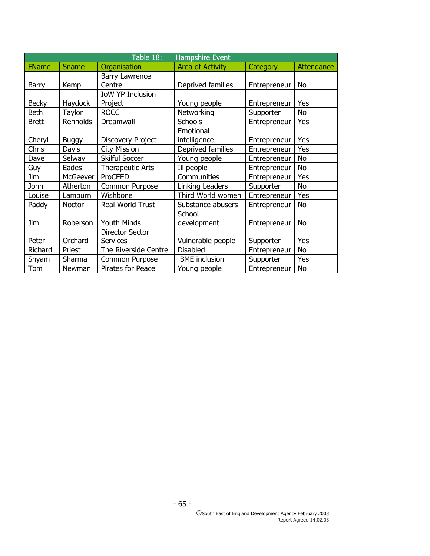| Table 18:<br><b>Hampshire Event</b> |                 |                                    |                           |              |                   |
|-------------------------------------|-----------------|------------------------------------|---------------------------|--------------|-------------------|
| <b>FName</b>                        | Sname           | Organisation                       | <b>Area of Activity</b>   | Category     | <b>Attendance</b> |
| Barry                               | Kemp            | <b>Barry Lawrence</b><br>Centre    | Deprived families         | Entrepreneur | No                |
| <b>Becky</b>                        | Haydock         | <b>IoW YP Inclusion</b><br>Project | Young people              | Entrepreneur | Yes               |
| <b>Beth</b>                         | <b>Taylor</b>   | <b>ROCC</b>                        | Networking                | Supporter    | No                |
| <b>Brett</b>                        | Rennolds        | Dreamwall                          | <b>Schools</b>            | Entrepreneur | Yes               |
| Cheryl                              | <b>Buggy</b>    | <b>Discovery Project</b>           | Emotional<br>intelligence | Entrepreneur | Yes               |
| Chris                               | Davis           | <b>City Mission</b>                | Deprived families         | Entrepreneur | Yes               |
| Dave                                | Selway          | <b>Skilful Soccer</b>              | Young people              | Entrepreneur | <b>No</b>         |
| Guy                                 | Eades           | <b>Therapeutic Arts</b>            | Ill people                | Entrepreneur | No                |
| Jim                                 | <b>McGeever</b> | ProCEED                            | Communities               | Entrepreneur | Yes               |
| John                                | Atherton        | Common Purpose                     | Linking Leaders           | Supporter    | No                |
| Louise                              | Lamburn         | Wishbone                           | Third World women         | Entrepreneur | Yes               |
| Paddy                               | Noctor          | Real World Trust                   | Substance abusers         | Entrepreneur | No                |
| Jim                                 | Roberson        | <b>Youth Minds</b>                 | School<br>development     | Entrepreneur | No                |
| Peter                               | Orchard         | Director Sector<br><b>Services</b> | Vulnerable people         | Supporter    | Yes               |
| Richard                             | Priest          | The Riverside Centre               | <b>Disabled</b>           | Entrepreneur | No                |
| Shyam                               | Sharma          | Common Purpose                     | <b>BME</b> inclusion      | Supporter    | Yes               |
| Tom                                 | Newman          | Pirates for Peace                  | Young people              | Entrepreneur | No                |

- 65 -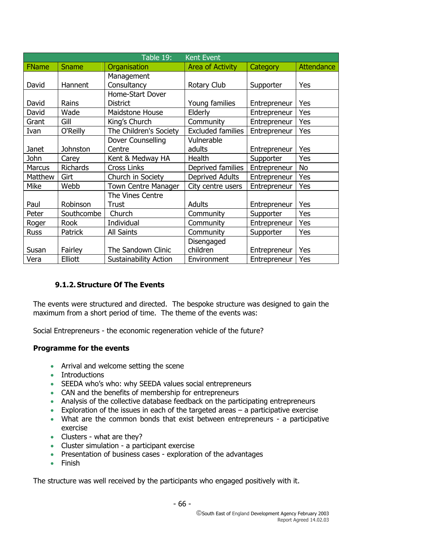| Table 19:<br><b>Kent Event</b> |            |                              |                          |              |                   |
|--------------------------------|------------|------------------------------|--------------------------|--------------|-------------------|
| <b>FName</b>                   | Sname      | Organisation                 | <b>Area of Activity</b>  | Category     | <b>Attendance</b> |
|                                |            | Management                   |                          |              |                   |
| David                          | Hannent    | Consultancy                  | Rotary Club              | Supporter    | Yes               |
|                                |            | Home-Start Dover             |                          |              |                   |
| David                          | Rains      | <b>District</b>              | Young families           | Entrepreneur | Yes               |
| David                          | Wade       | Maidstone House              | Elderly                  | Entrepreneur | Yes               |
| Grant                          | Gill       | King's Church                | Community                | Entrepreneur | Yes               |
| Ivan                           | O'Reilly   | The Children's Society       | <b>Excluded families</b> | Entrepreneur | Yes               |
|                                |            | Dover Counselling            | Vulnerable               |              |                   |
| <b>Janet</b>                   | Johnston   | Centre                       | adults                   | Entrepreneur | Yes               |
| John                           | Carey      | Kent & Medway HA             | Health                   | Supporter    | Yes               |
| Marcus                         | Richards   | <b>Cross Links</b>           | Deprived families        | Entrepreneur | No                |
| Matthew                        | Girt       | Church in Society            | <b>Deprived Adults</b>   | Entrepreneur | Yes               |
| Mike                           | Webb       | <b>Town Centre Manager</b>   | City centre users        | Entrepreneur | Yes               |
|                                |            | The Vines Centre             |                          |              |                   |
| Paul                           | Robinson   | <b>Trust</b>                 | Adults                   | Entrepreneur | Yes               |
| Peter                          | Southcombe | Church                       | Community                | Supporter    | Yes               |
| Roger                          | Rook       | Individual                   | Community                | Entrepreneur | Yes               |
| <b>Russ</b>                    | Patrick    | All Saints                   | Community                | Supporter    | Yes               |
|                                |            |                              | Disengaged               |              |                   |
| Susan                          | Fairley    | The Sandown Clinic           | children                 | Entrepreneur | Yes               |
| Vera                           | Elliott    | <b>Sustainability Action</b> | Environment              | Entrepreneur | Yes               |

# **9.1.2.Structure Of The Events**

The events were structured and directed. The bespoke structure was designed to gain the maximum from a short period of time. The theme of the events was:

Social Entrepreneurs - the economic regeneration vehicle of the future?

# **Programme for the events**

- Arrival and welcome setting the scene
- Introductions
- SEEDA who's who: why SEEDA values social entrepreneurs
- CAN and the benefits of membership for entrepreneurs
- Analysis of the collective database feedback on the participating entrepreneurs
- Exploration of the issues in each of the targeted areas  $-$  a participative exercise
- What are the common bonds that exist between entrepreneurs a participative exercise
- Clusters what are they?
- Cluster simulation a participant exercise
- Presentation of business cases exploration of the advantages
- Finish

The structure was well received by the participants who engaged positively with it.

- 66 -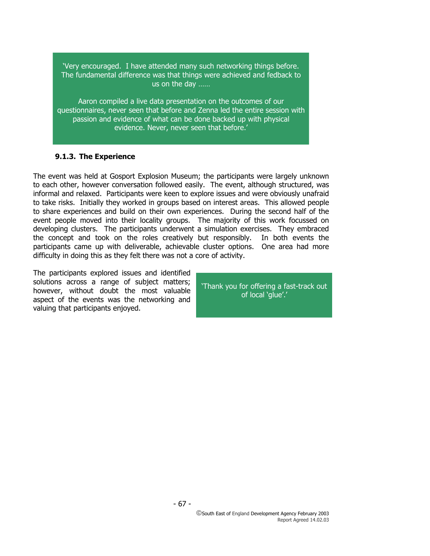'Very encouraged. I have attended many such networking things before. The fundamental difference was that things were achieved and fedback to us on the day ……

Aaron compiled a live data presentation on the outcomes of our questionnaires, never seen that before and Zenna led the entire session with passion and evidence of what can be done backed up with physical evidence. Never, never seen that before.'

# **9.1.3. The Experience**

The event was held at Gosport Explosion Museum; the participants were largely unknown to each other, however conversation followed easily. The event, although structured, was informal and relaxed. Participants were keen to explore issues and were obviously unafraid to take risks. Initially they worked in groups based on interest areas. This allowed people to share experiences and build on their own experiences. During the second half of the event people moved into their locality groups. The majority of this work focussed on developing clusters. The participants underwent a simulation exercises. They embraced the concept and took on the roles creatively but responsibly. In both events the participants came up with deliverable, achievable cluster options. One area had more difficulty in doing this as they felt there was not a core of activity.

The participants explored issues and identified solutions across a range of subject matters; however, without doubt the most valuable aspect of the events was the networking and valuing that participants enjoyed.

'Thank you for offering a fast-track out of local 'glue'.'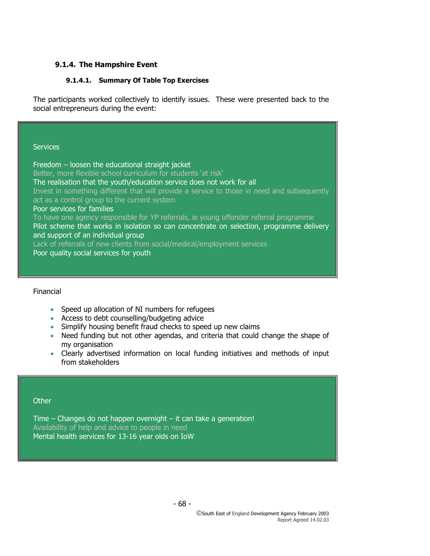# **9.1.4. The Hampshire Event**

## **9.1.4.1. Summary Of Table Top Exercises**

The participants worked collectively to identify issues. These were presented back to the social entrepreneurs during the event:

**Services** 

Freedom – loosen the educational straight jacket Better, more flexible school curriculum for students 'at risk' The realisation that the youth/education service does not work for all Invest in something different that will provide a service to those in need and subsequently act as a control group to the current system Poor services for families To have one agency responsible for YP referrals, ie young offender referral programme Pilot scheme that works in isolation so can concentrate on selection, programme delivery and support of an individual group Lack of referrals of new clients from social/medical/employment services Poor quality social services for youth

Financial

- Speed up allocation of NI numbers for refugees
- Access to debt counselling/budgeting advice
- Simplify housing benefit fraud checks to speed up new claims
- Need funding but not other agendas, and criteria that could change the shape of my organisation
- Clearly advertised information on local funding initiatives and methods of input from stakeholders

#### **Other**

Time – Changes do not happen overnight – it can take a generation! Availability of help and advice to people in need Mental health services for 13-16 year olds on IoW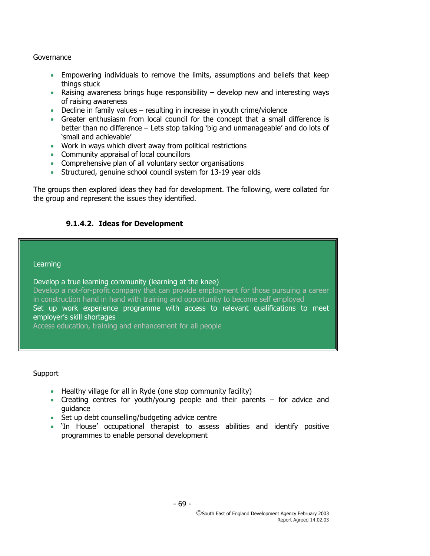## Governance

- Empowering individuals to remove the limits, assumptions and beliefs that keep things stuck
- Raising awareness brings huge responsibility develop new and interesting ways of raising awareness
- Decline in family values resulting in increase in youth crime/violence
- Greater enthusiasm from local council for the concept that a small difference is better than no difference – Lets stop talking 'big and unmanageable' and do lots of 'small and achievable'
- Work in ways which divert away from political restrictions
- Community appraisal of local councillors
- Comprehensive plan of all voluntary sector organisations
- Structured, genuine school council system for 13-19 year olds

The groups then explored ideas they had for development. The following, were collated for the group and represent the issues they identified.

# **9.1.4.2. Ideas for Development**

#### Learning

Develop a true learning community (learning at the knee) Develop a not-for-profit company that can provide employment for those pursuing a career in construction hand in hand with training and opportunity to become self employed Set up work experience programme with access to relevant qualifications to meet employer's skill shortages Access education, training and enhancement for all people

Support

- Healthy village for all in Ryde (one stop community facility)
- Creating centres for youth/young people and their parents for advice and guidance
- Set up debt counselling/budgeting advice centre
- 'In House' occupational therapist to assess abilities and identify positive programmes to enable personal development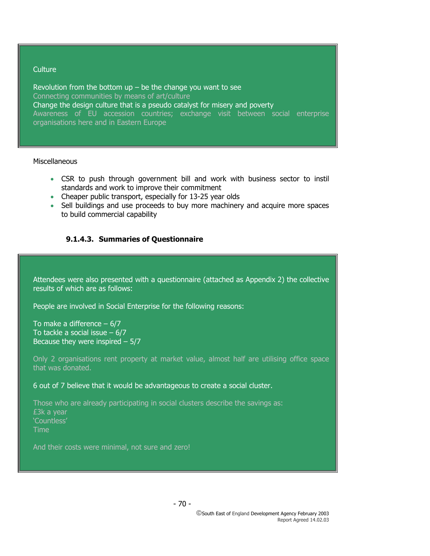#### **Culture**

Revolution from the bottom  $up$  – be the change you want to see Connecting communities by means of art/culture Change the design culture that is a pseudo catalyst for misery and poverty Awareness of EU accession countries; exchange visit between social enterprise organisations here and in Eastern Europe

#### Miscellaneous

- CSR to push through government bill and work with business sector to instil standards and work to improve their commitment
- Cheaper public transport, especially for 13-25 year olds
- Sell buildings and use proceeds to buy more machinery and acquire more spaces to build commercial capability

# **9.1.4.3. Summaries of Questionnaire**

Attendees were also presented with a questionnaire (attached as Appendix 2) the collective results of which are as follows:

People are involved in Social Enterprise for the following reasons:

To make a difference  $-6/7$ To tackle a social issue – 6/7 Because they were inspired  $-5/7$ 

Only 2 organisations rent property at market value, almost half are utilising office space that was donated.

6 out of 7 believe that it would be advantageous to create a social cluster.

Those who are already participating in social clusters describe the savings as: £3k a year 'Countless' Time

And their costs were minimal, not sure and zero!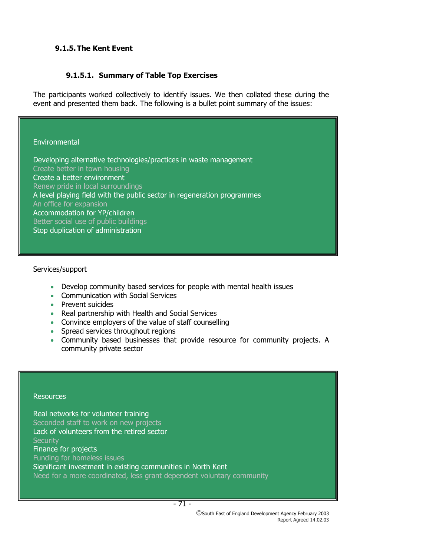# **9.1.5.The Kent Event**

# **9.1.5.1. Summary of Table Top Exercises**

The participants worked collectively to identify issues. We then collated these during the event and presented them back. The following is a bullet point summary of the issues:

#### **Environmental**

Developing alternative technologies/practices in waste management Create better in town housing Create a better environment Renew pride in local surroundings A level playing field with the public sector in regeneration programmes An office for expansion Accommodation for YP/children Better social use of public buildings Stop duplication of administration

## Services/support

- Develop community based services for people with mental health issues
- Communication with Social Services
- Prevent suicides
- Real partnership with Health and Social Services
- Convince employers of the value of staff counselling
- Spread services throughout regions
- Community based businesses that provide resource for community projects. A community private sector

#### **Resources**

Real networks for volunteer training Seconded staff to work on new projects Lack of volunteers from the retired sector **Security** Finance for projects Funding for homeless issues Significant investment in existing communities in North Kent Need for a more coordinated, less grant dependent voluntary community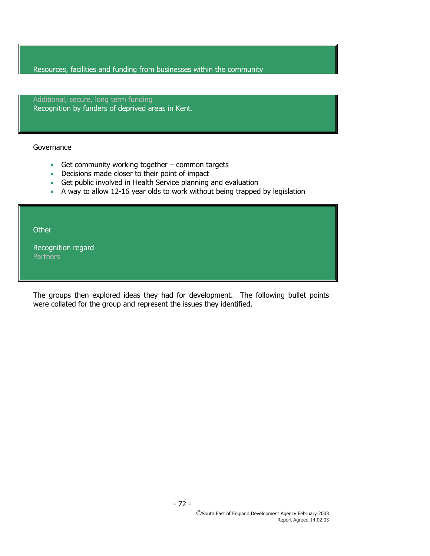Resources, facilities and funding from businesses within the community

Additional, secure, long term funding Recognition by funders of deprived areas in Kent.

#### Governance

- Get community working together common targets
- Decisions made closer to their point of impact
- Get public involved in Health Service planning and evaluation
- A way to allow 12-16 year olds to work without being trapped by legislation

**Other** 

Recognition regard **Partners** 

The groups then explored ideas they had for development. The following bullet points were collated for the group and represent the issues they identified.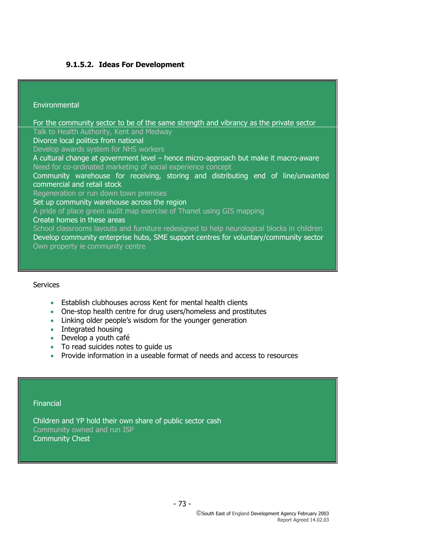## **9.1.5.2. Ideas For Development**

#### **Environmental**

For the community sector to be of the same strength and vibrancy as the private sector Talk to Health Authority, Kent and Medway Divorce local politics from national Develop awards system for NHS workers A cultural change at government level – hence micro-approach but make it macro-aware Need for co-ordinated marketing of social experience concept Community warehouse for receiving, storing and distributing end of line/unwanted commercial and retail stock Regeneration or run down town premises Set up community warehouse across the region A pride of place green audit map exercise of Thanet using GIS mapping Create homes in these areas School classrooms layouts and furniture redesigned to help neurological blocks in children Develop community enterprise hubs, SME support centres for voluntary/community sector Own property ie community centre

#### **Services**

- Establish clubhouses across Kent for mental health clients
- One-stop health centre for drug users/homeless and prostitutes
- Linking older people's wisdom for the younger generation
- Integrated housing
- Develop a youth café
- To read suicides notes to quide us
- Provide information in a useable format of needs and access to resources

#### **Financial**

Children and YP hold their own share of public sector cash Community owned and run ISP Community Chest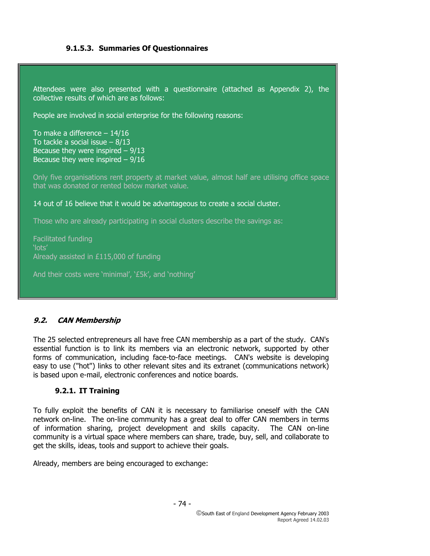# **9.1.5.3. Summaries Of Questionnaires**

Attendees were also presented with a questionnaire (attached as Appendix 2), the collective results of which are as follows: People are involved in social enterprise for the following reasons: To make a difference – 14/16 To tackle a social issue – 8/13 Because they were inspired  $-9/13$ Because they were inspired  $-9/16$ Only five organisations rent property at market value, almost half are utilising office space that was donated or rented below market value. 14 out of 16 believe that it would be advantageous to create a social cluster. Those who are already participating in social clusters describe the savings as: Facilitated funding 'lots' Already assisted in £115,000 of funding And their costs were 'minimal', '£5k', and 'nothing'

# **9.2. CAN Membership**

The 25 selected entrepreneurs all have free CAN membership as a part of the study. CAN's essential function is to link its members via an electronic network, supported by other forms of communication, including face-to-face meetings. CAN's website is developing easy to use ("hot") links to other relevant sites and its extranet (communications network) is based upon e-mail, electronic conferences and notice boards.

#### **9.2.1. IT Training**

To fully exploit the benefits of CAN it is necessary to familiarise oneself with the CAN network on-line. The on-line community has a great deal to offer CAN members in terms of information sharing, project development and skills capacity. The CAN on-line community is a virtual space where members can share, trade, buy, sell, and collaborate to get the skills, ideas, tools and support to achieve their goals.

Already, members are being encouraged to exchange: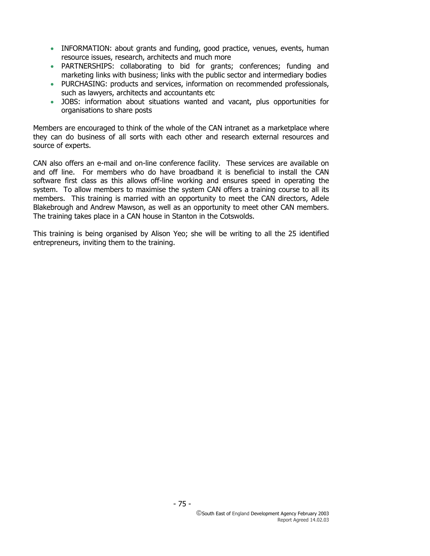- INFORMATION: about grants and funding, good practice, venues, events, human resource issues, research, architects and much more
- PARTNERSHIPS: collaborating to bid for grants; conferences; funding and marketing links with business; links with the public sector and intermediary bodies
- PURCHASING: products and services, information on recommended professionals, such as lawyers, architects and accountants etc
- JOBS: information about situations wanted and vacant, plus opportunities for organisations to share posts

Members are encouraged to think of the whole of the CAN intranet as a marketplace where they can do business of all sorts with each other and research external resources and source of experts.

CAN also offers an e-mail and on-line conference facility. These services are available on and off line. For members who do have broadband it is beneficial to install the CAN software first class as this allows off-line working and ensures speed in operating the system. To allow members to maximise the system CAN offers a training course to all its members. This training is married with an opportunity to meet the CAN directors, Adele Blakebrough and Andrew Mawson, as well as an opportunity to meet other CAN members. The training takes place in a CAN house in Stanton in the Cotswolds.

This training is being organised by Alison Yeo; she will be writing to all the 25 identified entrepreneurs, inviting them to the training.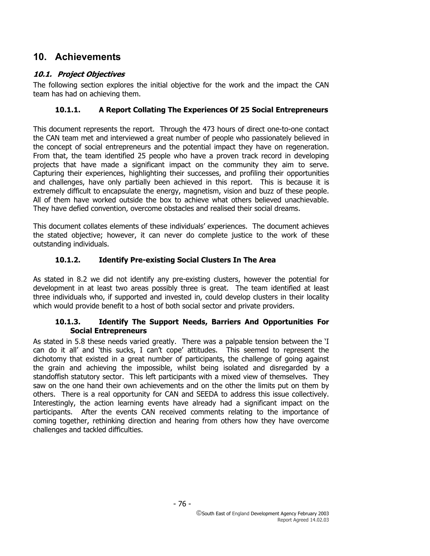# **10. Achievements**

# **10.1. Project Objectives**

The following section explores the initial objective for the work and the impact the CAN team has had on achieving them.

# **10.1.1. A Report Collating The Experiences Of 25 Social Entrepreneurs**

This document represents the report. Through the 473 hours of direct one-to-one contact the CAN team met and interviewed a great number of people who passionately believed in the concept of social entrepreneurs and the potential impact they have on regeneration. From that, the team identified 25 people who have a proven track record in developing projects that have made a significant impact on the community they aim to serve. Capturing their experiences, highlighting their successes, and profiling their opportunities and challenges, have only partially been achieved in this report. This is because it is extremely difficult to encapsulate the energy, magnetism, vision and buzz of these people. All of them have worked outside the box to achieve what others believed unachievable. They have defied convention, overcome obstacles and realised their social dreams.

This document collates elements of these individuals' experiences. The document achieves the stated objective; however, it can never do complete justice to the work of these outstanding individuals.

# **10.1.2. Identify Pre-existing Social Clusters In The Area**

As stated in 8.2 we did not identify any pre-existing clusters, however the potential for development in at least two areas possibly three is great. The team identified at least three individuals who, if supported and invested in, could develop clusters in their locality which would provide benefit to a host of both social sector and private providers.

#### **10.1.3. Identify The Support Needs, Barriers And Opportunities For Social Entrepreneurs**

As stated in 5.8 these needs varied greatly. There was a palpable tension between the 'I can do it all' and 'this sucks, I can't cope' attitudes. This seemed to represent the dichotomy that existed in a great number of participants, the challenge of going against the grain and achieving the impossible, whilst being isolated and disregarded by a standoffish statutory sector. This left participants with a mixed view of themselves. They saw on the one hand their own achievements and on the other the limits put on them by others. There is a real opportunity for CAN and SEEDA to address this issue collectively. Interestingly, the action learning events have already had a significant impact on the participants. After the events CAN received comments relating to the importance of coming together, rethinking direction and hearing from others how they have overcome challenges and tackled difficulties.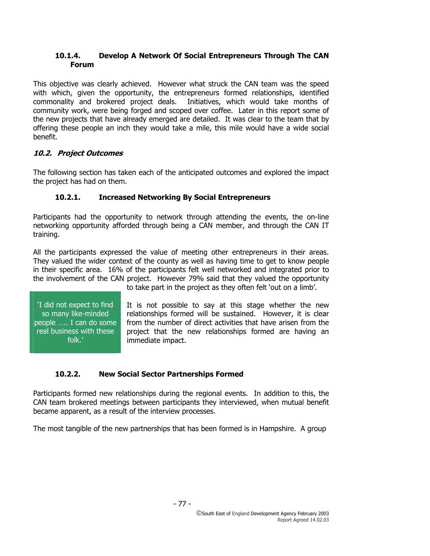## **10.1.4. Develop A Network Of Social Entrepreneurs Through The CAN Forum**

This objective was clearly achieved. However what struck the CAN team was the speed with which, given the opportunity, the entrepreneurs formed relationships, identified commonality and brokered project deals. Initiatives, which would take months of community work, were being forged and scoped over coffee. Later in this report some of the new projects that have already emerged are detailed. It was clear to the team that by offering these people an inch they would take a mile, this mile would have a wide social benefit.

# **10.2. Project Outcomes**

The following section has taken each of the anticipated outcomes and explored the impact the project has had on them.

# **10.2.1. Increased Networking By Social Entrepreneurs**

Participants had the opportunity to network through attending the events, the on-line networking opportunity afforded through being a CAN member, and through the CAN IT training.

All the participants expressed the value of meeting other entrepreneurs in their areas. They valued the wider context of the county as well as having time to get to know people in their specific area. 16% of the participants felt well networked and integrated prior to the involvement of the CAN project. However 79% said that they valued the opportunity

'I did not expect to find so many like-minded people ….. I can do some real business with these folk.'

to take part in the project as they often felt 'out on a limb'.

It is not possible to say at this stage whether the new relationships formed will be sustained. However, it is clear from the number of direct activities that have arisen from the project that the new relationships formed are having an immediate impact.

# **10.2.2. New Social Sector Partnerships Formed**

Participants formed new relationships during the regional events. In addition to this, the CAN team brokered meetings between participants they interviewed, when mutual benefit became apparent, as a result of the interview processes.

The most tangible of the new partnerships that has been formed is in Hampshire. A group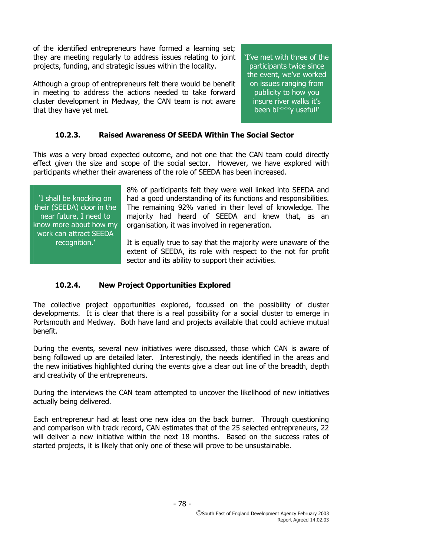of the identified entrepreneurs have formed a learning set; they are meeting regularly to address issues relating to joint projects, funding, and strategic issues within the locality.

Although a group of entrepreneurs felt there would be benefit in meeting to address the actions needed to take forward cluster development in Medway, the CAN team is not aware that they have yet met.

'I've met with three of the participants twice since the event, we've worked on issues ranging from publicity to how you insure river walks it's been bl\*\*\*y useful!'

# **10.2.3. Raised Awareness Of SEEDA Within The Social Sector**

This was a very broad expected outcome, and not one that the CAN team could directly effect given the size and scope of the social sector. However, we have explored with participants whether their awareness of the role of SEEDA has been increased.

'I shall be knocking on their (SEEDA) door in the near future, I need to know more about how my work can attract SEEDA recognition.'

8% of participants felt they were well linked into SEEDA and had a good understanding of its functions and responsibilities. The remaining 92% varied in their level of knowledge. The majority had heard of SEEDA and knew that, as an organisation, it was involved in regeneration.

It is equally true to say that the majority were unaware of the extent of SEEDA, its role with respect to the not for profit sector and its ability to support their activities.

#### **10.2.4. New Project Opportunities Explored**

The collective project opportunities explored, focussed on the possibility of cluster developments. It is clear that there is a real possibility for a social cluster to emerge in Portsmouth and Medway. Both have land and projects available that could achieve mutual benefit.

During the events, several new initiatives were discussed, those which CAN is aware of being followed up are detailed later. Interestingly, the needs identified in the areas and the new initiatives highlighted during the events give a clear out line of the breadth, depth and creativity of the entrepreneurs.

During the interviews the CAN team attempted to uncover the likelihood of new initiatives actually being delivered.

Each entrepreneur had at least one new idea on the back burner. Through questioning and comparison with track record, CAN estimates that of the 25 selected entrepreneurs, 22 will deliver a new initiative within the next 18 months. Based on the success rates of started projects, it is likely that only one of these will prove to be unsustainable.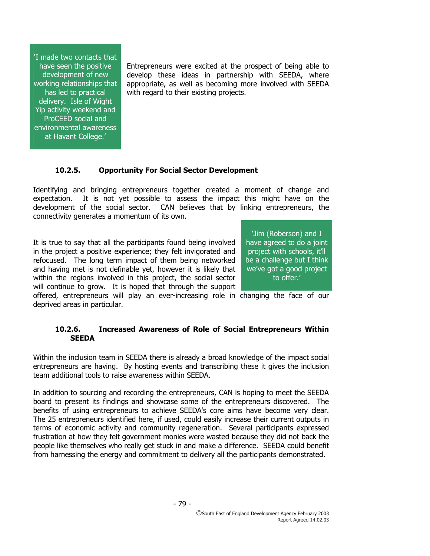'I made two contacts that have seen the positive development of new working relationships that has led to practical delivery. Isle of Wight Yip activity weekend and ProCEED social and environmental awareness at Havant College.'

Entrepreneurs were excited at the prospect of being able to develop these ideas in partnership with SEEDA, where appropriate, as well as becoming more involved with SEEDA with regard to their existing projects.

#### **10.2.5. Opportunity For Social Sector Development**

Identifying and bringing entrepreneurs together created a moment of change and expectation. It is not yet possible to assess the impact this might have on the development of the social sector. CAN believes that by linking entrepreneurs, the connectivity generates a momentum of its own.

It is true to say that all the participants found being involved in the project a positive experience; they felt invigorated and refocused. The long term impact of them being networked and having met is not definable yet, however it is likely that within the regions involved in this project, the social sector will continue to grow. It is hoped that through the support

'Jim (Roberson) and I have agreed to do a joint project with schools, it'll be a challenge but I think we've got a good project to offer.'

offered, entrepreneurs will play an ever-increasing role in changing the face of our deprived areas in particular.

#### **10.2.6. Increased Awareness of Role of Social Entrepreneurs Within SEEDA**

Within the inclusion team in SEEDA there is already a broad knowledge of the impact social entrepreneurs are having. By hosting events and transcribing these it gives the inclusion team additional tools to raise awareness within SEEDA.

In addition to sourcing and recording the entrepreneurs, CAN is hoping to meet the SEEDA board to present its findings and showcase some of the entrepreneurs discovered. The benefits of using entrepreneurs to achieve SEEDA's core aims have become very clear. The 25 entrepreneurs identified here, if used, could easily increase their current outputs in terms of economic activity and community regeneration. Several participants expressed frustration at how they felt government monies were wasted because they did not back the people like themselves who really get stuck in and make a difference. SEEDA could benefit from harnessing the energy and commitment to delivery all the participants demonstrated.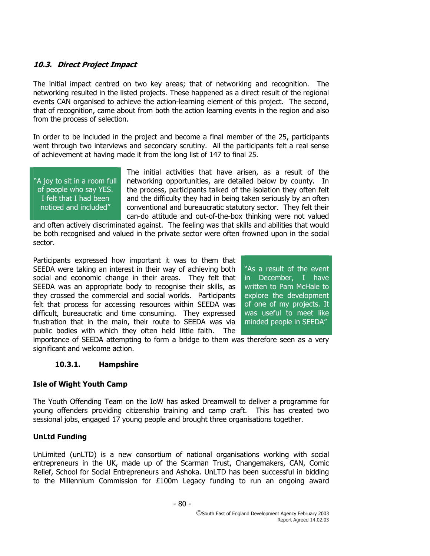## **10.3. Direct Project Impact**

The initial impact centred on two key areas; that of networking and recognition. The networking resulted in the listed projects. These happened as a direct result of the regional events CAN organised to achieve the action-learning element of this project. The second, that of recognition, came about from both the action learning events in the region and also from the process of selection.

In order to be included in the project and become a final member of the 25, participants went through two interviews and secondary scrutiny. All the participants felt a real sense of achievement at having made it from the long list of 147 to final 25.

"A joy to sit in a room full of people who say YES. I felt that I had been noticed and included"

The initial activities that have arisen, as a result of the networking opportunities, are detailed below by county. In the process, participants talked of the isolation they often felt and the difficulty they had in being taken seriously by an often conventional and bureaucratic statutory sector. They felt their can-do attitude and out-of-the-box thinking were not valued

and often actively discriminated against. The feeling was that skills and abilities that would be both recognised and valued in the private sector were often frowned upon in the social sector.

Participants expressed how important it was to them that SEEDA were taking an interest in their way of achieving both social and economic change in their areas. They felt that SEEDA was an appropriate body to recognise their skills, as they crossed the commercial and social worlds. Participants felt that process for accessing resources within SEEDA was difficult, bureaucratic and time consuming. They expressed frustration that in the main, their route to SEEDA was via public bodies with which they often held little faith. The

"As a result of the event in December, I have written to Pam McHale to explore the development of one of my projects. It was useful to meet like minded people in SEEDA"

importance of SEEDA attempting to form a bridge to them was therefore seen as a very significant and welcome action.

#### **10.3.1. Hampshire**

# **Isle of Wight Youth Camp**

The Youth Offending Team on the IoW has asked Dreamwall to deliver a programme for young offenders providing citizenship training and camp craft. This has created two sessional jobs, engaged 17 young people and brought three organisations together.

#### **UnLtd Funding**

UnLimited (unLTD) is a new consortium of national organisations working with social entrepreneurs in the UK, made up of the Scarman Trust, Changemakers, CAN, Comic Relief, School for Social Entrepreneurs and Ashoka. UnLTD has been successful in bidding to the Millennium Commission for £100m Legacy funding to run an ongoing award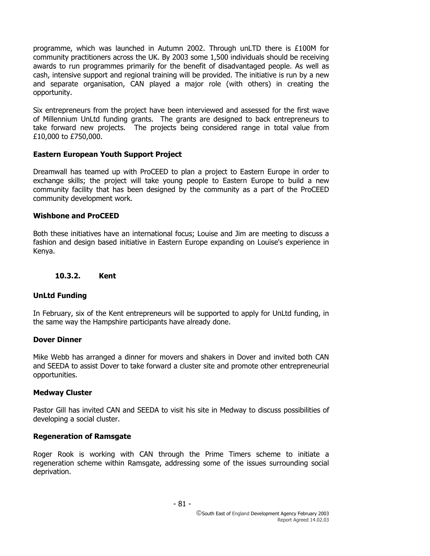programme, which was launched in Autumn 2002. Through unLTD there is £100M for community practitioners across the UK. By 2003 some 1,500 individuals should be receiving awards to run programmes primarily for the benefit of disadvantaged people. As well as cash, intensive support and regional training will be provided. The initiative is run by a new and separate organisation, CAN played a major role (with others) in creating the opportunity.

Six entrepreneurs from the project have been interviewed and assessed for the first wave of Millennium UnLtd funding grants. The grants are designed to back entrepreneurs to take forward new projects. The projects being considered range in total value from £10,000 to £750,000.

#### **Eastern European Youth Support Project**

Dreamwall has teamed up with ProCEED to plan a project to Eastern Europe in order to exchange skills; the project will take young people to Eastern Europe to build a new community facility that has been designed by the community as a part of the ProCEED community development work.

#### **Wishbone and ProCEED**

Both these initiatives have an international focus; Louise and Jim are meeting to discuss a fashion and design based initiative in Eastern Europe expanding on Louise's experience in Kenya.

#### **10.3.2. Kent**

#### **UnLtd Funding**

In February, six of the Kent entrepreneurs will be supported to apply for UnLtd funding, in the same way the Hampshire participants have already done.

#### **Dover Dinner**

Mike Webb has arranged a dinner for movers and shakers in Dover and invited both CAN and SEEDA to assist Dover to take forward a cluster site and promote other entrepreneurial opportunities.

#### **Medway Cluster**

Pastor Gill has invited CAN and SEEDA to visit his site in Medway to discuss possibilities of developing a social cluster.

#### **Regeneration of Ramsgate**

Roger Rook is working with CAN through the Prime Timers scheme to initiate a regeneration scheme within Ramsgate, addressing some of the issues surrounding social deprivation.

- 81 -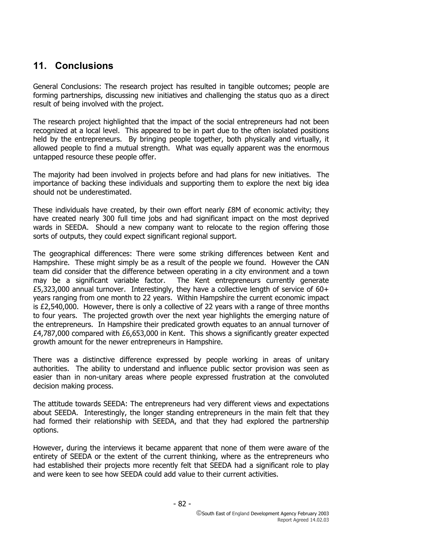# **11. Conclusions**

General Conclusions: The research project has resulted in tangible outcomes; people are forming partnerships, discussing new initiatives and challenging the status quo as a direct result of being involved with the project.

The research project highlighted that the impact of the social entrepreneurs had not been recognized at a local level. This appeared to be in part due to the often isolated positions held by the entrepreneurs. By bringing people together, both physically and virtually, it allowed people to find a mutual strength. What was equally apparent was the enormous untapped resource these people offer.

The majority had been involved in projects before and had plans for new initiatives. The importance of backing these individuals and supporting them to explore the next big idea should not be underestimated.

These individuals have created, by their own effort nearly £8M of economic activity; they have created nearly 300 full time jobs and had significant impact on the most deprived wards in SEEDA. Should a new company want to relocate to the region offering those sorts of outputs, they could expect significant regional support.

The geographical differences: There were some striking differences between Kent and Hampshire. These might simply be as a result of the people we found. However the CAN team did consider that the difference between operating in a city environment and a town may be a significant variable factor. The Kent entrepreneurs currently generate £5,323,000 annual turnover. Interestingly, they have a collective length of service of 60+ years ranging from one month to 22 years. Within Hampshire the current economic impact is  $£2,540,000$ . However, there is only a collective of 22 years with a range of three months to four years. The projected growth over the next year highlights the emerging nature of the entrepreneurs. In Hampshire their predicated growth equates to an annual turnover of £4,787,000 compared with £6,653,000 in Kent. This shows a significantly greater expected growth amount for the newer entrepreneurs in Hampshire.

There was a distinctive difference expressed by people working in areas of unitary authorities. The ability to understand and influence public sector provision was seen as easier than in non-unitary areas where people expressed frustration at the convoluted decision making process.

The attitude towards SEEDA: The entrepreneurs had very different views and expectations about SEEDA. Interestingly, the longer standing entrepreneurs in the main felt that they had formed their relationship with SEEDA, and that they had explored the partnership options.

However, during the interviews it became apparent that none of them were aware of the entirety of SEEDA or the extent of the current thinking, where as the entrepreneurs who had established their projects more recently felt that SEEDA had a significant role to play and were keen to see how SEEDA could add value to their current activities.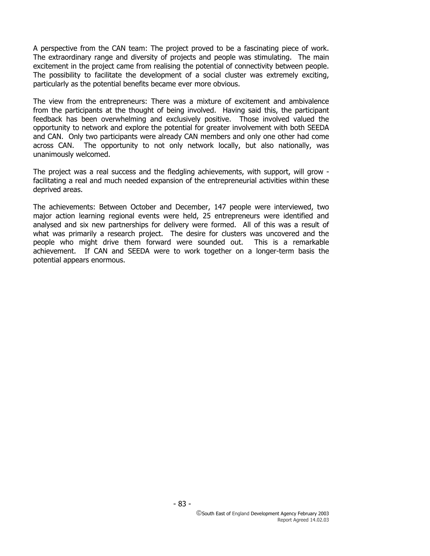A perspective from the CAN team: The project proved to be a fascinating piece of work. The extraordinary range and diversity of projects and people was stimulating. The main excitement in the project came from realising the potential of connectivity between people. The possibility to facilitate the development of a social cluster was extremely exciting, particularly as the potential benefits became ever more obvious.

The view from the entrepreneurs: There was a mixture of excitement and ambivalence from the participants at the thought of being involved. Having said this, the participant feedback has been overwhelming and exclusively positive. Those involved valued the opportunity to network and explore the potential for greater involvement with both SEEDA and CAN. Only two participants were already CAN members and only one other had come across CAN. The opportunity to not only network locally, but also nationally, was unanimously welcomed.

The project was a real success and the fledgling achievements, with support, will grow facilitating a real and much needed expansion of the entrepreneurial activities within these deprived areas.

The achievements: Between October and December, 147 people were interviewed, two major action learning regional events were held, 25 entrepreneurs were identified and analysed and six new partnerships for delivery were formed. All of this was a result of what was primarily a research project. The desire for clusters was uncovered and the people who might drive them forward were sounded out. This is a remarkable achievement. If CAN and SEEDA were to work together on a longer-term basis the potential appears enormous.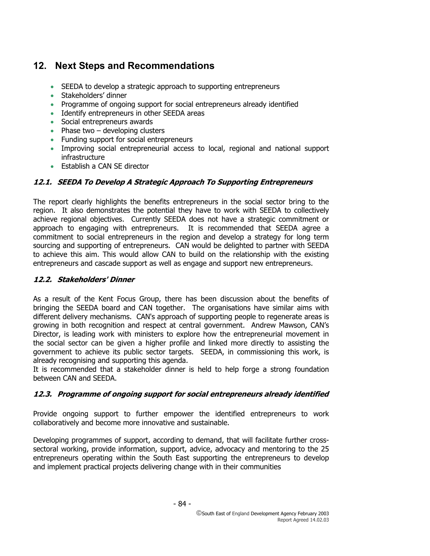# **12. Next Steps and Recommendations**

- SEEDA to develop a strategic approach to supporting entrepreneurs
- Stakeholders' dinner
- Programme of ongoing support for social entrepreneurs already identified
- Identify entrepreneurs in other SEEDA areas
- Social entrepreneurs awards
- Phase two  $-$  developing clusters
- Funding support for social entrepreneurs
- Improving social entrepreneurial access to local, regional and national support infrastructure
- Establish a CAN SE director

# **12.1. SEEDA To Develop A Strategic Approach To Supporting Entrepreneurs**

The report clearly highlights the benefits entrepreneurs in the social sector bring to the region. It also demonstrates the potential they have to work with SEEDA to collectively achieve regional objectives. Currently SEEDA does not have a strategic commitment or approach to engaging with entrepreneurs. It is recommended that SEEDA agree a commitment to social entrepreneurs in the region and develop a strategy for long term sourcing and supporting of entrepreneurs. CAN would be delighted to partner with SEEDA to achieve this aim. This would allow CAN to build on the relationship with the existing entrepreneurs and cascade support as well as engage and support new entrepreneurs.

#### **12.2. Stakeholders' Dinner**

As a result of the Kent Focus Group, there has been discussion about the benefits of bringing the SEEDA board and CAN together. The organisations have similar aims with different delivery mechanisms. CAN's approach of supporting people to regenerate areas is growing in both recognition and respect at central government. Andrew Mawson, CAN's Director, is leading work with ministers to explore how the entrepreneurial movement in the social sector can be given a higher profile and linked more directly to assisting the government to achieve its public sector targets. SEEDA, in commissioning this work, is already recognising and supporting this agenda.

It is recommended that a stakeholder dinner is held to help forge a strong foundation between CAN and SEEDA.

# **12.3. Programme of ongoing support for social entrepreneurs already identified**

Provide ongoing support to further empower the identified entrepreneurs to work collaboratively and become more innovative and sustainable.

Developing programmes of support, according to demand, that will facilitate further crosssectoral working, provide information, support, advice, advocacy and mentoring to the 25 entrepreneurs operating within the South East supporting the entrepreneurs to develop and implement practical projects delivering change with in their communities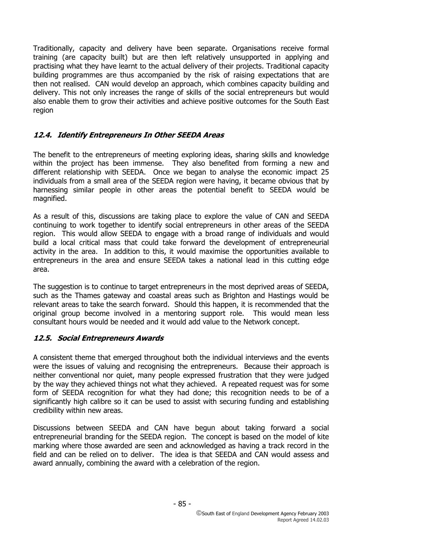Traditionally, capacity and delivery have been separate. Organisations receive formal training (are capacity built) but are then left relatively unsupported in applying and practising what they have learnt to the actual delivery of their projects. Traditional capacity building programmes are thus accompanied by the risk of raising expectations that are then not realised. CAN would develop an approach, which combines capacity building and delivery. This not only increases the range of skills of the social entrepreneurs but would also enable them to grow their activities and achieve positive outcomes for the South East region

# **12.4. Identify Entrepreneurs In Other SEEDA Areas**

The benefit to the entrepreneurs of meeting exploring ideas, sharing skills and knowledge within the project has been immense. They also benefited from forming a new and different relationship with SEEDA. Once we began to analyse the economic impact 25 individuals from a small area of the SEEDA region were having, it became obvious that by harnessing similar people in other areas the potential benefit to SEEDA would be magnified.

As a result of this, discussions are taking place to explore the value of CAN and SEEDA continuing to work together to identify social entrepreneurs in other areas of the SEEDA region. This would allow SEEDA to engage with a broad range of individuals and would build a local critical mass that could take forward the development of entrepreneurial activity in the area. In addition to this, it would maximise the opportunities available to entrepreneurs in the area and ensure SEEDA takes a national lead in this cutting edge area.

The suggestion is to continue to target entrepreneurs in the most deprived areas of SEEDA, such as the Thames gateway and coastal areas such as Brighton and Hastings would be relevant areas to take the search forward. Should this happen, it is recommended that the original group become involved in a mentoring support role. This would mean less consultant hours would be needed and it would add value to the Network concept.

#### **12.5. Social Entrepreneurs Awards**

A consistent theme that emerged throughout both the individual interviews and the events were the issues of valuing and recognising the entrepreneurs. Because their approach is neither conventional nor quiet, many people expressed frustration that they were judged by the way they achieved things not what they achieved. A repeated request was for some form of SEEDA recognition for what they had done; this recognition needs to be of a significantly high calibre so it can be used to assist with securing funding and establishing credibility within new areas.

Discussions between SEEDA and CAN have begun about taking forward a social entrepreneurial branding for the SEEDA region. The concept is based on the model of kite marking where those awarded are seen and acknowledged as having a track record in the field and can be relied on to deliver. The idea is that SEEDA and CAN would assess and award annually, combining the award with a celebration of the region.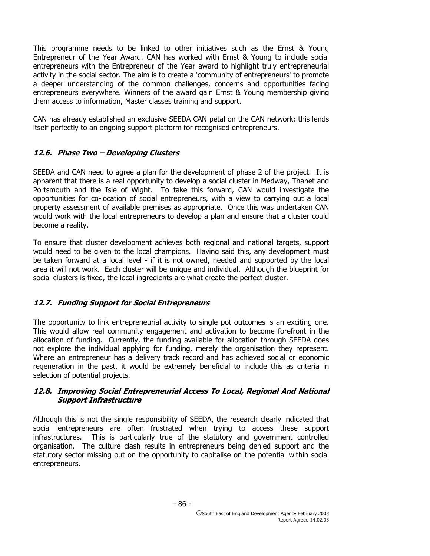This programme needs to be linked to other initiatives such as the Ernst & Young Entrepreneur of the Year Award. CAN has worked with Ernst & Young to include social entrepreneurs with the Entrepreneur of the Year award to highlight truly entrepreneurial activity in the social sector. The aim is to create a 'community of entrepreneurs' to promote a deeper understanding of the common challenges, concerns and opportunities facing entrepreneurs everywhere. Winners of the award gain Ernst & Young membership giving them access to information, Master classes training and support.

CAN has already established an exclusive SEEDA CAN petal on the CAN network; this lends itself perfectly to an ongoing support platform for recognised entrepreneurs.

# **12.6. Phase Two – Developing Clusters**

SEEDA and CAN need to agree a plan for the development of phase 2 of the project. It is apparent that there is a real opportunity to develop a social cluster in Medway, Thanet and Portsmouth and the Isle of Wight. To take this forward, CAN would investigate the opportunities for co-location of social entrepreneurs, with a view to carrying out a local property assessment of available premises as appropriate. Once this was undertaken CAN would work with the local entrepreneurs to develop a plan and ensure that a cluster could become a reality.

To ensure that cluster development achieves both regional and national targets, support would need to be given to the local champions. Having said this, any development must be taken forward at a local level - if it is not owned, needed and supported by the local area it will not work. Each cluster will be unique and individual. Although the blueprint for social clusters is fixed, the local ingredients are what create the perfect cluster.

#### **12.7. Funding Support for Social Entrepreneurs**

The opportunity to link entrepreneurial activity to single pot outcomes is an exciting one. This would allow real community engagement and activation to become forefront in the allocation of funding. Currently, the funding available for allocation through SEEDA does not explore the individual applying for funding, merely the organisation they represent. Where an entrepreneur has a delivery track record and has achieved social or economic regeneration in the past, it would be extremely beneficial to include this as criteria in selection of potential projects.

#### **12.8. Improving Social Entrepreneurial Access To Local, Regional And National Support Infrastructure**

Although this is not the single responsibility of SEEDA, the research clearly indicated that social entrepreneurs are often frustrated when trying to access these support infrastructures. This is particularly true of the statutory and government controlled organisation. The culture clash results in entrepreneurs being denied support and the statutory sector missing out on the opportunity to capitalise on the potential within social entrepreneurs.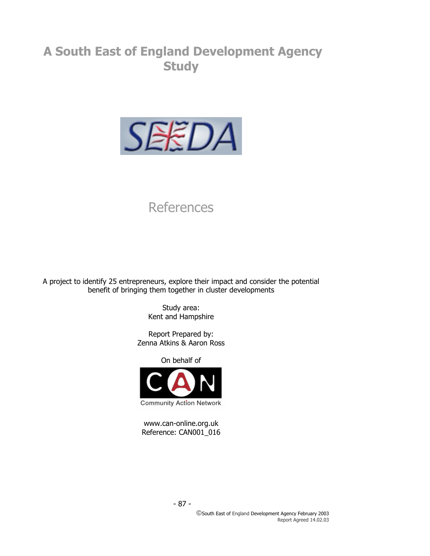# **A South East of England Development Agency Study**



# **References**

A project to identify 25 entrepreneurs, explore their impact and consider the potential benefit of bringing them together in cluster developments

> Study area: Kent and Hampshire

Report Prepared by: Zenna Atkins & Aaron Ross

On behalf of



www.can-online.org.uk Reference: CAN001\_016

- 87 -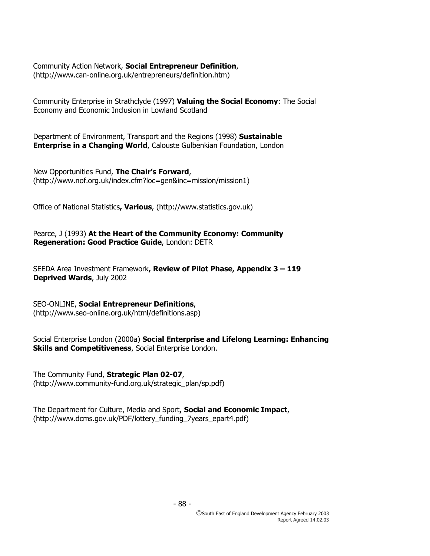Community Action Network, **Social Entrepreneur Definition**, (http://www.can-online.org.uk/entrepreneurs/definition.htm)

Community Enterprise in Strathclyde (1997) **Valuing the Social Economy**: The Social Economy and Economic Inclusion in Lowland Scotland

Department of Environment, Transport and the Regions (1998) **Sustainable Enterprise in a Changing World, Calouste Gulbenkian Foundation, London** 

New Opportunities Fund, **The Chair's Forward**, (http://www.nof.org.uk/index.cfm?loc=gen&inc=mission/mission1)

Office of National Statistics**, Various**, (http://www.statistics.gov.uk)

Pearce, J (1993) **At the Heart of the Community Economy: Community Regeneration: Good Practice Guide**, London: DETR

SEEDA Area Investment Framework**, Review of Pilot Phase, Appendix 3 – 119 Deprived Wards**, July 2002

SEO-ONLINE, **Social Entrepreneur Definitions**, (http://www.seo-online.org.uk/html/definitions.asp)

Social Enterprise London (2000a) **Social Enterprise and Lifelong Learning: Enhancing Skills and Competitiveness**, Social Enterprise London.

The Community Fund, **Strategic Plan 02-07**, (http://www.community-fund.org.uk/strategic\_plan/sp.pdf)

The Department for Culture, Media and Sport**, Social and Economic Impact**, (http://www.dcms.gov.uk/PDF/lottery\_funding\_7years\_epart4.pdf)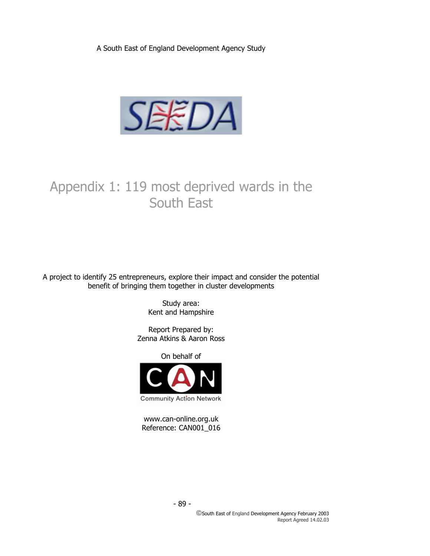A South East of England Development Agency Study



# Appendix 1: 119 most deprived wards in the South East

A project to identify 25 entrepreneurs, explore their impact and consider the potential benefit of bringing them together in cluster developments

> Study area: Kent and Hampshire

Report Prepared by: Zenna Atkins & Aaron Ross

On behalf of



www.can-online.org.uk Reference: CAN001\_016

- 89 -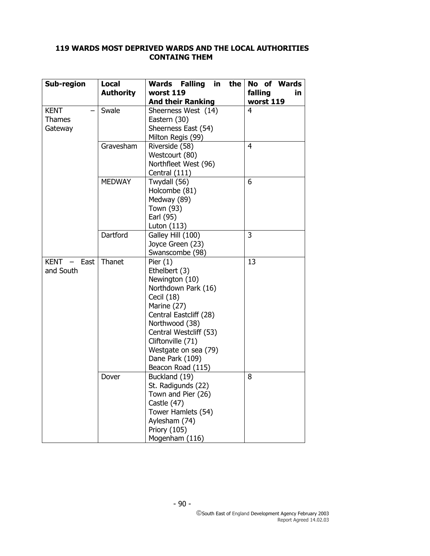# **119 WARDS MOST DEPRIVED WARDS AND THE LOCAL AUTHORITIES CONTAING THEM**

| Sub-region                              | <b>Local</b><br><b>Authority</b> | <b>Wards Falling</b><br>in<br>the<br>worst 119<br><b>And their Ranking</b>                                                                                                                                                                                   | No of Wards<br>falling<br>in<br>worst 119 |
|-----------------------------------------|----------------------------------|--------------------------------------------------------------------------------------------------------------------------------------------------------------------------------------------------------------------------------------------------------------|-------------------------------------------|
| <b>KENT</b><br><b>Thames</b><br>Gateway | Swale                            | Sheerness West (14)<br>Eastern (30)<br>Sheerness East (54)<br>Milton Regis (99)                                                                                                                                                                              | 4                                         |
|                                         | Gravesham                        | Riverside (58)<br>Westcourt (80)<br>Northfleet West (96)<br>Central (111)                                                                                                                                                                                    | $\overline{4}$                            |
|                                         | <b>MEDWAY</b>                    | Twydall (56)<br>Holcombe (81)<br>Medway (89)<br>Town (93)<br>Earl (95)<br>Luton (113)                                                                                                                                                                        | 6                                         |
|                                         | Dartford                         | Galley Hill (100)<br>Joyce Green (23)<br>Swanscombe (98)                                                                                                                                                                                                     | 3                                         |
| KENT - East<br>and South                | Thanet                           | Pier $(1)$<br>Ethelbert (3)<br>Newington (10)<br>Northdown Park (16)<br>Cecil (18)<br>Marine (27)<br>Central Eastcliff (28)<br>Northwood (38)<br>Central Westcliff (53)<br>Cliftonville (71)<br>Westgate on sea (79)<br>Dane Park (109)<br>Beacon Road (115) | $\overline{13}$                           |
|                                         | Dover                            | Buckland (19)<br>St. Radigunds (22)<br>Town and Pier (26)<br>Castle (47)<br>Tower Hamlets (54)<br>Aylesham (74)<br>Priory (105)<br>Mogenham (116)                                                                                                            | 8                                         |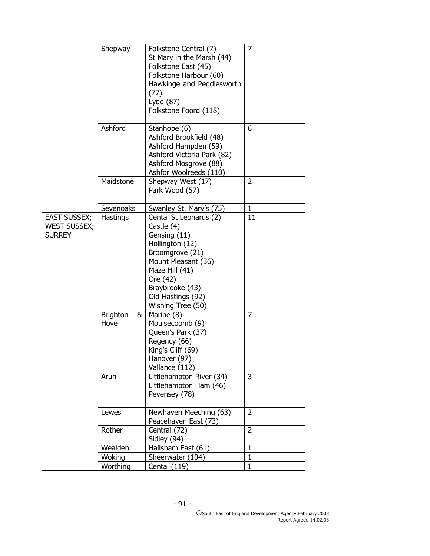|                                                             | Shepway                              | Folkstone Central (7)<br>St Mary in the Marsh (44)<br>Folkstone East (45)<br>Folkstone Harbour (60)<br>Hawkinge and Peddlesworth<br>(77)<br>Lydd (87)<br>Folkstone Foord (118)                               | $\overline{7}$ |
|-------------------------------------------------------------|--------------------------------------|--------------------------------------------------------------------------------------------------------------------------------------------------------------------------------------------------------------|----------------|
|                                                             | Ashford                              | Stanhope (6)<br>Ashford Brookfield (48)<br>Ashford Hampden (59)<br>Ashford Victoria Park (82)<br>Ashford Mosgrove (88)<br>Ashfor Woolreeds (110)                                                             | 6              |
|                                                             | Maidstone                            | Shepway West (17)<br>Park Wood (57)                                                                                                                                                                          | $\overline{2}$ |
|                                                             | Sevenoaks                            | Swanley St. Mary's (75)                                                                                                                                                                                      | $\mathbf{1}$   |
| <b>EAST SUSSEX;</b><br><b>WEST SUSSEX;</b><br><b>SURREY</b> | Hastings                             | Cental St Leonards (2)<br>Castle (4)<br>Gensing (11)<br>Hollington (12)<br>Broomgrove (21)<br>Mount Pleasant (36)<br>Maze Hill (41)<br>Ore (42)<br>Braybrooke (43)<br>Old Hastings (92)<br>Wishing Tree (50) | 11             |
|                                                             | <b>Brighton</b><br>&<br>Hove<br>Arun | Marine (8)<br>Moulsecoomb (9)<br>Queen's Park (37)<br>Regency (66)<br>King's Cliff (69)<br>Hanover (97)<br>Vallance (112)<br>Littlehampton River (34)<br>Littlehampton Ham (46)<br>Pevensey (78)             | 7<br>3         |
|                                                             | Lewes                                | Newhaven Meeching (63)<br>Peacehaven East (73)                                                                                                                                                               | $\overline{2}$ |
|                                                             | Rother                               | Central (72)<br>Sidley (94)                                                                                                                                                                                  | $\overline{2}$ |
|                                                             | Wealden                              | Hailsham East (61)                                                                                                                                                                                           | $\mathbf 1$    |
|                                                             | Woking                               | Sheerwater (104)                                                                                                                                                                                             | $\mathbf{1}$   |
|                                                             | Worthing                             | Cental (119)                                                                                                                                                                                                 | $\mathbf 1$    |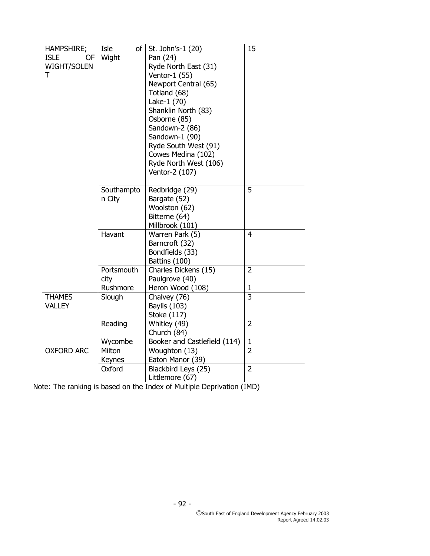| HAMPSHIRE;         | Isle<br>of I | St. John's-1 (20)            | 15             |
|--------------------|--------------|------------------------------|----------------|
| <b>ISLE</b><br>OF  | Wight        | Pan (24)                     |                |
| <b>WIGHT/SOLEN</b> |              | Ryde North East (31)         |                |
| T                  |              | Ventor-1 (55)                |                |
|                    |              | Newport Central (65)         |                |
|                    |              | Totland (68)                 |                |
|                    |              | Lake-1 (70)                  |                |
|                    |              | Shanklin North (83)          |                |
|                    |              | Osborne (85)                 |                |
|                    |              | Sandown-2 (86)               |                |
|                    |              | Sandown-1 (90)               |                |
|                    |              | Ryde South West (91)         |                |
|                    |              | Cowes Medina (102)           |                |
|                    |              | Ryde North West (106)        |                |
|                    |              | Ventor-2 (107)               |                |
|                    |              |                              |                |
|                    | Southampto   | Redbridge (29)               | 5              |
|                    | n City       | Bargate (52)                 |                |
|                    |              | Woolston (62)                |                |
|                    |              | Bitterne (64)                |                |
|                    |              | Millbrook (101)              |                |
|                    | Havant       | Warren Park (5)              | $\overline{4}$ |
|                    |              | Barncroft (32)               |                |
|                    |              | Bondfields (33)              |                |
|                    |              | Battins (100)                |                |
|                    | Portsmouth   | Charles Dickens (15)         | $\overline{2}$ |
|                    | city         | Paulgrove (40)               |                |
|                    | Rushmore     | Heron Wood (108)             | $\mathbf{1}$   |
| <b>THAMES</b>      | Slough       | Chalvey (76)                 | 3              |
| <b>VALLEY</b>      |              | Baylis (103)                 |                |
|                    |              | Stoke (117)                  |                |
|                    | Reading      | Whitley (49)                 | $\overline{2}$ |
|                    |              | Church (84)                  |                |
|                    | Wycombe      | Booker and Castlefield (114) | $\mathbf 1$    |
| <b>OXFORD ARC</b>  | Milton       | Woughton (13)                | $\overline{2}$ |
|                    | Keynes       | Eaton Manor (39)             |                |
|                    | Oxford       | Blackbird Leys (25)          | $\overline{2}$ |
|                    |              | Littlemore (67)              |                |

Note: The ranking is based on the Index of Multiple Deprivation (IMD)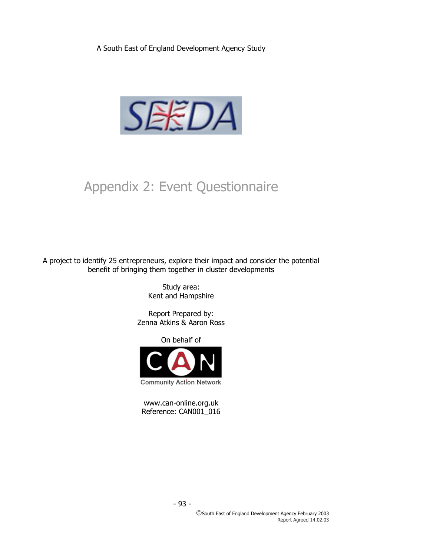A South East of England Development Agency Study



# Appendix 2: Event Questionnaire

A project to identify 25 entrepreneurs, explore their impact and consider the potential benefit of bringing them together in cluster developments

> Study area: Kent and Hampshire

Report Prepared by: Zenna Atkins & Aaron Ross

On behalf of



www.can-online.org.uk Reference: CAN001\_016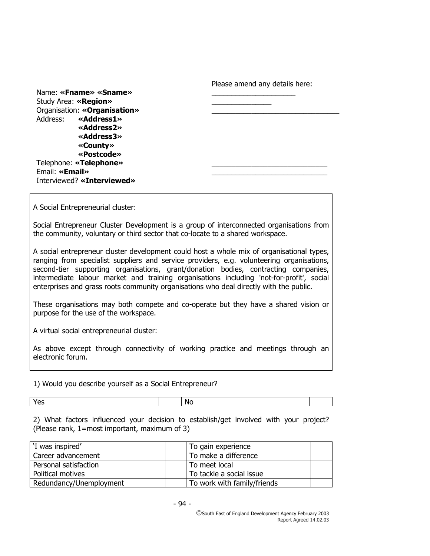Please amend any details here:

Name: «Fname» «Sname» Study Area: «**Region**» Organisation: «Organisation» Address: **«Address1» «Address2» «Address3» «County» «Postcode»** Telephone: «Telephone» Email: «**Email**» Interviewed? **«Interviewed»**

A Social Entrepreneurial cluster:

Social Entrepreneur Cluster Development is a group of interconnected organisations from the community, voluntary or third sector that co-locate to a shared workspace.

A social entrepreneur cluster development could host a whole mix of organisational types, ranging from specialist suppliers and service providers, e.g. volunteering organisations, second-tier supporting organisations, grant/donation bodies, contracting companies, intermediate labour market and training organisations including 'not-for-profit', social enterprises and grass roots community organisations who deal directly with the public.

These organisations may both compete and co-operate but they have a shared vision or purpose for the use of the workspace.

A virtual social entrepreneurial cluster:

As above except through connectivity of working practice and meetings through an electronic forum.

1) Would you describe yourself as a Social Entrepreneur?

Yes and the normal contract of the Normal Contract of the Normal Contract of the Normal Contract of the Normal Contract of the Normal Contract of the Normal Contract of the Normal Contract of the Normal Contract of the Nor

2) What factors influenced your decision to establish/get involved with your project? (Please rank, 1=most important, maximum of 3)

| 'I was inspired'        | To gain experience          |
|-------------------------|-----------------------------|
| Career advancement      | To make a difference        |
| Personal satisfaction   | To meet local               |
| Political motives       | To tackle a social issue    |
| Redundancy/Unemployment | To work with family/friends |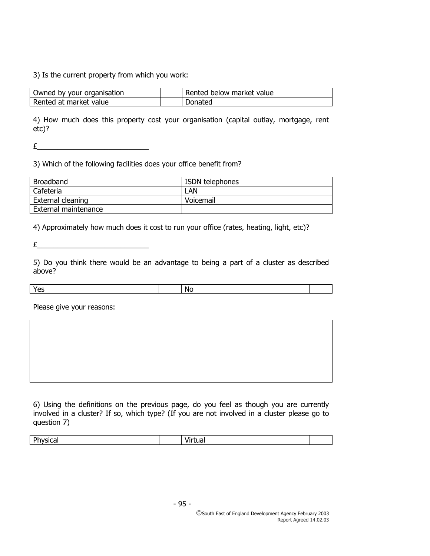#### 3) Is the current property from which you work:

| Owned by your organisation | l Rented below market value |  |
|----------------------------|-----------------------------|--|
| Rented at market value     | Donated                     |  |

4) How much does this property cost your organisation (capital outlay, mortgage, rent etc)?

 $E$  and the set of the set of the set of the set of the set of the set of the set of the set of the set of the set of the set of the set of the set of the set of the set of the set of the set of the set of the set of the

3) Which of the following facilities does your office benefit from?

| <b>Broadband</b>     | <b>ISDN</b> telephones |  |
|----------------------|------------------------|--|
| Cafeteria            | LAN                    |  |
| External cleaning    | Voicemail              |  |
| External maintenance |                        |  |

4) Approximately how much does it cost to run your office (rates, heating, light, etc)?

 $\pounds$ 

5) Do you think there would be an advantage to being a part of a cluster as described above?

|  | N |  |
|--|---|--|
|  |   |  |

Please give your reasons:

6) Using the definitions on the previous page, do you feel as though you are currently involved in a cluster? If so, which type? (If you are not involved in a cluster please go to question 7)

| D.<br>. . |  |  |
|-----------|--|--|
|           |  |  |